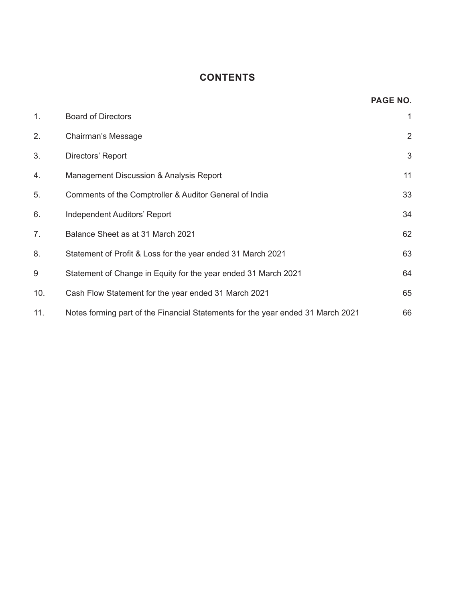# **CONTENTS**

| 1.  | <b>Board of Directors</b>                                                       | $\mathbf{1}$ |
|-----|---------------------------------------------------------------------------------|--------------|
| 2.  | Chairman's Message                                                              | 2            |
| 3.  | Directors' Report                                                               | 3            |
| 4.  | <b>Management Discussion &amp; Analysis Report</b>                              | 11           |
| 5.  | Comments of the Comptroller & Auditor General of India                          | 33           |
| 6.  | Independent Auditors' Report                                                    | 34           |
| 7.  | Balance Sheet as at 31 March 2021                                               | 62           |
| 8.  | Statement of Profit & Loss for the year ended 31 March 2021                     | 63           |
| 9   | Statement of Change in Equity for the year ended 31 March 2021                  | 64           |
| 10. | Cash Flow Statement for the year ended 31 March 2021                            | 65           |
| 11. | Notes forming part of the Financial Statements for the year ended 31 March 2021 | 66           |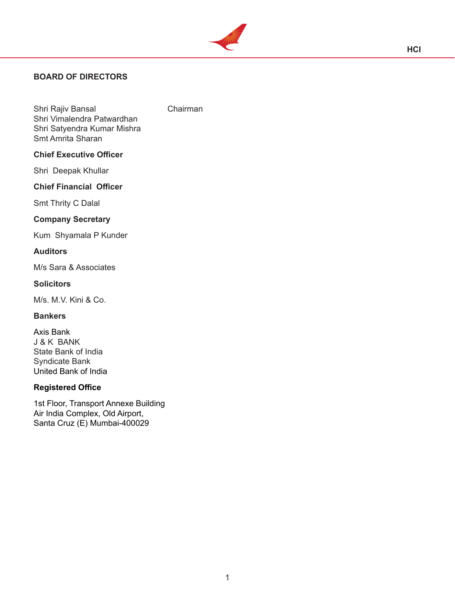

# **BOARD OF DIRECTORS**

Shri Rajiv Bansal Chairman Shri Vimalendra Patwardhan Shri Satyendra Kumar Mishra Smt Amrita Sharan

### **Chief Executive Officer**

Shri Deepak Khullar

### **Chief Financial Officer**

Smt Thrity C Dalal

### **Company Secretary**

Kum Shyamala P Kunder

### **Auditors**

M/s Sara & Associates

### **Solicitors**

M/s. M.V. Kini & Co.

# **Bankers**

Axis Bank J & K BANK State Bank of India Syndicate Bank United Bank of India

### **Registered Office**

1st Floor, Transport Annexe Building Air India Complex, Old Airport, Santa Cruz (E) Mumbai-400029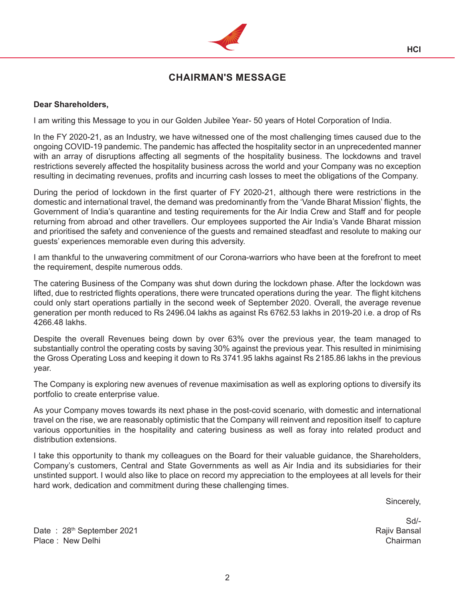

# **CHAIRMAN'S MESSAGE**

### **Dear Shareholders,**

I am writing this Message to you in our Golden Jubilee Year- 50 years of Hotel Corporation of India.

In the FY 2020-21, as an Industry, we have witnessed one of the most challenging times caused due to the ongoing COVID-19 pandemic. The pandemic has affected the hospitality sector in an unprecedented manner with an array of disruptions affecting all segments of the hospitality business. The lockdowns and travel restrictions severely affected the hospitality business across the world and your Company was no exception resulting in decimating revenues, profits and incurring cash losses to meet the obligations of the Company.

During the period of lockdown in the first quarter of FY 2020-21, although there were restrictions in the domestic and international travel, the demand was predominantly from the 'Vande Bharat Mission' flights, the Government of India's quarantine and testing requirements for the Air India Crew and Staff and for people returning from abroad and other travellers. Our employees supported the Air India's Vande Bharat mission and prioritised the safety and convenience of the guests and remained steadfast and resolute to making our guests' experiences memorable even during this adversity.

I am thankful to the unwavering commitment of our Corona-warriors who have been at the forefront to meet the requirement, despite numerous odds.

The catering Business of the Company was shut down during the lockdown phase. After the lockdown was lifted, due to restricted flights operations, there were truncated operations during the year. The flight kitchens could only start operations partially in the second week of September 2020. Overall, the average revenue generation per month reduced to Rs 2496.04 lakhs as against Rs 6762.53 lakhs in 2019-20 i.e. a drop of Rs 4266.48 lakhs.

Despite the overall Revenues being down by over 63% over the previous year, the team managed to substantially control the operating costs by saving 30% against the previous year. This resulted in minimising the Gross Operating Loss and keeping it down to Rs 3741.95 lakhs against Rs 2185.86 lakhs in the previous year.

The Company is exploring new avenues of revenue maximisation as well as exploring options to diversify its portfolio to create enterprise value.

As your Company moves towards its next phase in the post-covid scenario, with domestic and international travel on the rise, we are reasonably optimistic that the Company will reinvent and reposition itself to capture various opportunities in the hospitality and catering business as well as foray into related product and distribution extensions.

I take this opportunity to thank my colleagues on the Board for their valuable guidance, the Shareholders, Company's customers, Central and State Governments as well as Air India and its subsidiaries for their unstinted support. I would also like to place on record my appreciation to the employees at all levels for their hard work, dedication and commitment during these challenging times.

Sincerely,

**HCI**

Sd/-

Date : 28<sup>th</sup> September 2021 **Rajiv Bansal** Bansal Bansal Bansal Bansal Bansal Bansal Bansal Bansal Bansal Bansal Place : New Delhi Chairman - Chairman - Chairman - Chairman - Chairman - Chairman - Chairman - Chairman - Chairman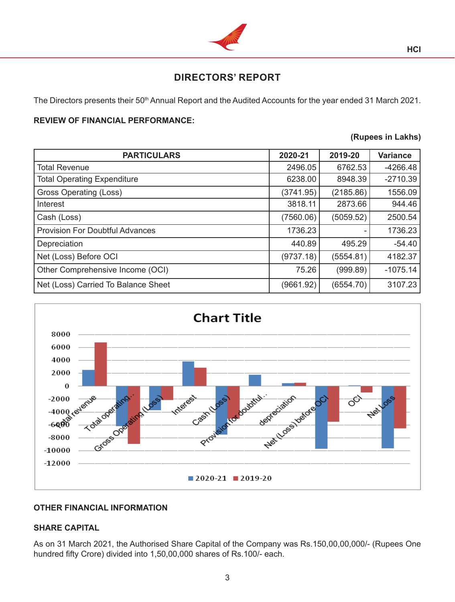

# **DIRECTORS' REPORT**

The Directors presents their 50<sup>th</sup> Annual Report and the Audited Accounts for the year ended 31 March 2021.

### **REVIEW OF FINANCIAL PERFORMANCE:**

**(Rupees in Lakhs)**

| <b>PARTICULARS</b>                     | 2020-21   | 2019-20   | <b>Variance</b> |
|----------------------------------------|-----------|-----------|-----------------|
| <b>Total Revenue</b>                   | 2496.05   | 6762.53   | $-4266.48$      |
| <b>Total Operating Expenditure</b>     | 6238.00   | 8948.39   | $-2710.39$      |
| Gross Operating (Loss)                 | (3741.95) | (2185.86) | 1556.09         |
| Interest                               | 3818.11   | 2873.66   | 944.46          |
| Cash (Loss)                            | (7560.06) | (5059.52) | 2500.54         |
| <b>Provision For Doubtful Advances</b> | 1736.23   |           | 1736.23         |
| Depreciation                           | 440.89    | 495.29    | $-54.40$        |
| Net (Loss) Before OCI                  | (9737.18) | (5554.81) | 4182.37         |
| Other Comprehensive Income (OCI)       | 75.26     | (999.89)  | $-1075.14$      |
| Net (Loss) Carried To Balance Sheet    | (9661.92) | (6554.70) | 3107.23         |



# **OTHER FINANCIAL INFORMATION**

# **SHARE CAPITAL**

As on 31 March 2021, the Authorised Share Capital of the Company was Rs.150,00,00,000/- (Rupees One hundred fifty Crore) divided into 1,50,00,000 shares of Rs.100/- each.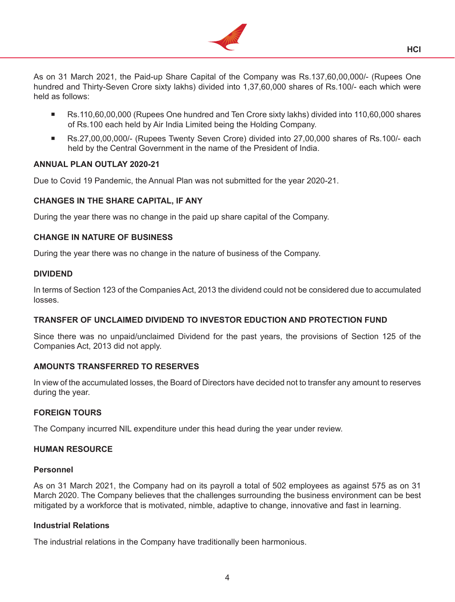

As on 31 March 2021, the Paid-up Share Capital of the Company was Rs.137,60,00,000/- (Rupees One hundred and Thirty-Seven Crore sixty lakhs) divided into 1,37,60,000 shares of Rs.100/- each which were held as follows:

- Rs.110,60,00,000 (Rupees One hundred and Ten Crore sixty lakhs) divided into 110,60,000 shares of Rs.100 each held by Air India Limited being the Holding Company.
- Rs.27,00,00,000/- (Rupees Twenty Seven Crore) divided into 27,00,000 shares of Rs.100/- each held by the Central Government in the name of the President of India.

### **ANNUAL PLAN OUTLAY 2020-21**

Due to Covid 19 Pandemic, the Annual Plan was not submitted for the year 2020-21.

#### **CHANGES IN THE SHARE CAPITAL, IF ANY**

During the year there was no change in the paid up share capital of the Company.

#### **CHANGE IN NATURE OF BUSINESS**

During the year there was no change in the nature of business of the Company.

#### **DIVIDEND**

In terms of Section 123 of the Companies Act, 2013 the dividend could not be considered due to accumulated losses.

### **TRANSFER OF UNCLAIMED DIVIDEND TO INVESTOR EDUCTION AND PROTECTION FUND**

Since there was no unpaid/unclaimed Dividend for the past years, the provisions of Section 125 of the Companies Act, 2013 did not apply.

### **AMOUNTS TRANSFERRED TO RESERVES**

In view of the accumulated losses, the Board of Directors have decided not to transfer any amount to reserves during the year.

### **FOREIGN TOURS**

The Company incurred NIL expenditure under this head during the year under review.

#### **HUMAN RESOURCE**

#### **Personnel**

As on 31 March 2021, the Company had on its payroll a total of 502 employees as against 575 as on 31 March 2020. The Company believes that the challenges surrounding the business environment can be best mitigated by a workforce that is motivated, nimble, adaptive to change, innovative and fast in learning.

#### **Industrial Relations**

The industrial relations in the Company have traditionally been harmonious.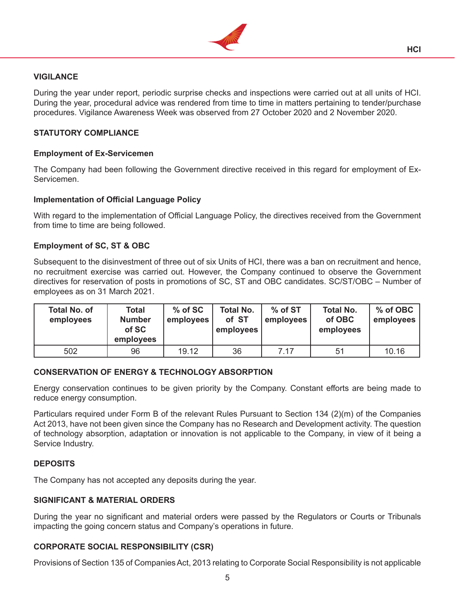

### **VIGILANCE**

During the year under report, periodic surprise checks and inspections were carried out at all units of HCI. During the year, procedural advice was rendered from time to time in matters pertaining to tender/purchase procedures. Vigilance Awareness Week was observed from 27 October 2020 and 2 November 2020.

### **STATUTORY COMPLIANCE**

### **Employment of Ex-Servicemen**

The Company had been following the Government directive received in this regard for employment of Ex-Servicemen.

### **Implementation of Official Language Policy**

With regard to the implementation of Official Language Policy, the directives received from the Government from time to time are being followed.

### **Employment of SC, ST & OBC**

Subsequent to the disinvestment of three out of six Units of HCI, there was a ban on recruitment and hence, no recruitment exercise was carried out. However, the Company continued to observe the Government directives for reservation of posts in promotions of SC, ST and OBC candidates. SC/ST/OBC – Number of employees as on 31 March 2021.

| <b>Total No. of</b><br>employees | <b>Total</b><br><b>Number</b><br>of SC<br>employees | % of SC<br>employees | <b>Total No.</b><br>of ST<br>employees | $%$ of ST<br>employees | <b>Total No.</b><br>of OBC<br>employees | % of OBC<br>employees |
|----------------------------------|-----------------------------------------------------|----------------------|----------------------------------------|------------------------|-----------------------------------------|-----------------------|
| 502                              | 96                                                  | 19.12                | 36                                     | 7.17                   | 51                                      | 10.16                 |

### **CONSERVATION OF ENERGY & TECHNOLOGY ABSORPTION**

Energy conservation continues to be given priority by the Company. Constant efforts are being made to reduce energy consumption.

Particulars required under Form B of the relevant Rules Pursuant to Section 134 (2)(m) of the Companies Act 2013, have not been given since the Company has no Research and Development activity. The question of technology absorption, adaptation or innovation is not applicable to the Company, in view of it being a Service Industry.

### **DEPOSITS**

The Company has not accepted any deposits during the year.

### **SIGNIFICANT & MATERIAL ORDERS**

During the year no significant and material orders were passed by the Regulators or Courts or Tribunals impacting the going concern status and Company's operations in future.

# **CORPORATE SOCIAL RESPONSIBILITY (CSR)**

Provisions of Section 135 of Companies Act, 2013 relating to Corporate Social Responsibility is not applicable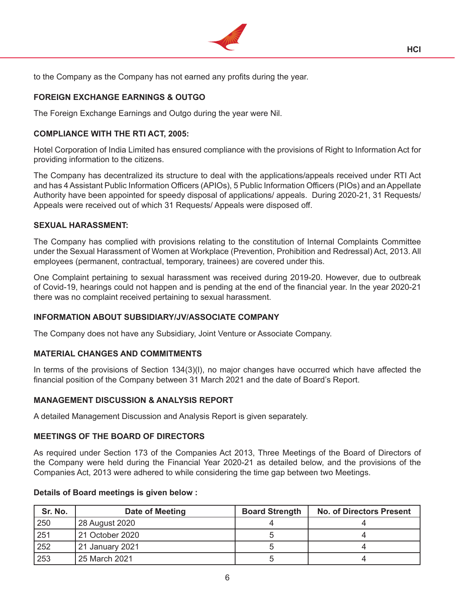

to the Company as the Company has not earned any profits during the year.

# **FOREIGN EXCHANGE EARNINGS & OUTGO**

The Foreign Exchange Earnings and Outgo during the year were Nil.

# **COMPLIANCE WITH THE RTI ACT, 2005:**

Hotel Corporation of India Limited has ensured compliance with the provisions of Right to Information Act for providing information to the citizens.

The Company has decentralized its structure to deal with the applications/appeals received under RTI Act and has 4 Assistant Public Information Officers (APIOs), 5 Public Information Officers (PIOs) and an Appellate Authority have been appointed for speedy disposal of applications/ appeals. During 2020-21, 31 Requests/ Appeals were received out of which 31 Requests/ Appeals were disposed off.

# **SEXUAL HARASSMENT:**

The Company has complied with provisions relating to the constitution of Internal Complaints Committee under the Sexual Harassment of Women at Workplace (Prevention, Prohibition and Redressal) Act, 2013. All employees (permanent, contractual, temporary, trainees) are covered under this.

One Complaint pertaining to sexual harassment was received during 2019-20. However, due to outbreak of Covid-19, hearings could not happen and is pending at the end of the financial year. In the year 2020-21 there was no complaint received pertaining to sexual harassment.

# **INFORMATION ABOUT SUBSIDIARY/JV/ASSOCIATE COMPANY**

The Company does not have any Subsidiary, Joint Venture or Associate Company.

# **MATERIAL CHANGES AND COMMITMENTS**

In terms of the provisions of Section 134(3)(l), no major changes have occurred which have affected the financial position of the Company between 31 March 2021 and the date of Board's Report.

# **MANAGEMENT DISCUSSION & ANALYSIS REPORT**

A detailed Management Discussion and Analysis Report is given separately.

# **MEETINGS OF THE BOARD OF DIRECTORS**

As required under Section 173 of the Companies Act 2013, Three Meetings of the Board of Directors of the Company were held during the Financial Year 2020-21 as detailed below, and the provisions of the Companies Act, 2013 were adhered to while considering the time gap between two Meetings.

### **Details of Board meetings is given below :**

| Sr. No. | Date of Meeting | <b>Board Strength</b> | <b>No. of Directors Present</b> |
|---------|-----------------|-----------------------|---------------------------------|
| 250     | 28 August 2020  |                       |                                 |
| .251    | 21 October 2020 |                       |                                 |
| 252     | 21 January 2021 |                       |                                 |
| 253     | 25 March 2021   |                       |                                 |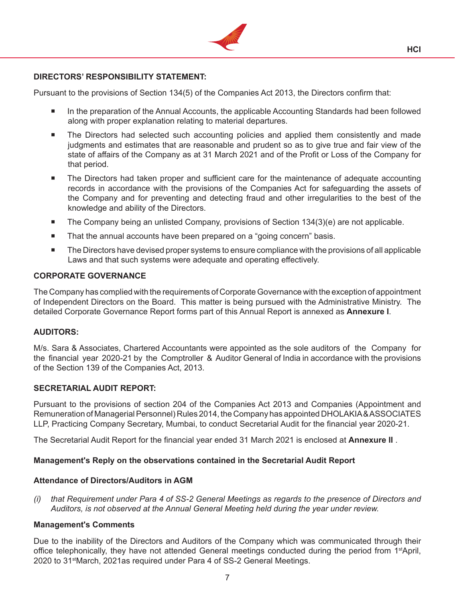

# **DIRECTORS' RESPONSIBILITY STATEMENT:**

Pursuant to the provisions of Section 134(5) of the Companies Act 2013, the Directors confirm that:

- In the preparation of the Annual Accounts, the applicable Accounting Standards had been followed along with proper explanation relating to material departures.
- The Directors had selected such accounting policies and applied them consistently and made judgments and estimates that are reasonable and prudent so as to give true and fair view of the state of affairs of the Company as at 31 March 2021 and of the Profit or Loss of the Company for that period.
- The Directors had taken proper and sufficient care for the maintenance of adequate accounting records in accordance with the provisions of the Companies Act for safeguarding the assets of the Company and for preventing and detecting fraud and other irregularities to the best of the knowledge and ability of the Directors.
- The Company being an unlisted Company, provisions of Section 134(3)(e) are not applicable.
- That the annual accounts have been prepared on a "going concern" basis.
- **The Directors have devised proper systems to ensure compliance with the provisions of all applicable** Laws and that such systems were adequate and operating effectively.

### **CORPORATE GOVERNANCE**

The Company has complied with the requirements of Corporate Governance with the exception of appointment of Independent Directors on the Board. This matter is being pursued with the Administrative Ministry. The detailed Corporate Governance Report forms part of this Annual Report is annexed as **Annexure I**.

### **AUDITORS:**

M/s. Sara & Associates, Chartered Accountants were appointed as the sole auditors of the Company for the financial year 2020-21 by the Comptroller & Auditor General of India in accordance with the provisions of the Section 139 of the Companies Act, 2013.

### **SECRETARIAL AUDIT REPORT:**

Pursuant to the provisions of section 204 of the Companies Act 2013 and Companies (Appointment and Remuneration of ManagerialPersonnel) Rules 2014, the Company has appointed DHOLAKIA&ASSOCIATES LLP, Practicing Company Secretary, Mumbai, to conduct Secretarial Audit for the financial year 2020-21.

The Secretarial Audit Report for the financial year ended 31 March 2021 is enclosed at **Annexure II** .

### **Management's Reply on the observations contained in the Secretarial Audit Report**

#### **Attendance of Directors/Auditors in AGM**

*(i) that Requirement under Para 4 of SS-2 General Meetings as regards to the presence of Directors and Auditors, is not observed at the Annual General Meeting held during the year under review.*

#### **Management's Comments**

Due to the inability of the Directors and Auditors of the Company which was communicated through their office telephonically, they have not attended General meetings conducted during the period from 1<sup>st</sup>April, 2020 to 31<sup>st</sup>March, 2021as required under Para 4 of SS-2 General Meetings.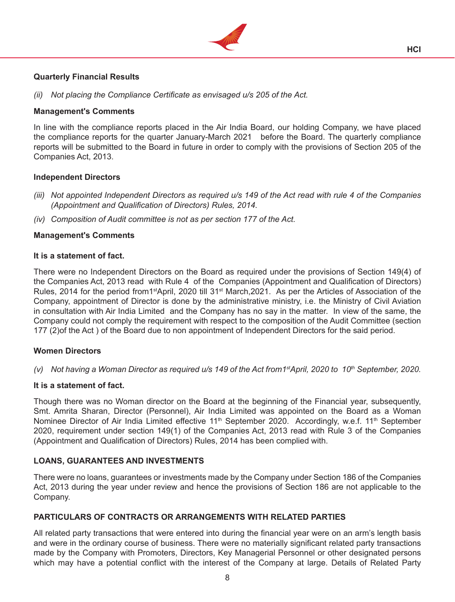

# **Quarterly Financial Results**

*(ii) Not placing the Compliance Certificate as envisaged u/s 205 of the Act.*

### **Management's Comments**

In line with the compliance reports placed in the Air India Board, our holding Company, we have placed the compliance reports for the quarter January-March 2021 before the Board. The quarterly compliance reports will be submitted to the Board in future in order to comply with the provisions of Section 205 of the Companies Act, 2013.

### **Independent Directors**

- (iii) Not appointed Independent Directors as required u/s 149 of the Act read with rule 4 of the Companies *(Appointment and Qualification of Directors) Rules, 2014.*
- *(iv) Composition of Audit committee is not as per section 177 of the Act.*

### **Management's Comments**

### **It is a statement of fact.**

There were no Independent Directors on the Board as required under the provisions of Section 149(4) of the Companies Act, 2013 read with Rule 4 of the Companies (Appointment and Qualification of Directors) Rules, 2014 for the period from1<sup>st</sup>April, 2020 till 31<sup>st</sup> March, 2021. As per the Articles of Association of the Company, appointment of Director is done by the administrative ministry, i.e. the Ministry of Civil Aviation in consultation with Air India Limited and the Company has no say in the matter. In view of the same, the Company could not comply the requirement with respect to the composition of the Audit Committee (section 177 (2)of the Act ) of the Board due to non appointment of Independent Directors for the said period.

# **Women Directors**

(v) Not having a Woman Director as required u/s 149 of the Act from 1st April, 2020 to 10th September, 2020.

### **It is a statement of fact.**

Though there was no Woman director on the Board at the beginning of the Financial year, subsequently, Smt. Amrita Sharan, Director (Personnel), Air India Limited was appointed on the Board as a Woman Nominee Director of Air India Limited effective 11<sup>th</sup> September 2020. Accordingly, w.e.f. 11<sup>th</sup> September 2020, requirement under section 149(1) of the Companies Act, 2013 read with Rule 3 of the Companies (Appointment and Qualification of Directors) Rules, 2014 has been complied with.

# **LOANS, GUARANTEES AND INVESTMENTS**

There were no loans, guarantees or investments made by the Company under Section 186 of the Companies Act, 2013 during the year under review and hence the provisions of Section 186 are not applicable to the Company.

# **PARTICULARS OF CONTRACTS OR ARRANGEMENTS WITH RELATED PARTIES**

All related party transactions that were entered into during the financial year were on an arm's length basis and were in the ordinary course of business. There were no materially significant related party transactions made by the Company with Promoters, Directors, Key Managerial Personnel or other designated persons which may have a potential conflict with the interest of the Company at large. Details of Related Party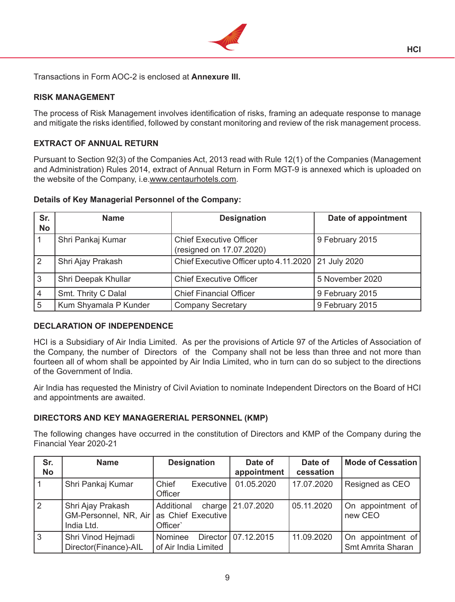

Transactions in Form AOC-2 is enclosed at **Annexure III.**

# **RISK MANAGEMENT**

The process of Risk Management involves identification of risks, framing an adequate response to manage and mitigate the risks identified, followed by constant monitoring and review of the risk management process.

# **EXTRACT OF ANNUAL RETURN**

Pursuant to Section 92(3) of the Companies Act, 2013 read with Rule 12(1) of the Companies (Management and Administration) Rules 2014, extract of Annual Return in Form MGT-9 is annexed which is uploaded on the website of the Company, i.e.www.centaurhotels.com.

|  |  |  | Details of Key Managerial Personnel of the Company: |
|--|--|--|-----------------------------------------------------|
|--|--|--|-----------------------------------------------------|

| Sr.<br><b>No</b> | <b>Name</b>           | <b>Designation</b>                                         | Date of appointment |
|------------------|-----------------------|------------------------------------------------------------|---------------------|
|                  | Shri Pankaj Kumar     | <b>Chief Executive Officer</b><br>(resigned on 17.07.2020) | 9 February 2015     |
| $\overline{2}$   | Shri Ajay Prakash     | Chief Executive Officer upto 4.11.2020   21 July 2020      |                     |
| 13               | Shri Deepak Khullar   | <b>Chief Executive Officer</b>                             | 5 November 2020     |
| 4                | Smt. Thrity C Dalal   | <b>Chief Financial Officer</b>                             | 9 February 2015     |
| 5                | Kum Shyamala P Kunder | <b>Company Secretary</b>                                   | 9 February 2015     |

# **DECLARATION OF INDEPENDENCE**

HCI is a Subsidiary of Air India Limited. As per the provisions of Article 97 of the Articles of Association of the Company, the number of Directors of the Company shall not be less than three and not more than fourteen all of whom shall be appointed by Air India Limited, who in turn can do so subject to the directions of the Government of India.

Air India has requested the Ministry of Civil Aviation to nominate Independent Directors on the Board of HCI and appointments are awaited.

# **DIRECTORS AND KEY MANAGERERIAL PERSONNEL (KMP)**

The following changes have occurred in the constitution of Directors and KMP of the Company during the Financial Year 2020-21

| Sr.          | <b>Name</b>                                              | <b>Designation</b>                          | Date of               | Date of    | Mode of Cessation                      |
|--------------|----------------------------------------------------------|---------------------------------------------|-----------------------|------------|----------------------------------------|
| <b>No</b>    |                                                          |                                             | appointment           | cessation  |                                        |
|              | Shri Pankaj Kumar                                        | Executive<br>Chief<br>Officer               | 01.05.2020            | 17.07.2020 | Resigned as CEO                        |
| $\sqrt{2}$   | Shri Ajay Prakash<br>GM-Personnel, NR, Air<br>India Ltd. | Additional<br>as Chief Executive<br>Officer | charge   21.07.2020   | 05.11.2020 | On appointment of<br>new CEO           |
| $\mathbf{3}$ | Shri Vinod Hejmadi<br>Director(Finance)-AIL              | Nominee<br>of Air India Limited             | Director   07.12.2015 | 11.09.2020 | On appointment of<br>Smt Amrita Sharan |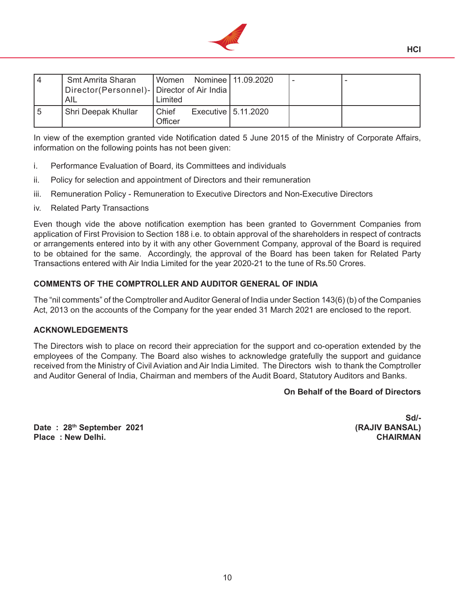

| 4  | Smt Amrita Sharan                           | Women            | Nominee   11.09.2020  |  |
|----|---------------------------------------------|------------------|-----------------------|--|
|    | Director(Personnel) - Director of Air India |                  |                       |  |
|    | `AIL                                        | Limited          |                       |  |
| 5، | Shri Deepak Khullar                         | Chief<br>Officer | Executive   5.11.2020 |  |

In view of the exemption granted vide Notification dated 5 June 2015 of the Ministry of Corporate Affairs, information on the following points has not been given:

- i. Performance Evaluation of Board, its Committees and individuals
- ii. Policy for selection and appointment of Directors and their remuneration
- iii. Remuneration Policy Remuneration to Executive Directors and Non-Executive Directors
- iv. Related Party Transactions

Even though vide the above notification exemption has been granted to Government Companies from application of First Provision to Section 188 i.e. to obtain approval of the shareholders in respect of contracts or arrangements entered into by it with any other Government Company, approval of the Board is required to be obtained for the same. Accordingly, the approval of the Board has been taken for Related Party Transactions entered with Air India Limited for the year 2020-21 to the tune of Rs.50 Crores.

# **COMMENTS OF THE COMPTROLLER AND AUDITOR GENERAL OF INDIA**

The "nil comments" of the Comptroller and Auditor General of India under Section 143(6) (b) of the Companies Act, 2013 on the accounts of the Company for the year ended 31 March 2021 are enclosed to the report.

### **ACKNOWLEDGEMENTS**

The Directors wish to place on record their appreciation for the support and co-operation extended by the employees of the Company. The Board also wishes to acknowledge gratefully the support and guidance received from the Ministry of Civil Aviation and Air India Limited. The Directors wish to thank the Comptroller and Auditor General of India, Chairman and members of the Audit Board, Statutory Auditors and Banks.

### **On Behalf of the Board of Directors**

**Date : 28th September 2021 (RAJIV BANSAL) Place : New Delhi.** 

**Sd/-**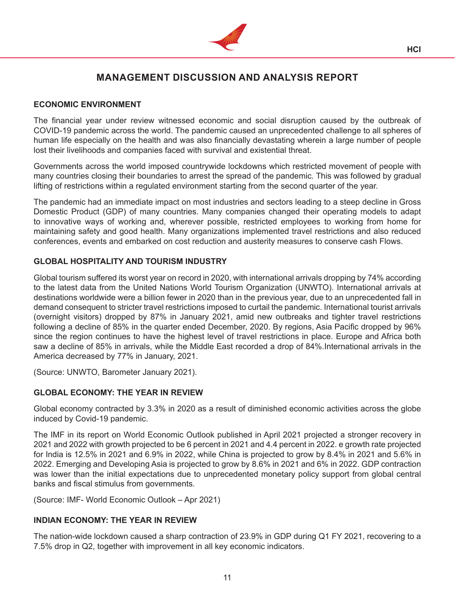

# **MANAGEMENT DISCUSSION AND ANALYSIS REPORT**

### **ECONOMIC ENVIRONMENT**

The financial year under review witnessed economic and social disruption caused by the outbreak of COVID-19 pandemic across the world. The pandemic caused an unprecedented challenge to all spheres of human life especially on the health and was also financially devastating wherein a large number of people lost their livelihoods and companies faced with survival and existential threat.

Governments across the world imposed countrywide lockdowns which restricted movement of people with many countries closing their boundaries to arrest the spread of the pandemic. This was followed by gradual lifting of restrictions within a regulated environment starting from the second quarter of the year.

The pandemic had an immediate impact on most industries and sectors leading to a steep decline in Gross Domestic Product (GDP) of many countries. Many companies changed their operating models to adapt to innovative ways of working and, wherever possible, restricted employees to working from home for maintaining safety and good health. Many organizations implemented travel restrictions and also reduced conferences, events and embarked on cost reduction and austerity measures to conserve cash Flows.

### **GLOBAL HOSPITALITY AND TOURISM INDUSTRY**

Global tourism suffered its worst year on record in 2020, with international arrivals dropping by 74% according to the latest data from the United Nations World Tourism Organization (UNWTO). International arrivals at destinations worldwide were a billion fewer in 2020 than in the previous year, due to an unprecedented fall in demand consequent to stricter travel restrictions imposed to curtail the pandemic. International tourist arrivals (overnight visitors) dropped by 87% in January 2021, amid new outbreaks and tighter travel restrictions following a decline of 85% in the quarter ended December, 2020. By regions, Asia Pacific dropped by 96% since the region continues to have the highest level of travel restrictions in place. Europe and Africa both saw a decline of 85% in arrivals, while the Middle East recorded a drop of 84%.International arrivals in the America decreased by 77% in January, 2021.

(Source: UNWTO, Barometer January 2021).

### **GLOBAL ECONOMY: THE YEAR IN REVIEW**

Global economy contracted by 3.3% in 2020 as a result of diminished economic activities across the globe induced by Covid-19 pandemic.

The IMF in its report on World Economic Outlook published in April 2021 projected a stronger recovery in 2021 and 2022 with growth projected to be 6 percent in 2021 and 4.4 percent in 2022. e growth rate projected for India is 12.5% in 2021 and 6.9% in 2022, while China is projected to grow by 8.4% in 2021 and 5.6% in 2022. Emerging and Developing Asia is projected to grow by 8.6% in 2021 and 6% in 2022. GDP contraction was lower than the initial expectations due to unprecedented monetary policy support from global central banks and fiscal stimulus from governments.

(Source: IMF- World Economic Outlook – Apr 2021)

# **INDIAN ECONOMY: THE YEAR IN REVIEW**

The nation-wide lockdown caused a sharp contraction of 23.9% in GDP during Q1 FY 2021, recovering to a 7.5% drop in Q2, together with improvement in all key economic indicators.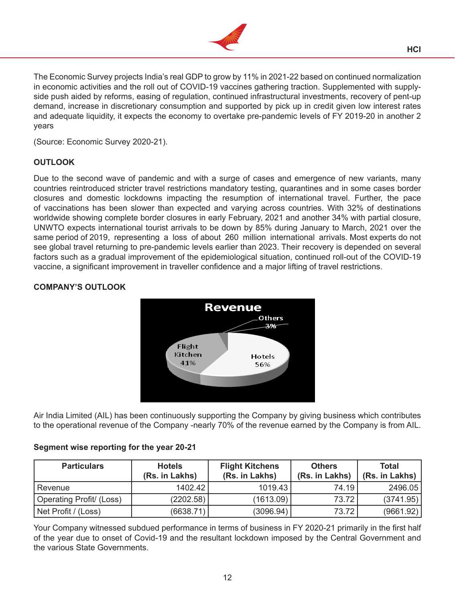

The Economic Survey projects India's real GDP to grow by 11% in 2021-22 based on continued normalization in economic activities and the roll out of COVID-19 vaccines gathering traction. Supplemented with supplyside push aided by reforms, easing of regulation, continued infrastructural investments, recovery of pent-up demand, increase in discretionary consumption and supported by pick up in credit given low interest rates and adequate liquidity, it expects the economy to overtake pre-pandemic levels of FY 2019-20 in another 2 years

(Source: Economic Survey 2020-21).

# **OUTLOOK**

Due to the second wave of pandemic and with a surge of cases and emergence of new variants, many countries reintroduced stricter travel restrictions mandatory testing, quarantines and in some cases border closures and domestic lockdowns impacting the resumption of international travel. Further, the pace of vaccinations has been slower than expected and varying across countries. With 32% of destinations worldwide showing complete border closures in early February, 2021 and another 34% with partial closure, UNWTO expects international tourist arrivals to be down by 85% during January to March, 2021 over the same period of 2019, representing a loss of about 260 million international arrivals. Most experts do not see global travel returning to pre-pandemic levels earlier than 2023. Their recovery is depended on several factors such as a gradual improvement of the epidemiological situation, continued roll-out of the COVID-19 vaccine, a significant improvement in traveller confidence and a major lifting of travel restrictions.

# **COMPANY'S OUTLOOK**



Air India Limited (AIL) has been continuously supporting the Company by giving business which contributes to the operational revenue of the Company -nearly 70% of the revenue earned by the Company is from AIL.

# **Segment wise reporting for the year 20-21**

| <b>Particulars</b>       | <b>Hotels</b><br>(Rs. in Lakhs) | <b>Flight Kitchens</b><br>(Rs. in Lakhs) | <b>Others</b><br>(Rs. in Lakhs) | <b>Total</b><br>(Rs. in Lakhs) |
|--------------------------|---------------------------------|------------------------------------------|---------------------------------|--------------------------------|
| Revenue                  | 1402.42                         | 1019.43                                  | 74.19                           | 2496.05                        |
| Operating Profit/ (Loss) | (2202.58)                       | (1613.09)                                | 73.72                           | (3741.95)                      |
| Net Profit / (Loss)      | (6638.71)                       | (3096.94)                                | 73.72                           | (9661.92)                      |

Your Company witnessed subdued performance in terms of business in FY 2020-21 primarily in the first half of the year due to onset of Covid-19 and the resultant lockdown imposed by the Central Government and the various State Governments.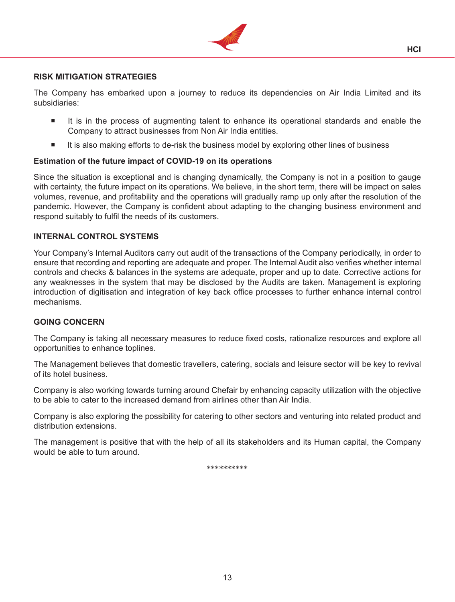

### **RISK MITIGATION STRATEGIES**

The Company has embarked upon a journey to reduce its dependencies on Air India Limited and its subsidiaries:

- It is in the process of augmenting talent to enhance its operational standards and enable the Company to attract businesses from Non Air India entities.
- It is also making efforts to de-risk the business model by exploring other lines of business

### **Estimation of the future impact of COVID-19 on its operations**

Since the situation is exceptional and is changing dynamically, the Company is not in a position to gauge with certainty, the future impact on its operations. We believe, in the short term, there will be impact on sales volumes, revenue, and profitability and the operations will gradually ramp up only after the resolution of the pandemic. However, the Company is confident about adapting to the changing business environment and respond suitably to fulfil the needs of its customers.

### **INTERNAL CONTROL SYSTEMS**

Your Company's Internal Auditors carry out audit of the transactions of the Company periodically, in order to ensure that recording and reporting are adequate and proper. The Internal Audit also verifies whether internal controls and checks & balances in the systems are adequate, proper and up to date. Corrective actions for any weaknesses in the system that may be disclosed by the Audits are taken. Management is exploring introduction of digitisation and integration of key back office processes to further enhance internal control mechanisms.

### **GOING CONCERN**

The Company is taking all necessary measures to reduce fixed costs, rationalize resources and explore all opportunities to enhance toplines.

The Management believes that domestic travellers, catering, socials and leisure sector will be key to revival of its hotel business.

Company is also working towards turning around Chefair by enhancing capacity utilization with the objective to be able to cater to the increased demand from airlines other than Air India.

Company is also exploring the possibility for catering to other sectors and venturing into related product and distribution extensions.

The management is positive that with the help of all its stakeholders and its Human capital, the Company would be able to turn around.

\*\*\*\*\*\*\*\*\*\*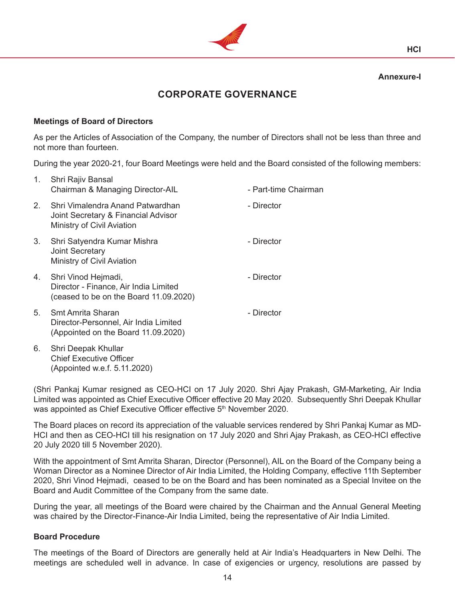

**Annexure-I**

**HCI**

# **CORPORATE GOVERNANCE**

### **Meetings of Board of Directors**

 Chief Executive Officer (Appointed w.e.f. 5.11.2020)

As per the Articles of Association of the Company, the number of Directors shall not be less than three and not more than fourteen.

During the year 2020-21, four Board Meetings were held and the Board consisted of the following members:

| 1. | Shri Rajiv Bansal<br>Chairman & Managing Director-AIL                                                  | - Part-time Chairman |
|----|--------------------------------------------------------------------------------------------------------|----------------------|
| 2. | Shri Vimalendra Anand Patwardhan<br>Joint Secretary & Financial Advisor<br>Ministry of Civil Aviation  | - Director           |
| 3. | Shri Satyendra Kumar Mishra<br><b>Joint Secretary</b><br>Ministry of Civil Aviation                    | - Director           |
| 4. | Shri Vinod Hejmadi,<br>Director - Finance, Air India Limited<br>(ceased to be on the Board 11.09.2020) | - Director           |
| 5. | Smt Amrita Sharan<br>Director-Personnel, Air India Limited<br>(Appointed on the Board 11.09.2020)      | - Director           |
| 6. | Shri Deepak Khullar                                                                                    |                      |

(Shri Pankaj Kumar resigned as CEO-HCI on 17 July 2020. Shri Ajay Prakash, GM-Marketing, Air India Limited was appointed as Chief Executive Officer effective 20 May 2020. Subsequently Shri Deepak Khullar was appointed as Chief Executive Officer effective 5<sup>th</sup> November 2020.

The Board places on record its appreciation of the valuable services rendered by Shri Pankaj Kumar as MD-HCI and then as CEO-HCI till his resignation on 17 July 2020 and Shri Ajay Prakash, as CEO-HCI effective 20 July 2020 till 5 November 2020).

With the appointment of Smt Amrita Sharan, Director (Personnel), AIL on the Board of the Company being a Woman Director as a Nominee Director of Air India Limited, the Holding Company, effective 11th September 2020, Shri Vinod Hejmadi, ceased to be on the Board and has been nominated as a Special Invitee on the Board and Audit Committee of the Company from the same date.

During the year, all meetings of the Board were chaired by the Chairman and the Annual General Meeting was chaired by the Director-Finance-Air India Limited, being the representative of Air India Limited.

### **Board Procedure**

The meetings of the Board of Directors are generally held at Air India's Headquarters in New Delhi. The meetings are scheduled well in advance. In case of exigencies or urgency, resolutions are passed by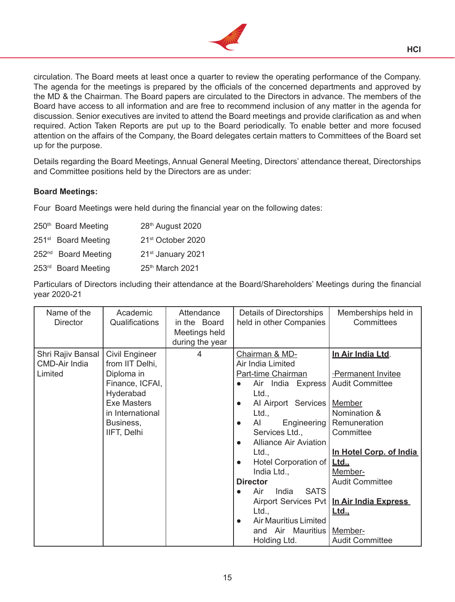

circulation. The Board meets at least once a quarter to review the operating performance of the Company. The agenda for the meetings is prepared by the officials of the concerned departments and approved by the MD & the Chairman. The Board papers are circulated to the Directors in advance. The members of the Board have access to all information and are free to recommend inclusion of any matter in the agenda for discussion. Senior executives are invited to attend the Board meetings and provide clarification as and when required. Action Taken Reports are put up to the Board periodically. To enable better and more focused attention on the affairs of the Company, the Board delegates certain matters to Committees of the Board set up for the purpose.

Details regarding the Board Meetings, Annual General Meeting, Directors' attendance thereat, Directorships and Committee positions held by the Directors are as under:

# **Board Meetings:**

Four Board Meetings were held during the financial year on the following dates:

| 250 <sup>th</sup> Board Meeting | 28th August 2020              |
|---------------------------------|-------------------------------|
| 251 <sup>st</sup> Board Meeting | 21 <sup>st</sup> October 2020 |
| 252 <sup>nd</sup> Board Meeting | 21 <sup>st</sup> January 2021 |
| 253 <sup>rd</sup> Board Meeting | 25th March 2021               |

Particulars of Directors including their attendance at the Board/Shareholders' Meetings during the financial year 2020-21

| Name of the<br><b>Director</b>                       | Academic<br>Qualifications                                                                                                                                   | Attendance<br>in the Board<br>Meetings held<br>during the year | Details of Directorships<br>held in other Companies                                                                                                                                                                                                                                                                                                                                                                                                                                             | Memberships held in<br>Committees                                                                                                                                                                                                                                                            |
|------------------------------------------------------|--------------------------------------------------------------------------------------------------------------------------------------------------------------|----------------------------------------------------------------|-------------------------------------------------------------------------------------------------------------------------------------------------------------------------------------------------------------------------------------------------------------------------------------------------------------------------------------------------------------------------------------------------------------------------------------------------------------------------------------------------|----------------------------------------------------------------------------------------------------------------------------------------------------------------------------------------------------------------------------------------------------------------------------------------------|
| Shri Rajiv Bansal<br><b>CMD-Air India</b><br>Limited | <b>Civil Engineer</b><br>from IIT Delhi,<br>Diploma in<br>Finance, ICFAI,<br>Hyderabad<br><b>Exe Masters</b><br>in International<br>Business,<br>IIFT, Delhi | 4                                                              | Chairman & MD-<br>Air India Limited<br>Part-time Chairman<br>Air India<br>Express  <br>$\bullet$<br>Ltd.,<br>Al Airport Services<br>$\bullet$<br>Ltd.,<br>Engineering<br>AI<br>$\bullet$<br>Services Ltd.,<br><b>Alliance Air Aviation</b><br>$\bullet$<br>Ltd.,<br>Hotel Corporation of<br>$\bullet$<br>India Ltd.,<br><b>Director</b><br><b>SATS</b><br>India<br>Air<br>$\bullet$<br>Airport Services Pvt<br>Ltd.,<br>Air Mauritius Limited<br>$\bullet$<br>and Air Mauritius<br>Holding Ltd. | In Air India Ltd.<br>-Permanent Invitee<br><b>Audit Committee</b><br><b>Member</b><br>Nomination &<br>Remuneration<br>Committee<br>In Hotel Corp. of India<br><b>Ltd.,</b><br>Member-<br><b>Audit Committee</b><br>In Air India Express<br><b>Ltd.,</b><br>Member-<br><b>Audit Committee</b> |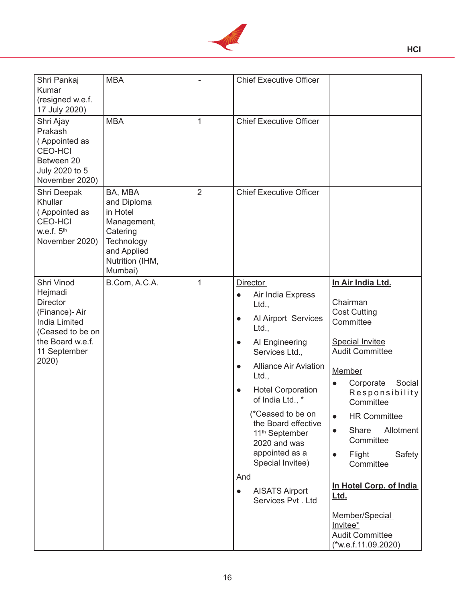

| Shri Pankaj<br>Kumar<br>(resigned w.e.f.<br>17 July 2020)                                                                                           | <b>MBA</b>                                                                                                               |                | <b>Chief Executive Officer</b>                                                                                                                                                                                                                                                                                                                                                                                                                                                |                                                                                                                                                                                                                                                                                                                                                                                                                                                               |
|-----------------------------------------------------------------------------------------------------------------------------------------------------|--------------------------------------------------------------------------------------------------------------------------|----------------|-------------------------------------------------------------------------------------------------------------------------------------------------------------------------------------------------------------------------------------------------------------------------------------------------------------------------------------------------------------------------------------------------------------------------------------------------------------------------------|---------------------------------------------------------------------------------------------------------------------------------------------------------------------------------------------------------------------------------------------------------------------------------------------------------------------------------------------------------------------------------------------------------------------------------------------------------------|
| Shri Ajay<br>Prakash<br>(Appointed as<br><b>CEO-HCI</b><br>Between 20<br>July 2020 to 5<br>November 2020)                                           | <b>MBA</b>                                                                                                               | 1              | <b>Chief Executive Officer</b>                                                                                                                                                                                                                                                                                                                                                                                                                                                |                                                                                                                                                                                                                                                                                                                                                                                                                                                               |
| Shri Deepak<br>Khullar<br>(Appointed as<br><b>CEO-HCI</b><br>w.e.f. 5 <sup>th</sup><br>November 2020)                                               | BA, MBA<br>and Diploma<br>in Hotel<br>Management,<br>Catering<br>Technology<br>and Applied<br>Nutrition (IHM,<br>Mumbai) | $\overline{2}$ | <b>Chief Executive Officer</b>                                                                                                                                                                                                                                                                                                                                                                                                                                                |                                                                                                                                                                                                                                                                                                                                                                                                                                                               |
| Shri Vinod<br>Hejmadi<br><b>Director</b><br>(Finance)- Air<br><b>India Limited</b><br>(Ceased to be on<br>the Board w.e.f.<br>11 September<br>2020) | B.Com, A.C.A.                                                                                                            | $\mathbf{1}$   | <b>Director</b><br>Air India Express<br>$\bullet$<br>Ltd.,<br>Al Airport Services<br>$\bullet$<br>Ltd.,<br>AI Engineering<br>$\bullet$<br>Services Ltd.,<br><b>Alliance Air Aviation</b><br>$\bullet$<br>Ltd.,<br><b>Hotel Corporation</b><br>$\bullet$<br>of India Ltd., *<br>(*Ceased to be on<br>the Board effective<br>11 <sup>th</sup> September<br>2020 and was<br>appointed as a<br>Special Invitee)<br>And<br><b>AISATS Airport</b><br>$\bullet$<br>Services Pvt. Ltd | In Air India Ltd.<br>Chairman<br><b>Cost Cutting</b><br>Committee<br><b>Special Invitee</b><br><b>Audit Committee</b><br>Member<br>Corporate<br>Social<br>$\bullet$<br>Responsibility<br>Committee<br><b>HR Committee</b><br>$\bullet$<br>Share<br>Allotment<br>$\bullet$<br>Committee<br>Flight<br>Safety<br>$\bullet$<br>Committee<br>In Hotel Corp. of India<br><u>Ltd.</u><br>Member/Special<br>Invitee*<br><b>Audit Committee</b><br>(*w.e.f.11.09.2020) |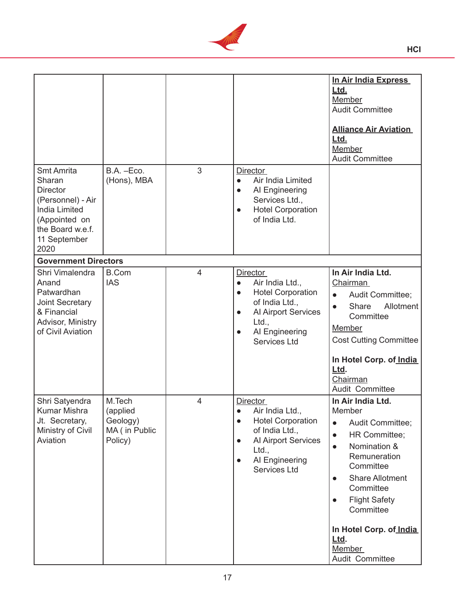

| <b>Smt Amrita</b><br>Sharan<br><b>Director</b><br>(Personnel) - Air<br><b>India Limited</b><br>(Appointed on<br>the Board w.e.f. | B.A. - Eco.<br>(Hons), MBA                                  | 3              | <b>Director</b><br>Air India Limited<br>AI Engineering<br>$\bullet$<br>Services Ltd.,<br><b>Hotel Corporation</b><br>$\bullet$<br>of India Ltd.                                                         | In Air India Express<br><u>Ltd.</u><br>Member<br><b>Audit Committee</b><br><b>Alliance Air Aviation</b><br>Ltd.<br>Member<br><b>Audit Committee</b>                                                                                                                                                                                 |
|----------------------------------------------------------------------------------------------------------------------------------|-------------------------------------------------------------|----------------|---------------------------------------------------------------------------------------------------------------------------------------------------------------------------------------------------------|-------------------------------------------------------------------------------------------------------------------------------------------------------------------------------------------------------------------------------------------------------------------------------------------------------------------------------------|
| 11 September<br>2020                                                                                                             |                                                             |                |                                                                                                                                                                                                         |                                                                                                                                                                                                                                                                                                                                     |
| <b>Government Directors</b>                                                                                                      |                                                             |                |                                                                                                                                                                                                         |                                                                                                                                                                                                                                                                                                                                     |
| Shri Vimalendra<br>Anand<br>Patwardhan<br><b>Joint Secretary</b><br>& Financial<br>Advisor, Ministry<br>of Civil Aviation        | <b>B.Com</b><br><b>IAS</b>                                  | $\overline{4}$ | <b>Director</b><br>Air India Ltd.,<br><b>Hotel Corporation</b><br>$\bullet$<br>of India Ltd.,<br><b>Al Airport Services</b><br>$\bullet$<br>Ltd.,<br>Al Engineering<br><b>Services Ltd</b>              | In Air India Ltd.<br>Chairman<br>Audit Committee;<br>$\bullet$<br>Share<br>Allotment<br>$\bullet$<br>Committee<br>Member<br><b>Cost Cutting Committee</b><br>In Hotel Corp. of India<br>Ltd.<br>Chairman<br>Audit Committee                                                                                                         |
| Shri Satyendra<br><b>Kumar Mishra</b><br>Jt. Secretary,<br>Ministry of Civil<br>Aviation                                         | M.Tech<br>(applied<br>Geology)<br>MA ( in Public<br>Policy) | 4              | <b>Director</b><br>Air India Ltd.,<br>$\bullet$<br><b>Hotel Corporation</b><br>of India Ltd.,<br><b>Al Airport Services</b><br>$\bullet$<br>Ltd.,<br>AI Engineering<br>$\bullet$<br><b>Services Ltd</b> | In Air India Ltd.<br>Member<br><b>Audit Committee;</b><br>$\bullet$<br>HR Committee;<br>$\bullet$<br>Nomination &<br>$\bullet$<br>Remuneration<br>Committee<br><b>Share Allotment</b><br>$\bullet$<br>Committee<br><b>Flight Safety</b><br>Committee<br>In Hotel Corp. of India<br><u>Ltd</u> .<br><b>Member</b><br>Audit Committee |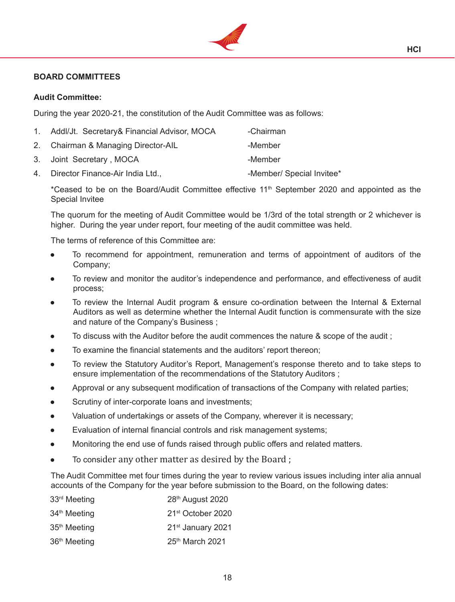

# **BOARD COMMITTEES**

### **Audit Committee:**

During the year 2020-21, the constitution of the Audit Committee was as follows:

| 1. Addl/Jt. Secretary& Financial Advisor, MOCA | -Chairman |
|------------------------------------------------|-----------|
| 2. Chairman & Managing Director-AIL            | -Member   |
| 3. Joint Secretary, MOCA                       | -Member   |

4. Director Finance-Air India Ltd., The Member/ Special Invitee\*

\*Ceased to be on the Board/Audit Committee effective 11<sup>th</sup> September 2020 and appointed as the Special Invitee

The quorum for the meeting of Audit Committee would be 1/3rd of the total strength or 2 whichever is higher. During the year under report, four meeting of the audit committee was held.

The terms of reference of this Committee are:

- To recommend for appointment, remuneration and terms of appointment of auditors of the Company;
- To review and monitor the auditor's independence and performance, and effectiveness of audit process;
- To review the Internal Audit program & ensure co-ordination between the Internal & External Auditors as well as determine whether the Internal Audit function is commensurate with the size and nature of the Company's Business ;
- To discuss with the Auditor before the audit commences the nature  $\&$  scope of the audit;
- To examine the financial statements and the auditors' report thereon;
- To review the Statutory Auditor's Report, Management's response thereto and to take steps to ensure implementation of the recommendations of the Statutory Auditors ;
- Approval or any subsequent modification of transactions of the Company with related parties;
- Scrutiny of inter-corporate loans and investments;
- Valuation of undertakings or assets of the Company, wherever it is necessary;
- Evaluation of internal financial controls and risk management systems;
- Monitoring the end use of funds raised through public offers and related matters.
- To consider any other matter as desired by the Board ;

The Audit Committee met four times during the year to review various issues including inter alia annual accounts of the Company for the year before submission to the Board, on the following dates:

| 33 <sup>rd</sup> Meeting | 28th August 2020              |
|--------------------------|-------------------------------|
| 34 <sup>th</sup> Meeting | 21 <sup>st</sup> October 2020 |
| 35 <sup>th</sup> Meeting | 21 <sup>st</sup> January 2021 |
| 36 <sup>th</sup> Meeting | 25th March 2021               |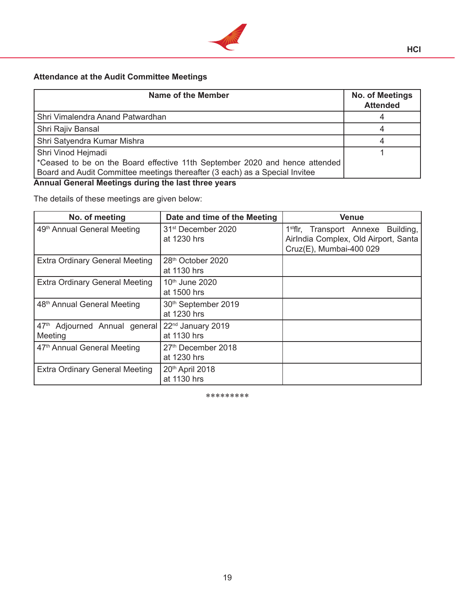

# **Attendance at the Audit Committee Meetings**

| Name of the Member                                                                                                                                         | <b>No. of Meetings</b><br><b>Attended</b> |
|------------------------------------------------------------------------------------------------------------------------------------------------------------|-------------------------------------------|
| Shri Vimalendra Anand Patwardhan                                                                                                                           |                                           |
| Shri Rajiv Bansal                                                                                                                                          |                                           |
| Shri Satyendra Kumar Mishra                                                                                                                                |                                           |
| Shri Vinod Hejmadi                                                                                                                                         |                                           |
| *Ceased to be on the Board effective 11th September 2020 and hence attended<br>Board and Audit Committee meetings thereafter (3 each) as a Special Invitee |                                           |

# **Annual General Meetings during the last three years**

The details of these meetings are given below:

| No. of meeting                                       | Date and time of the Meeting                   | <b>Venue</b>                                                                                                       |
|------------------------------------------------------|------------------------------------------------|--------------------------------------------------------------------------------------------------------------------|
| 49th Annual General Meeting                          | 31 <sup>st</sup> December 2020<br>at 1230 hrs  | 1 <sup>st</sup> flr, Transport Annexe Building,<br>Airlndia Complex, Old Airport, Santa<br>Cruz(E), Mumbai-400 029 |
| <b>Extra Ordinary General Meeting</b>                | 28 <sup>th</sup> October 2020<br>at 1130 hrs   |                                                                                                                    |
| <b>Extra Ordinary General Meeting</b>                | $10th$ June 2020<br>at 1500 hrs                |                                                                                                                    |
| 48th Annual General Meeting                          | 30 <sup>th</sup> September 2019<br>at 1230 hrs |                                                                                                                    |
| 47 <sup>th</sup> Adjourned Annual general<br>Meeting | 22 <sup>nd</sup> January 2019<br>at 1130 hrs   |                                                                                                                    |
| 47 <sup>th</sup> Annual General Meeting              | 27 <sup>th</sup> December 2018<br>at 1230 hrs  |                                                                                                                    |
| <b>Extra Ordinary General Meeting</b>                | 20th April 2018<br>at 1130 hrs                 |                                                                                                                    |

\*\*\*\*\*\*\*\*\*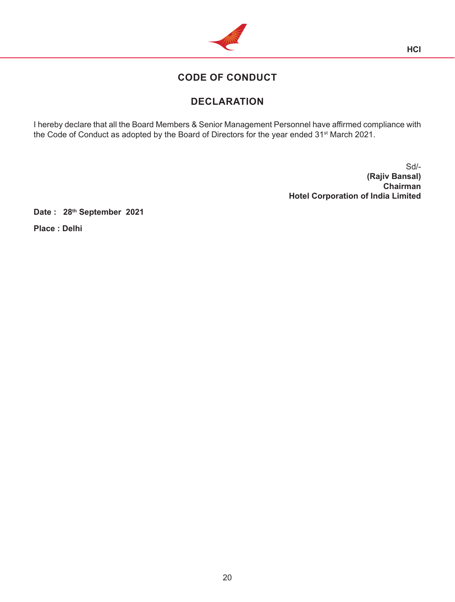

# **CODE OF CONDUCT**

# **DECLARATION**

I hereby declare that all the Board Members & Senior Management Personnel have affirmed compliance with the Code of Conduct as adopted by the Board of Directors for the year ended 31<sup>st</sup> March 2021.

> Sd/- **(Rajiv Bansal) Chairman Hotel Corporation of India Limited**

**Date : 28th September 2021**

**Place : Delhi**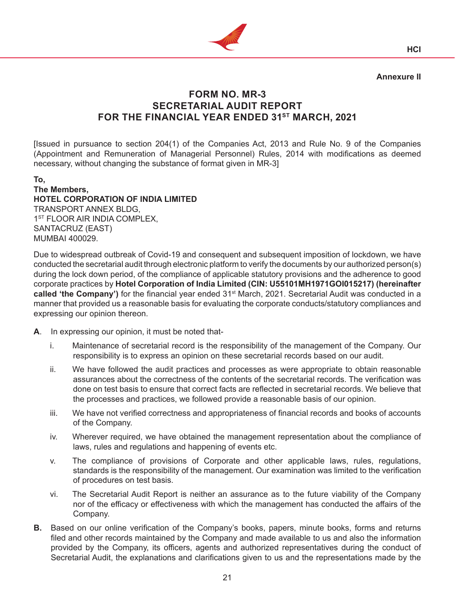

**Annexure II**

**HCI**

# **FORM NO. MR-3 SECRETARIAL AUDIT REPORT FOR THE FINANCIAL YEAR ENDED 31ST MARCH, 2021**

[Issued in pursuance to section 204(1) of the Companies Act, 2013 and Rule No. 9 of the Companies (Appointment and Remuneration of Managerial Personnel) Rules, 2014 with modifications as deemed necessary, without changing the substance of format given in MR-3]

**To,**

**The Members, HOTEL CORPORATION OF INDIA LIMITED** TRANSPORT ANNEX BLDG, 1<sup>ST</sup> FLOOR AIR INDIA COMPLEX. SANTACRUZ (EAST) MUMBAI 400029.

Due to widespread outbreak of Covid-19 and consequent and subsequent imposition of lockdown, we have conducted the secretarial audit through electronic platform to verify the documents by our authorized person(s) during the lock down period, of the compliance of applicable statutory provisions and the adherence to good corporate practices by **Hotel Corporation of India Limited (CIN: U55101MH1971GOI015217) (hereinafter**  called 'the Company') for the financial year ended 31<sup>st</sup> March, 2021. Secretarial Audit was conducted in a manner that provided us a reasonable basis for evaluating the corporate conducts/statutory compliances and expressing our opinion thereon.

- **A**. In expressing our opinion, it must be noted that
	- i. Maintenance of secretarial record is the responsibility of the management of the Company. Our responsibility is to express an opinion on these secretarial records based on our audit.
	- ii. We have followed the audit practices and processes as were appropriate to obtain reasonable assurances about the correctness of the contents of the secretarial records. The verification was done on test basis to ensure that correct facts are reflected in secretarial records. We believe that the processes and practices, we followed provide a reasonable basis of our opinion.
	- iii. We have not verified correctness and appropriateness of financial records and books of accounts of the Company.
	- iv. Wherever required, we have obtained the management representation about the compliance of laws, rules and regulations and happening of events etc.
	- v. The compliance of provisions of Corporate and other applicable laws, rules, regulations, standards is the responsibility of the management. Our examination was limited to the verification of procedures on test basis.
	- vi. The Secretarial Audit Report is neither an assurance as to the future viability of the Company nor of the efficacy or effectiveness with which the management has conducted the affairs of the Company.
- **B.** Based on our online verification of the Company's books, papers, minute books, forms and returns filed and other records maintained by the Company and made available to us and also the information provided by the Company, its officers, agents and authorized representatives during the conduct of Secretarial Audit, the explanations and clarifications given to us and the representations made by the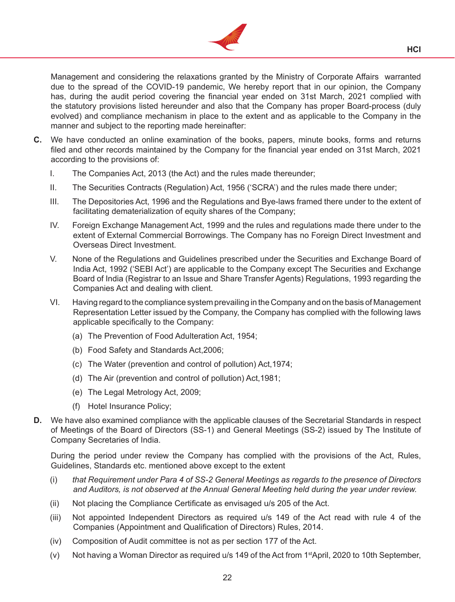

Management and considering the relaxations granted by the Ministry of Corporate Affairs warranted due to the spread of the COVID-19 pandemic, We hereby report that in our opinion, the Company has, during the audit period covering the financial year ended on 31st March, 2021 complied with the statutory provisions listed hereunder and also that the Company has proper Board-process (duly evolved) and compliance mechanism in place to the extent and as applicable to the Company in the manner and subject to the reporting made hereinafter:

- **C.** We have conducted an online examination of the books, papers, minute books, forms and returns filed and other records maintained by the Company for the financial year ended on 31st March, 2021 according to the provisions of:
	- I. The Companies Act, 2013 (the Act) and the rules made thereunder;
	- II. The Securities Contracts (Regulation) Act, 1956 ('SCRA') and the rules made there under;
	- III. The Depositories Act, 1996 and the Regulations and Bye-laws framed there under to the extent of facilitating dematerialization of equity shares of the Company;
	- IV. Foreign Exchange Management Act, 1999 and the rules and regulations made there under to the extent of External Commercial Borrowings. The Company has no Foreign Direct Investment and Overseas Direct Investment.
	- V. None of the Regulations and Guidelines prescribed under the Securities and Exchange Board of India Act, 1992 ('SEBI Act') are applicable to the Company except The Securities and Exchange Board of India (Registrar to an Issue and Share Transfer Agents) Regulations, 1993 regarding the Companies Act and dealing with client.
	- VI. Having regard to the compliance system prevailing in the Company and on the basis of Management Representation Letter issued by the Company, the Company has complied with the following laws applicable specifically to the Company:
		- (a) The Prevention of Food Adulteration Act, 1954;
		- (b) Food Safety and Standards Act, 2006;
		- (c) The Water (prevention and control of pollution) Act,1974;
		- (d) The Air (prevention and control of pollution) Act, 1981;
		- (e) The Legal Metrology Act, 2009;
		- (f) Hotel Insurance Policy;
- **D.** We have also examined compliance with the applicable clauses of the Secretarial Standards in respect of Meetings of the Board of Directors (SS-1) and General Meetings (SS-2) issued by The Institute of Company Secretaries of India.

During the period under review the Company has complied with the provisions of the Act, Rules, Guidelines, Standards etc. mentioned above except to the extent

- (i) *that Requirement under Para 4 of SS-2 General Meetings as regards to the presence of Directors and Auditors, is not observed at the Annual General Meeting held during the year under review.*
- (ii) Not placing the Compliance Certificate as envisaged u/s 205 of the Act.
- (iii) Not appointed Independent Directors as required u/s 149 of the Act read with rule 4 of the Companies (Appointment and Qualification of Directors) Rules, 2014.
- (iv) Composition of Audit committee is not as per section 177 of the Act.
- (v) Not having a Woman Director as required  $u/s$  149 of the Act from 1st April, 2020 to 10th September,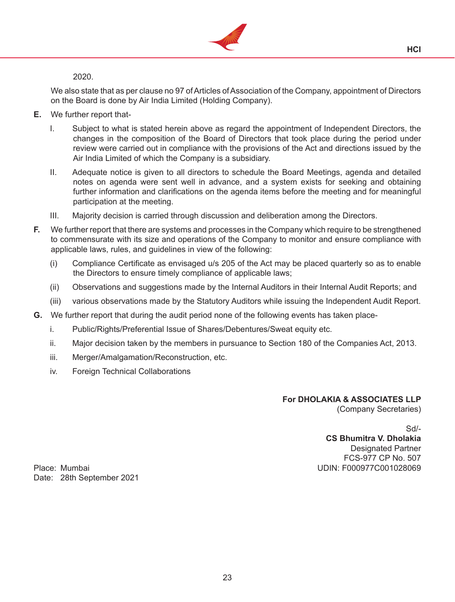

2020.

We also state that as per clause no 97 of Articles of Association of the Company, appointment of Directors on the Board is done by Air India Limited (Holding Company).

- **E.** We further report that-
	- I. Subject to what is stated herein above as regard the appointment of Independent Directors, the changes in the composition of the Board of Directors that took place during the period under review were carried out in compliance with the provisions of the Act and directions issued by the Air India Limited of which the Company is a subsidiary.
	- II. Adequate notice is given to all directors to schedule the Board Meetings, agenda and detailed notes on agenda were sent well in advance, and a system exists for seeking and obtaining further information and clarifications on the agenda items before the meeting and for meaningful participation at the meeting.
	- III. Majority decision is carried through discussion and deliberation among the Directors.
- **F.** We further report that there are systems and processes in the Company which require to be strengthened to commensurate with its size and operations of the Company to monitor and ensure compliance with applicable laws, rules, and guidelines in view of the following:
	- $(i)$  Compliance Certificate as envisaged  $u/s$  205 of the Act may be placed quarterly so as to enable the Directors to ensure timely compliance of applicable laws;
	- (ii) Observations and suggestions made by the Internal Auditors in their Internal Audit Reports; and
	- (iii) various observations made by the Statutory Auditors while issuing the Independent Audit Report.
- **G.** We further report that during the audit period none of the following events has taken place
	- i. Public/Rights/Preferential Issue of Shares/Debentures/Sweat equity etc.
	- ii. Major decision taken by the members in pursuance to Section 180 of the Companies Act, 2013.
	- iii. Merger/Amalgamation/Reconstruction, etc.
	- iv. Foreign Technical Collaborations

# **For DHOLAKIA & ASSOCIATES LLP**

(Company Secretaries)

Sd/-

**CS Bhumitra V. Dholakia** Designated Partner FCS-977 CP No. 507

Place: Mumbai UDIN: F000977C001028069 Date: 28th September 2021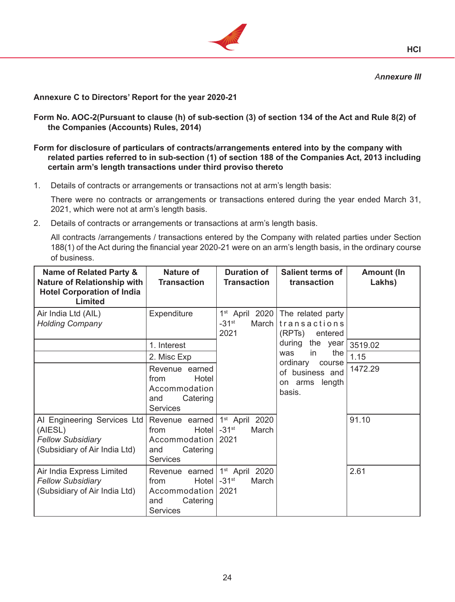

*Annexure III*

# **Annexure C to Directors' Report for the year 2020-21**

- **Form No. AOC-2(Pursuant to clause (h) of sub-section (3) of section 134 of the Act and Rule 8(2) of the Companies (Accounts) Rules, 2014)**
- **Form for disclosure of particulars of contracts/arrangements entered into by the company with related parties referred to in sub-section (1) of section 188 of the Companies Act, 2013 including certain arm's length transactions under third proviso thereto**
- 1. Details of contracts or arrangements or transactions not at arm's length basis:

There were no contracts or arrangements or transactions entered during the year ended March 31, 2021, which were not at arm's length basis.

2. Details of contracts or arrangements or transactions at arm's length basis.

All contracts /arrangements / transactions entered by the Company with related parties under Section 188(1) of the Act during the financial year 2020-21 were on an arm's length basis, in the ordinary course of business.

| Name of Related Party &<br><b>Nature of Relationship with</b><br><b>Hotel Corporation of India</b><br>Limited | Nature of<br><b>Transaction</b>                                                        | <b>Duration of</b><br><b>Transaction</b>                           | <b>Salient terms of</b><br>transaction                                                    | <b>Amount (In</b><br>Lakhs) |
|---------------------------------------------------------------------------------------------------------------|----------------------------------------------------------------------------------------|--------------------------------------------------------------------|-------------------------------------------------------------------------------------------|-----------------------------|
| Air India Ltd (AIL)<br><b>Holding Company</b>                                                                 | Expenditure                                                                            | $-31$ <sup>st</sup><br>2021                                        | 1 <sup>st</sup> April 2020 The related party<br>March $transactions$<br>(RPTs)<br>entered |                             |
|                                                                                                               | 1. Interest                                                                            |                                                                    | during<br>the year<br>the<br>in.<br>was                                                   | 3519.02                     |
|                                                                                                               | 2. Misc Exp                                                                            |                                                                    |                                                                                           | 1.15                        |
|                                                                                                               | Revenue earned<br>Hotel<br>from<br>Accommodation<br>Catering<br>and<br><b>Services</b> |                                                                    | ordinary<br>course<br>of business and<br>length<br>on arms<br>basis.                      | 1472.29                     |
| AI Engineering Services Ltd<br>(AIESL)<br><b>Fellow Subsidiary</b><br>(Subsidiary of Air India Ltd)           | Revenue earned<br>Hotel<br>from<br>Accommodation<br>Catering<br>and<br><b>Services</b> | 1 <sup>st</sup> April 2020<br>$-31$ <sup>st</sup><br>March<br>2021 |                                                                                           | 91.10                       |
| Air India Express Limited<br><b>Fellow Subsidiary</b><br>(Subsidiary of Air India Ltd)                        | Revenue earned<br>Hotel<br>from<br>Accommodation<br>Catering<br>and<br><b>Services</b> | 1 <sup>st</sup> April 2020<br>$-31$ <sup>st</sup><br>March<br>2021 |                                                                                           | 2.61                        |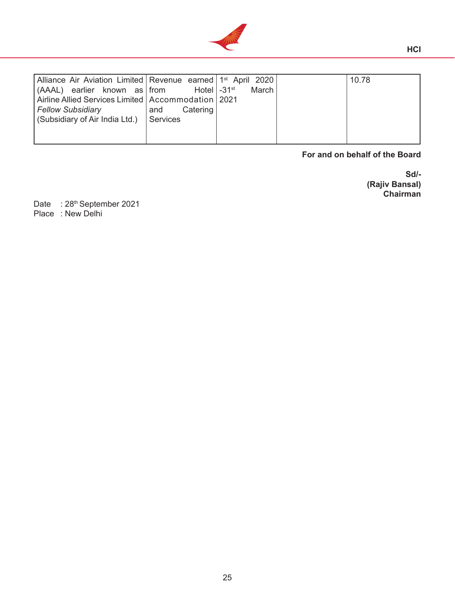

| Alliance Air Aviation Limited Revenue earned 1st April 2020 |                              |         | 10.78 |
|-------------------------------------------------------------|------------------------------|---------|-------|
| I (AAAL) earlier known as I from                            | Hotel $\mid$ -31 $^{\rm st}$ | March l |       |
| Airline Allied Services Limited   Accommodation   2021      |                              |         |       |
| Fellow Subsidiary                                           | Catering<br>and              |         |       |
| Subsidiary of Air India Ltd.)                               | <b>Services</b>              |         |       |
|                                                             |                              |         |       |
|                                                             |                              |         |       |

**For and on behalf of the Board**

**Sd/- (Rajiv Bansal) Chairman**

**HCI**

Date : 28<sup>th</sup> September 2021 Place : New Delhi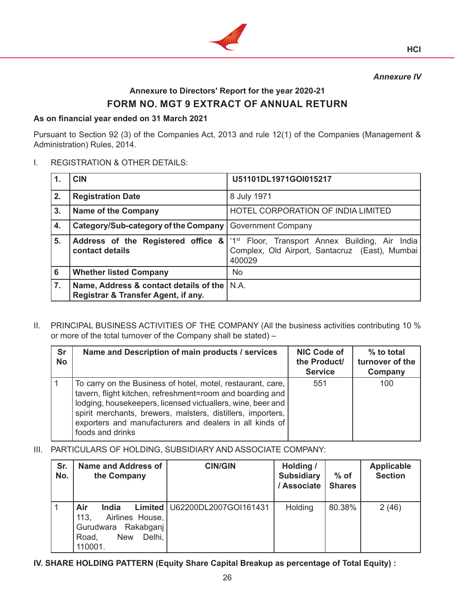

*Annexure IV*

**HCI**

# **Annexure to Directors' Report for the year 2020-21 FORM NO. MGT 9 EXTRACT OF ANNUAL RETURN**

# **As on financial year ended on 31 March 2021**

Pursuant to Section 92 (3) of the Companies Act, 2013 and rule 12(1) of the Companies (Management & Administration) Rules, 2014.

I. REGISTRATION & OTHER DETAILS:

|                | <b>CIN</b>                                                                           | U51101DL1971GOI015217                                                                                                   |
|----------------|--------------------------------------------------------------------------------------|-------------------------------------------------------------------------------------------------------------------------|
| 2.             | <b>Registration Date</b>                                                             | 8 July 1971                                                                                                             |
| 3 <sub>1</sub> | <b>Name of the Company</b>                                                           | HOTEL CORPORATION OF INDIA LIMITED                                                                                      |
| 4.             | Category/Sub-category of the Company                                                 | <b>Government Company</b>                                                                                               |
| 5.             | Address of the Registered office &<br>contact details                                | '1 <sup>st</sup> Floor, Transport Annex Building, Air India<br>Complex, Old Airport, Santacruz (East), Mumbai<br>400029 |
| 6              | <b>Whether listed Company</b>                                                        | No.                                                                                                                     |
| 7.             | Name, Address & contact details of the   N.A.<br>Registrar & Transfer Agent, if any. |                                                                                                                         |

II. PRINCIPAL BUSINESS ACTIVITIES OF THE COMPANY (All the business activities contributing 10 % or more of the total turnover of the Company shall be stated) –

| Sr<br><b>No</b> | Name and Description of main products / services                                                                                                                                                                                                                                                                                      | <b>NIC Code of</b><br>the Product/<br><b>Service</b> | % to total<br>turnover of the<br>Company |
|-----------------|---------------------------------------------------------------------------------------------------------------------------------------------------------------------------------------------------------------------------------------------------------------------------------------------------------------------------------------|------------------------------------------------------|------------------------------------------|
|                 | To carry on the Business of hotel, motel, restaurant, care,<br>tavern, flight kitchen, refreshment=room and boarding and<br>lodging, housekeepers, licensed victuallers, wine, beer and<br>spirit merchants, brewers, malsters, distillers, importers,<br>exporters and manufacturers and dealers in all kinds of<br>foods and drinks | 551                                                  | 100                                      |

III. PARTICULARS OF HOLDING, SUBSIDIARY AND ASSOCIATE COMPANY:

| Sr.<br>No. | Name and Address of<br>the Company                                                                         | <b>CIN/GIN</b>                  | Holding /<br><b>Subsidiary</b><br>/ Associate | $%$ of<br><b>Shares</b> | <b>Applicable</b><br><b>Section</b> |
|------------|------------------------------------------------------------------------------------------------------------|---------------------------------|-----------------------------------------------|-------------------------|-------------------------------------|
|            | Air<br>India<br>113.<br>Airlines House,<br>Gurudwara Rakabganj<br><b>New</b><br>Delhi,<br>Road,<br>110001. | Limited   U62200DL2007GOI161431 | Holding                                       | 80.38%                  | 2(46)                               |

**IV. SHARE HOLDING PATTERN (Equity Share Capital Breakup as percentage of Total Equity) :**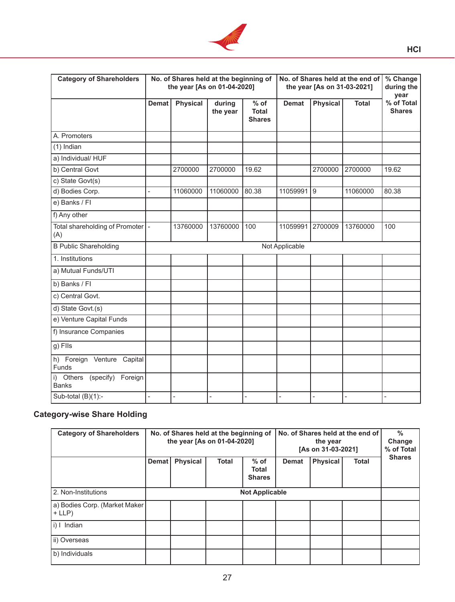

| <b>Category of Shareholders</b>             | No. of Shares held at the beginning of<br>the year [As on 01-04-2020] |                 |                    |                                         | No. of Shares held at the end of<br>the year [As on 31-03-2021] |                 |                | % Change<br>during the<br>year |
|---------------------------------------------|-----------------------------------------------------------------------|-----------------|--------------------|-----------------------------------------|-----------------------------------------------------------------|-----------------|----------------|--------------------------------|
|                                             | <b>Demat</b>                                                          | <b>Physical</b> | during<br>the year | $%$ of<br><b>Total</b><br><b>Shares</b> | <b>Demat</b>                                                    | <b>Physical</b> | <b>Total</b>   | % of Total<br><b>Shares</b>    |
| A. Promoters                                |                                                                       |                 |                    |                                         |                                                                 |                 |                |                                |
| $(1)$ Indian                                |                                                                       |                 |                    |                                         |                                                                 |                 |                |                                |
| a) Individual/HUF                           |                                                                       |                 |                    |                                         |                                                                 |                 |                |                                |
| b) Central Govt                             |                                                                       | 2700000         | 2700000            | 19.62                                   |                                                                 | 2700000         | 2700000        | 19.62                          |
| c) State Govt(s)                            |                                                                       |                 |                    |                                         |                                                                 |                 |                |                                |
| d) Bodies Corp.                             | $\overline{a}$                                                        | 11060000        | 11060000           | 80.38                                   | 11059991                                                        | l 9             | 11060000       | 80.38                          |
| e) Banks / FI                               |                                                                       |                 |                    |                                         |                                                                 |                 |                |                                |
| f) Any other                                |                                                                       |                 |                    |                                         |                                                                 |                 |                |                                |
| Total shareholding of Promoter  -<br>(A)    |                                                                       | 13760000        | 13760000           | 100                                     | 11059991                                                        | 2700009         | 13760000       | 100                            |
| <b>B Public Shareholding</b>                |                                                                       |                 |                    |                                         | Not Applicable                                                  |                 |                |                                |
| 1. Institutions                             |                                                                       |                 |                    |                                         |                                                                 |                 |                |                                |
| a) Mutual Funds/UTI                         |                                                                       |                 |                    |                                         |                                                                 |                 |                |                                |
| b) Banks / FI                               |                                                                       |                 |                    |                                         |                                                                 |                 |                |                                |
| c) Central Govt.                            |                                                                       |                 |                    |                                         |                                                                 |                 |                |                                |
| d) State Govt.(s)                           |                                                                       |                 |                    |                                         |                                                                 |                 |                |                                |
| e) Venture Capital Funds                    |                                                                       |                 |                    |                                         |                                                                 |                 |                |                                |
| f) Insurance Companies                      |                                                                       |                 |                    |                                         |                                                                 |                 |                |                                |
| g) Flls                                     |                                                                       |                 |                    |                                         |                                                                 |                 |                |                                |
| h) Foreign Venture Capital<br>Funds         |                                                                       |                 |                    |                                         |                                                                 |                 |                |                                |
| i) Others (specify) Foreign<br><b>Banks</b> |                                                                       |                 |                    |                                         |                                                                 |                 |                |                                |
| Sub-total (B)(1):-                          |                                                                       | $\overline{a}$  |                    |                                         |                                                                 |                 | $\overline{a}$ |                                |

# **Category-wise Share Holding**

| <b>Category of Shareholders</b>           |              |                       | No. of Shares held at the beginning of<br>the year [As on 01-04-2020] |                                         | No. of Shares held at the end of<br>the year<br>[As on 31-03-2021] |                 |              | $\frac{9}{6}$<br>Change<br>% of Total |
|-------------------------------------------|--------------|-----------------------|-----------------------------------------------------------------------|-----------------------------------------|--------------------------------------------------------------------|-----------------|--------------|---------------------------------------|
|                                           | <b>Demat</b> | <b>Physical</b>       | <b>Total</b>                                                          | $%$ of<br><b>Total</b><br><b>Shares</b> | <b>Demat</b>                                                       | <b>Physical</b> | <b>Total</b> | <b>Shares</b>                         |
| 2. Non-Institutions                       |              | <b>Not Applicable</b> |                                                                       |                                         |                                                                    |                 |              |                                       |
| a) Bodies Corp. (Market Maker<br>$+$ LLP) |              |                       |                                                                       |                                         |                                                                    |                 |              |                                       |
| i) I Indian                               |              |                       |                                                                       |                                         |                                                                    |                 |              |                                       |
| ii) Overseas                              |              |                       |                                                                       |                                         |                                                                    |                 |              |                                       |
| b) Individuals                            |              |                       |                                                                       |                                         |                                                                    |                 |              |                                       |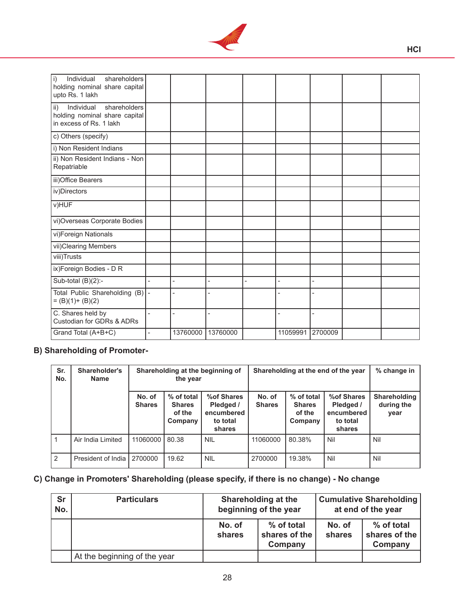

| $\vert$ i)<br>Individual<br>shareholders<br>holding nominal share capital<br>upto Rs. 1 lakh              |                          |                          |          |                |                          |                |  |
|-----------------------------------------------------------------------------------------------------------|--------------------------|--------------------------|----------|----------------|--------------------------|----------------|--|
| Individual<br>$\mathsf{ii}$ )<br>shareholders<br>holding nominal share capital<br>in excess of Rs. 1 lakh |                          |                          |          |                |                          |                |  |
| c) Others (specify)                                                                                       |                          |                          |          |                |                          |                |  |
| i) Non Resident Indians                                                                                   |                          |                          |          |                |                          |                |  |
| ii) Non Resident Indians - Non<br>Repatriable                                                             |                          |                          |          |                |                          |                |  |
| iii) Office Bearers                                                                                       |                          |                          |          |                |                          |                |  |
| iv)Directors                                                                                              |                          |                          |          |                |                          |                |  |
| v)HUF                                                                                                     |                          |                          |          |                |                          |                |  |
| vi) Overseas Corporate Bodies                                                                             |                          |                          |          |                |                          |                |  |
| vi)Foreign Nationals                                                                                      |                          |                          |          |                |                          |                |  |
| vii)Clearing Members                                                                                      |                          |                          |          |                |                          |                |  |
| viii)Trusts                                                                                               |                          |                          |          |                |                          |                |  |
| ix)Foreign Bodies - D R                                                                                   |                          |                          |          |                |                          |                |  |
| Sub-total $(B)(2)$ :-                                                                                     | $\overline{\phantom{0}}$ | $\overline{\phantom{0}}$ |          | $\overline{a}$ | $\overline{\phantom{a}}$ | $\overline{a}$ |  |
| Total Public Shareholding (B)<br>$= (B)(1)+(B)(2)$                                                        | $\blacksquare$           |                          |          |                | $\overline{a}$           |                |  |
| C. Shares held by<br><b>Custodian for GDRs &amp; ADRs</b>                                                 |                          |                          |          |                | $\overline{a}$           |                |  |
| Grand Total (A+B+C)                                                                                       |                          | 13760000                 | 13760000 |                | 11059991                 | 2700009        |  |

# **B) Shareholding of Promoter-**

| Sr.<br>No.    | Shareholder's<br><b>Name</b> |                         | the year                                         | Shareholding at the beginning of                             |                         |                                                  | Shareholding at the end of the year                          | % change in                               |
|---------------|------------------------------|-------------------------|--------------------------------------------------|--------------------------------------------------------------|-------------------------|--------------------------------------------------|--------------------------------------------------------------|-------------------------------------------|
|               |                              | No. of<br><b>Shares</b> | % of total<br><b>Shares</b><br>of the<br>Company | % of Shares<br>Pledged /<br>encumbered<br>to total<br>shares | No. of<br><b>Shares</b> | % of total<br><b>Shares</b><br>of the<br>Company | % of Shares<br>Pledged /<br>encumbered<br>to total<br>shares | <b>Shareholding</b><br>during the<br>year |
| 1             | Air India Limited            | 11060000                | 80.38                                            | <b>NIL</b>                                                   | 11060000                | 80.38%                                           | Nil                                                          | Nil                                       |
| $\mathcal{P}$ | President of India           | 2700000                 | 19.62                                            | <b>NIL</b>                                                   | 2700000                 | 19.38%                                           | Nil                                                          | Nil                                       |

# **C) Change in Promoters' Shareholding (please specify, if there is no change) - No change**

| Sr<br>No. | <b>Particulars</b>           |                  | <b>Shareholding at the</b><br>beginning of the year | <b>Cumulative Shareholding</b><br>at end of the year |                                        |  |
|-----------|------------------------------|------------------|-----------------------------------------------------|------------------------------------------------------|----------------------------------------|--|
|           |                              | No. of<br>shares | % of total<br>shares of the<br>Company              | No. of<br>shares                                     | % of total<br>shares of the<br>Company |  |
|           | At the beginning of the year |                  |                                                     |                                                      |                                        |  |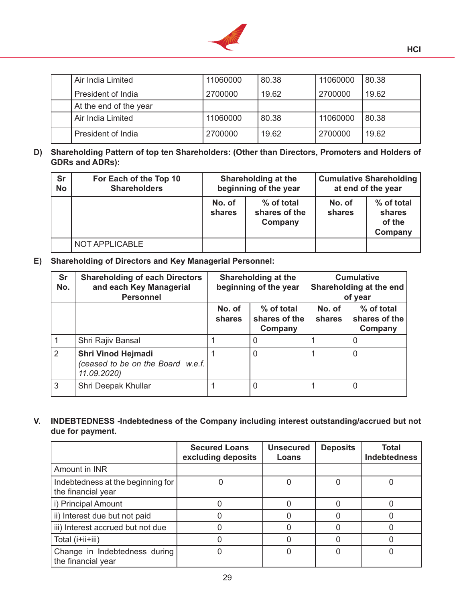

| Air India Limited      | 11060000 | 80.38 | 11060000 | 80.38 |
|------------------------|----------|-------|----------|-------|
| President of India     | 2700000  | 19.62 | 2700000  | 19.62 |
| At the end of the year |          |       |          |       |
| Air India Limited      | 11060000 | 80.38 | 11060000 | 80.38 |
| President of India     | 2700000  | 19.62 | 2700000  | 19.62 |

**D) Shareholding Pattern of top ten Shareholders: (Other than Directors, Promoters and Holders of GDRs and ADRs):**

| Sr<br><b>No</b> | For Each of the Top 10<br><b>Shareholders</b> |                         | Shareholding at the<br>beginning of the year | <b>Cumulative Shareholding</b><br>at end of the year |                                           |  |
|-----------------|-----------------------------------------------|-------------------------|----------------------------------------------|------------------------------------------------------|-------------------------------------------|--|
|                 |                                               | No. of<br><b>shares</b> | % of total<br>shares of the<br>Company       | No. of<br>shares                                     | % of total<br>shares<br>of the<br>Company |  |
|                 | NOT APPLICABLE                                |                         |                                              |                                                      |                                           |  |

**E) Shareholding of Directors and Key Managerial Personnel:**

| <b>Sr</b><br>No. | <b>Shareholding of each Directors</b><br>and each Key Managerial<br><b>Personnel</b> |                  | Shareholding at the<br>beginning of the year | <b>Cumulative</b><br>Shareholding at the end<br>of year |                                        |  |
|------------------|--------------------------------------------------------------------------------------|------------------|----------------------------------------------|---------------------------------------------------------|----------------------------------------|--|
|                  |                                                                                      | No. of<br>shares | % of total<br>shares of the<br>Company       | No. of<br>shares                                        | % of total<br>shares of the<br>Company |  |
| $\mathbf 1$      | Shri Rajiv Bansal                                                                    |                  |                                              |                                                         |                                        |  |
| $\overline{2}$   | <b>Shri Vinod Hejmadi</b><br>(ceased to be on the Board w.e.f.<br>11.09.2020)        |                  | 0                                            |                                                         | 0                                      |  |
| 3                | Shri Deepak Khullar                                                                  |                  | 0                                            |                                                         | 0                                      |  |

**V. INDEBTEDNESS -Indebtedness of the Company including interest outstanding/accrued but not due for payment.**

|                                                         | <b>Secured Loans</b><br>excluding deposits | <b>Unsecured</b><br>Loans | <b>Deposits</b> | <b>Total</b><br><b>Indebtedness</b> |
|---------------------------------------------------------|--------------------------------------------|---------------------------|-----------------|-------------------------------------|
| Amount in INR                                           |                                            |                           |                 |                                     |
| Indebtedness at the beginning for<br>the financial year |                                            |                           |                 |                                     |
| i) Principal Amount                                     |                                            |                           |                 |                                     |
| ii) Interest due but not paid                           |                                            |                           |                 |                                     |
| iii) Interest accrued but not due                       |                                            |                           |                 |                                     |
| Total (i+ii+iii)                                        |                                            |                           |                 |                                     |
| Change in Indebtedness during<br>the financial year     |                                            |                           |                 |                                     |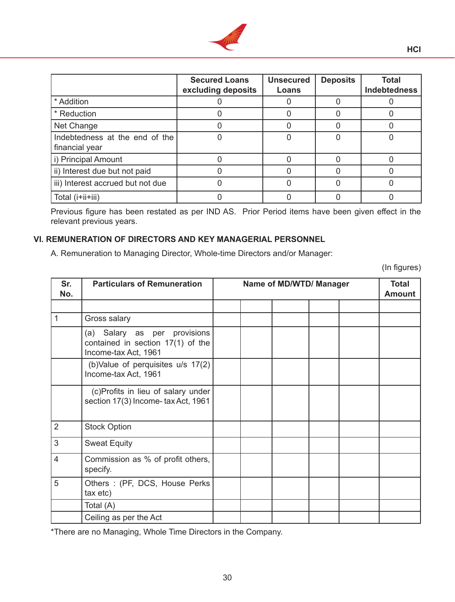

|                                                  | <b>Secured Loans</b><br>excluding deposits | <b>Unsecured</b><br>Loans | <b>Deposits</b> | <b>Total</b><br><b>Indebtedness</b> |
|--------------------------------------------------|--------------------------------------------|---------------------------|-----------------|-------------------------------------|
| * Addition                                       |                                            |                           |                 |                                     |
| * Reduction                                      |                                            |                           |                 |                                     |
| Net Change                                       |                                            |                           |                 |                                     |
| Indebtedness at the end of the<br>financial year |                                            |                           |                 |                                     |
| i) Principal Amount                              |                                            |                           |                 |                                     |
| ii) Interest due but not paid                    |                                            |                           |                 |                                     |
| iii) Interest accrued but not due                |                                            |                           |                 |                                     |
| Total (i+ii+iii)                                 |                                            |                           |                 |                                     |

 Previous figure has been restated as per IND AS. Prior Period items have been given effect in the relevant previous years.

# **VI. REMUNERATION OF DIRECTORS AND KEY MANAGERIAL PERSONNEL**

A. Remuneration to Managing Director, Whole-time Directors and/or Manager:

(In figures)

| Sr.<br>No.     | <b>Particulars of Remuneration</b>                                                          | Name of MD/WTD/ Manager |  |  |  |  | <b>Total</b><br><b>Amount</b> |
|----------------|---------------------------------------------------------------------------------------------|-------------------------|--|--|--|--|-------------------------------|
|                |                                                                                             |                         |  |  |  |  |                               |
| 1              | Gross salary                                                                                |                         |  |  |  |  |                               |
|                | (a) Salary as per provisions<br>contained in section $17(1)$ of the<br>Income-tax Act, 1961 |                         |  |  |  |  |                               |
|                | (b) Value of perquisites u/s 17(2)<br>Income-tax Act, 1961                                  |                         |  |  |  |  |                               |
|                | (c)Profits in lieu of salary under<br>section 17(3) Income- tax Act, 1961                   |                         |  |  |  |  |                               |
| $\overline{2}$ | <b>Stock Option</b>                                                                         |                         |  |  |  |  |                               |
| 3              | <b>Sweat Equity</b>                                                                         |                         |  |  |  |  |                               |
| 4              | Commission as % of profit others,<br>specify.                                               |                         |  |  |  |  |                               |
| 5              | Others: (PF, DCS, House Perks)<br>tax etc)                                                  |                         |  |  |  |  |                               |
|                | Total (A)                                                                                   |                         |  |  |  |  |                               |
|                | Ceiling as per the Act                                                                      |                         |  |  |  |  |                               |

 \*There are no Managing, Whole Time Directors in the Company.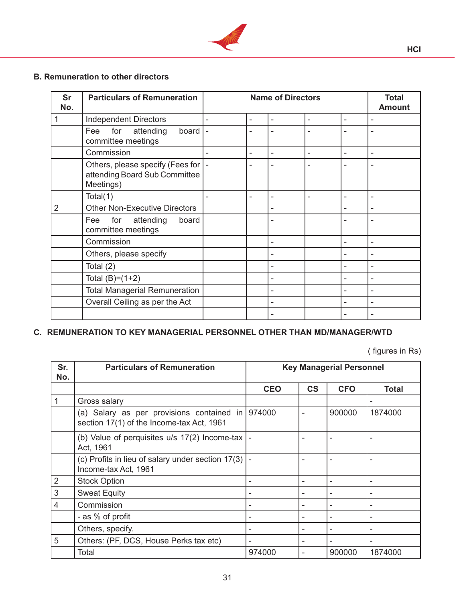

# **B. Remuneration to other directors**

| <b>Sr</b><br>No. | <b>Particulars of Remuneration</b>                                             | <b>Name of Directors</b> |                |  |   | <b>Total</b><br><b>Amount</b> |
|------------------|--------------------------------------------------------------------------------|--------------------------|----------------|--|---|-------------------------------|
| 1                | <b>Independent Directors</b>                                                   | ۰                        |                |  |   |                               |
|                  | Fee<br>for<br>attending<br>board<br>committee meetings                         |                          |                |  |   |                               |
|                  | Commission                                                                     | ۰                        | ۰              |  |   | ۰                             |
|                  | Others, please specify (Fees for<br>attending Board Sub Committee<br>Meetings) | ۰                        | ۰              |  |   |                               |
|                  | Total(1)                                                                       | ۰                        | ۰              |  | ۰ | ۰                             |
| $\overline{2}$   | <b>Other Non-Executive Directors</b>                                           |                          | ٠              |  | ۰ | ۰                             |
|                  | Fee<br>for<br>attending<br>board<br>committee meetings                         |                          |                |  |   |                               |
|                  | Commission                                                                     |                          | ۰              |  |   |                               |
|                  | Others, please specify                                                         |                          |                |  |   |                               |
|                  | Total (2)                                                                      |                          |                |  |   |                               |
|                  | Total $(B)=(1+2)$                                                              |                          |                |  |   |                               |
|                  | <b>Total Managerial Remuneration</b>                                           |                          |                |  |   |                               |
|                  | Overall Ceiling as per the Act                                                 |                          | $\blacksquare$ |  |   |                               |
|                  |                                                                                |                          |                |  |   |                               |

# **C. REMUNERATION TO KEY MANAGERIAL PERSONNEL OTHER THAN MD/MANAGER/WTD**

( figures in Rs)

| Sr.<br>No.     | <b>Particulars of Remuneration</b>                                                       | <b>Key Managerial Personnel</b> |               |                          |              |  |
|----------------|------------------------------------------------------------------------------------------|---------------------------------|---------------|--------------------------|--------------|--|
|                |                                                                                          | <b>CEO</b>                      | $\mathsf{CS}$ | <b>CFO</b>               | <b>Total</b> |  |
| $\mathbf{1}$   | Gross salary                                                                             |                                 |               |                          |              |  |
|                | (a) Salary as per provisions contained in  <br>section 17(1) of the Income-tax Act, 1961 | 974000                          |               | 900000                   | 1874000      |  |
|                | (b) Value of perquisites $u/s$ 17(2) Income-tax  <br>Act, 1961                           |                                 |               |                          |              |  |
|                | (c) Profits in lieu of salary under section 17(3)<br>Income-tax Act, 1961                |                                 |               |                          |              |  |
| $\vert$ 2      | <b>Stock Option</b>                                                                      |                                 |               |                          |              |  |
| $\mathfrak{S}$ | <b>Sweat Equity</b>                                                                      |                                 |               | ٠                        | ۰            |  |
| $\overline{4}$ | Commission                                                                               |                                 |               | $\overline{\phantom{a}}$ |              |  |
|                | - as % of profit                                                                         |                                 |               | ۰                        | ۰            |  |
|                | Others, specify.                                                                         |                                 |               |                          |              |  |
| 5              | Others: (PF, DCS, House Perks tax etc)                                                   |                                 |               | ٠                        |              |  |
|                | Total                                                                                    | 974000                          |               | 900000                   | 1874000      |  |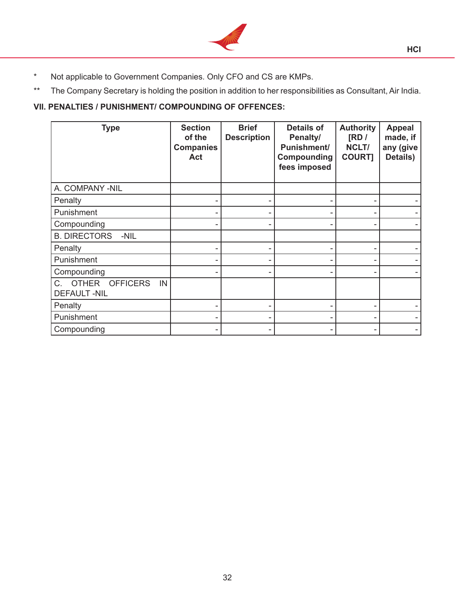

- \* Not applicable to Government Companies. Only CFO and CS are KMPs.
- \*\* The Company Secretary is holding the position in addition to her responsibilities as Consultant, Air India.

# **VII. PENALTIES / PUNISHMENT/ COMPOUNDING OF OFFENCES:**

| <b>Type</b>                                   | <b>Section</b><br>of the<br><b>Companies</b><br><b>Act</b> | <b>Brief</b><br><b>Description</b> | <b>Details of</b><br>Penalty/<br>Punishment/<br>Compounding<br>fees imposed | <b>Authority</b><br>[RD/<br>NCLT/<br><b>COURT]</b> | <b>Appeal</b><br>made, if<br>any (give<br>Details) |
|-----------------------------------------------|------------------------------------------------------------|------------------------------------|-----------------------------------------------------------------------------|----------------------------------------------------|----------------------------------------------------|
| A. COMPANY -NIL                               |                                                            |                                    |                                                                             |                                                    |                                                    |
| Penalty                                       |                                                            |                                    |                                                                             |                                                    |                                                    |
| Punishment                                    |                                                            |                                    |                                                                             |                                                    |                                                    |
| Compounding                                   |                                                            |                                    |                                                                             |                                                    |                                                    |
| <b>B. DIRECTORS</b><br>-NIL                   |                                                            |                                    |                                                                             |                                                    |                                                    |
| Penalty                                       |                                                            |                                    |                                                                             |                                                    |                                                    |
| Punishment                                    |                                                            |                                    |                                                                             |                                                    |                                                    |
| Compounding                                   |                                                            |                                    |                                                                             |                                                    |                                                    |
| C. OTHER OFFICERS<br>IN<br><b>DEFAULT-NIL</b> |                                                            |                                    |                                                                             |                                                    |                                                    |
| Penalty                                       |                                                            |                                    |                                                                             |                                                    |                                                    |
| Punishment                                    |                                                            |                                    |                                                                             |                                                    |                                                    |
| Compounding                                   |                                                            |                                    |                                                                             |                                                    |                                                    |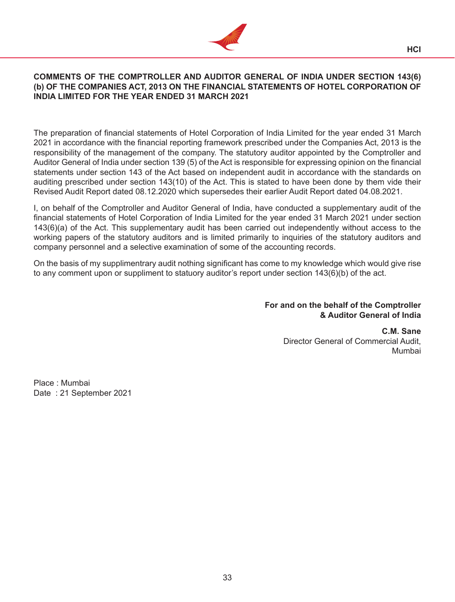

### **COMMENTS OF THE COMPTROLLER AND AUDITOR GENERAL OF INDIA UNDER SECTION 143(6) (b) OF THE COMPANIES ACT, 2013 ON THE FINANCIAL STATEMENTS OF HOTEL CORPORATION OF INDIA LIMITED FOR THE YEAR ENDED 31 MARCH 2021**

The preparation of financial statements of Hotel Corporation of India Limited for the year ended 31 March 2021 in accordance with the financial reporting framework prescribed under the Companies Act, 2013 is the responsibility of the management of the company. The statutory auditor appointed by the Comptroller and Auditor General of India under section 139 (5) of the Act is responsible for expressing opinion on the financial statements under section 143 of the Act based on independent audit in accordance with the standards on auditing prescribed under section 143(10) of the Act. This is stated to have been done by them vide their Revised Audit Report dated 08.12.2020 which supersedes their earlier Audit Report dated 04.08.2021.

I, on behalf of the Comptroller and Auditor General of India, have conducted a supplementary audit of the financial statements of Hotel Corporation of India Limited for the year ended 31 March 2021 under section 143(6)(a) of the Act. This supplementary audit has been carried out independently without access to the working papers of the statutory auditors and is limited primarily to inquiries of the statutory auditors and company personnel and a selective examination of some of the accounting records.

On the basis of my supplimentrary audit nothing significant has come to my knowledge which would give rise to any comment upon or suppliment to statuory auditor's report under section 143(6)(b) of the act.

> **For and on the behalf of the Comptroller & Auditor General of India**

> > **C.M. Sane** Director General of Commercial Audit, Mumbai

Place : Mumbai Date : 21 September 2021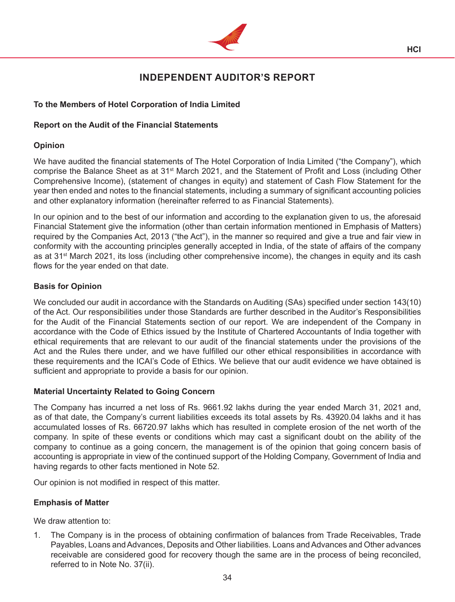

# **INDEPENDENT AUDITOR'S REPORT**

# **To the Members of Hotel Corporation of India Limited**

# **Report on the Audit of the Financial Statements**

# **Opinion**

We have audited the financial statements of The Hotel Corporation of India Limited ("the Company"), which comprise the Balance Sheet as at 31<sup>st</sup> March 2021, and the Statement of Profit and Loss (including Other Comprehensive Income), (statement of changes in equity) and statement of Cash Flow Statement for the year then ended and notes to the financial statements, including a summary of significant accounting policies and other explanatory information (hereinafter referred to as Financial Statements).

In our opinion and to the best of our information and according to the explanation given to us, the aforesaid Financial Statement give the information (other than certain information mentioned in Emphasis of Matters) required by the Companies Act, 2013 ("the Act"), in the manner so required and give a true and fair view in conformity with the accounting principles generally accepted in India, of the state of affairs of the company as at 31<sup>st</sup> March 2021, its loss (including other comprehensive income), the changes in equity and its cash flows for the year ended on that date.

# **Basis for Opinion**

We concluded our audit in accordance with the Standards on Auditing (SAs) specified under section 143(10) of the Act. Our responsibilities under those Standards are further described in the Auditor's Responsibilities for the Audit of the Financial Statements section of our report. We are independent of the Company in accordance with the Code of Ethics issued by the Institute of Chartered Accountants of India together with ethical requirements that are relevant to our audit of the financial statements under the provisions of the Act and the Rules there under, and we have fulfilled our other ethical responsibilities in accordance with these requirements and the ICAI's Code of Ethics. We believe that our audit evidence we have obtained is sufficient and appropriate to provide a basis for our opinion.

# **Material Uncertainty Related to Going Concern**

The Company has incurred a net loss of Rs. 9661.92 lakhs during the year ended March 31, 2021 and, as of that date, the Company's current liabilities exceeds its total assets by Rs. 43920.04 lakhs and it has accumulated losses of Rs. 66720.97 lakhs which has resulted in complete erosion of the net worth of the company. In spite of these events or conditions which may cast a significant doubt on the ability of the company to continue as a going concern, the management is of the opinion that going concern basis of accounting is appropriate in view of the continued support of the Holding Company, Government of India and having regards to other facts mentioned in Note 52.

Our opinion is not modified in respect of this matter.

# **Emphasis of Matter**

We draw attention to:

1. The Company is in the process of obtaining confirmation of balances from Trade Receivables, Trade Payables, Loans and Advances, Deposits and Other liabilities. Loans and Advances and Other advances receivable are considered good for recovery though the same are in the process of being reconciled, referred to in Note No. 37(ii).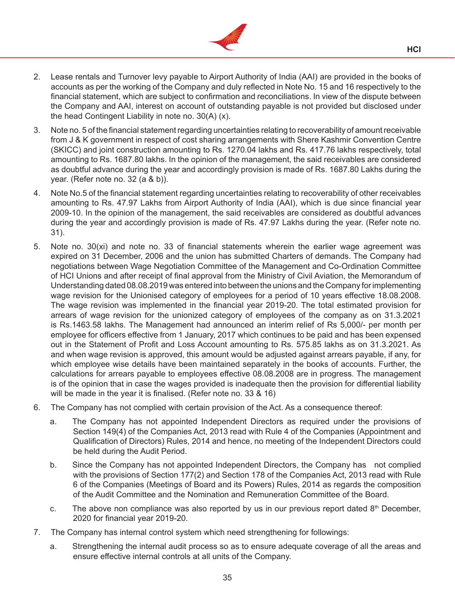

- 2. Lease rentals and Turnover levy payable to Airport Authority of India (AAI) are provided in the books of accounts as per the working of the Company and duly reflected in Note No. 15 and 16 respectively to the financial statement, which are subject to confirmation and reconciliations. In view of the dispute between the Company and AAI, interest on account of outstanding payable is not provided but disclosed under the head Contingent Liability in note no. 30(A) (x).
- 3. Note no. 5 of the financial statement regarding uncertainties relating to recoverability of amount receivable from J & K government in respect of cost sharing arrangements with Shere Kashmir Convention Centre (SKICC) and joint construction amounting to Rs. 1270.04 lakhs and Rs. 417.76 lakhs respectively, total amounting to Rs. 1687.80 lakhs. In the opinion of the management, the said receivables are considered as doubtful advance during the year and accordingly provision is made of Rs. 1687.80 Lakhs during the year. (Refer note no. 32 (a & b)).
- 4. Note No.5 of the financial statement regarding uncertainties relating to recoverability of other receivables amounting to Rs. 47.97 Lakhs from Airport Authority of India (AAI), which is due since financial year 2009-10. In the opinion of the management, the said receivables are considered as doubtful advances during the year and accordingly provision is made of Rs. 47.97 Lakhs during the year. (Refer note no. 31).
- 5. Note no. 30(xi) and note no. 33 of financial statements wherein the earlier wage agreement was expired on 31 December, 2006 and the union has submitted Charters of demands. The Company had negotiations between Wage Negotiation Committee of the Management and Co-Ordination Committee of HCI Unions and after receipt of final approval from the Ministry of Civil Aviation, the Memorandum of Understanding dated 08.08.2019 was entered into between the unions and the Company for implementing wage revision for the Unionised category of employees for a period of 10 years effective 18.08.2008. The wage revision was implemented in the financial year 2019-20. The total estimated provision for arrears of wage revision for the unionized category of employees of the company as on 31.3.2021 is Rs.1463.58 lakhs. The Management had announced an interim relief of Rs 5,000/- per month per employee for officers effective from 1 January, 2017 which continues to be paid and has been expensed out in the Statement of Profit and Loss Account amounting to Rs. 575.85 lakhs as on 31.3.2021. As and when wage revision is approved, this amount would be adjusted against arrears payable, if any, for which employee wise details have been maintained separately in the books of accounts. Further, the calculations for arrears payable to employees effective 08.08.2008 are in progress. The management is of the opinion that in case the wages provided is inadequate then the provision for differential liability will be made in the year it is finalised. (Refer note no. 33 & 16)
- 6. The Company has not complied with certain provision of the Act. As a consequence thereof:
	- a. The Company has not appointed Independent Directors as required under the provisions of Section 149(4) of the Companies Act, 2013 read with Rule 4 of the Companies (Appointment and Qualification of Directors) Rules, 2014 and hence, no meeting of the Independent Directors could be held during the Audit Period.
	- b. Since the Company has not appointed Independent Directors, the Company has not complied with the provisions of Section 177(2) and Section 178 of the Companies Act, 2013 read with Rule 6 of the Companies (Meetings of Board and its Powers) Rules, 2014 as regards the composition of the Audit Committee and the Nomination and Remuneration Committee of the Board.
	- c. The above non compliance was also reported by us in our previous report dated  $8<sup>th</sup>$  December, 2020 for financial year 2019-20.
- 7. The Company has internal control system which need strengthening for followings:
	- a. Strengthening the internal audit process so as to ensure adequate coverage of all the areas and ensure effective internal controls at all units of the Company.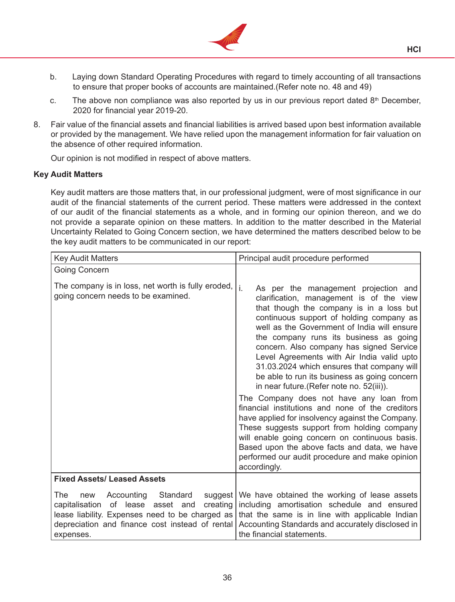

- b. Laying down Standard Operating Procedures with regard to timely accounting of all transactions to ensure that proper books of accounts are maintained.(Refer note no. 48 and 49)
- c. The above non compliance was also reported by us in our previous report dated  $8<sup>th</sup>$  December, 2020 for financial year 2019-20.
- 8. Fair value of the financial assets and financial liabilities is arrived based upon best information available or provided by the management. We have relied upon the management information for fair valuation on the absence of other required information.

 Our opinion is not modified in respect of above matters.

### **Key Audit Matters**

 Key audit matters are those matters that, in our professional judgment, were of most significance in our audit of the financial statements of the current period. These matters were addressed in the context of our audit of the financial statements as a whole, and in forming our opinion thereon, and we do not provide a separate opinion on these matters. In addition to the matter described in the Material Uncertainty Related to Going Concern section, we have determined the matters described below to be the key audit matters to be communicated in our report:

| <b>Key Audit Matters</b>                                                                                                                                                                                 | Principal audit procedure performed                                                                                                                                                                                                                                                                                                                                                                                                                                                                                                                                                                                                                       |  |  |
|----------------------------------------------------------------------------------------------------------------------------------------------------------------------------------------------------------|-----------------------------------------------------------------------------------------------------------------------------------------------------------------------------------------------------------------------------------------------------------------------------------------------------------------------------------------------------------------------------------------------------------------------------------------------------------------------------------------------------------------------------------------------------------------------------------------------------------------------------------------------------------|--|--|
| <b>Going Concern</b>                                                                                                                                                                                     |                                                                                                                                                                                                                                                                                                                                                                                                                                                                                                                                                                                                                                                           |  |  |
| The company is in loss, net worth is fully eroded, $\left  \right $ .<br>going concern needs to be examined.                                                                                             | As per the management projection and<br>clarification, management is of the view<br>that though the company is in a loss but<br>continuous support of holding company as<br>well as the Government of India will ensure<br>the company runs its business as going<br>concern. Also company has signed Service<br>Level Agreements with Air India valid upto<br>31.03.2024 which ensures that company will<br>be able to run its business as going concern<br>in near future. (Refer note no. 52(iii)).<br>The Company does not have any loan from<br>financial institutions and none of the creditors<br>have applied for insolvency against the Company. |  |  |
|                                                                                                                                                                                                          | These suggests support from holding company<br>will enable going concern on continuous basis.<br>Based upon the above facts and data, we have<br>performed our audit procedure and make opinion<br>accordingly.                                                                                                                                                                                                                                                                                                                                                                                                                                           |  |  |
| <b>Fixed Assets/ Leased Assets</b>                                                                                                                                                                       |                                                                                                                                                                                                                                                                                                                                                                                                                                                                                                                                                                                                                                                           |  |  |
| Accounting<br>Standard<br>The<br>new<br>of lease asset and creating<br>capitalisation<br>lease liability. Expenses need to be charged as<br>depreciation and finance cost instead of rental<br>expenses. | suggest   We have obtained the working of lease assets<br>including amortisation schedule and ensured<br>that the same is in line with applicable Indian<br>Accounting Standards and accurately disclosed in<br>the financial statements.                                                                                                                                                                                                                                                                                                                                                                                                                 |  |  |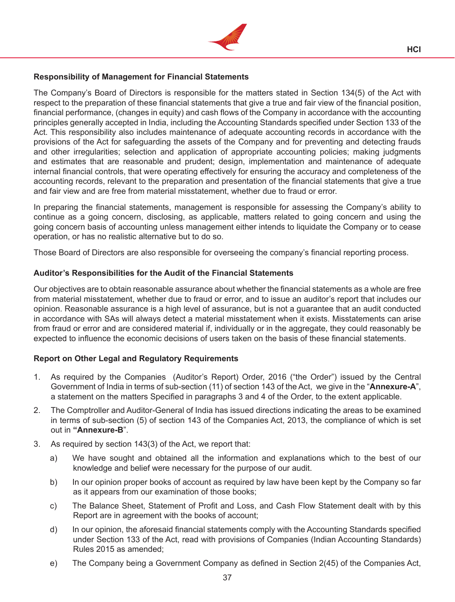

### **Responsibility of Management for Financial Statements**

The Company's Board of Directors is responsible for the matters stated in Section 134(5) of the Act with respect to the preparation of these financial statements that give a true and fair view of the financial position, financial performance, (changes in equity) and cash flows of the Company in accordance with the accounting principles generally accepted in India, including the Accounting Standards specified under Section 133 of the Act. This responsibility also includes maintenance of adequate accounting records in accordance with the provisions of the Act for safeguarding the assets of the Company and for preventing and detecting frauds and other irregularities; selection and application of appropriate accounting policies; making judgments and estimates that are reasonable and prudent; design, implementation and maintenance of adequate internal financial controls, that were operating effectively for ensuring the accuracy and completeness of the accounting records, relevant to the preparation and presentation of the financial statements that give a true and fair view and are free from material misstatement, whether due to fraud or error.

In preparing the financial statements, management is responsible for assessing the Company's ability to continue as a going concern, disclosing, as applicable, matters related to going concern and using the going concern basis of accounting unless management either intends to liquidate the Company or to cease operation, or has no realistic alternative but to do so.

Those Board of Directors are also responsible for overseeing the company's financial reporting process.

### **Auditor's Responsibilities for the Audit of the Financial Statements**

Our objectives are to obtain reasonable assurance about whether the financial statements as a whole are free from material misstatement, whether due to fraud or error, and to issue an auditor's report that includes our opinion. Reasonable assurance is a high level of assurance, but is not a guarantee that an audit conducted in accordance with SAs will always detect a material misstatement when it exists. Misstatements can arise from fraud or error and are considered material if, individually or in the aggregate, they could reasonably be expected to influence the economic decisions of users taken on the basis of these financial statements.

### **Report on Other Legal and Regulatory Requirements**

- 1. As required by the Companies (Auditor's Report) Order, 2016 ("the Order") issued by the Central Government of India in terms of sub-section (11) of section 143 of the Act, we give in the "**Annexure-A**", a statement on the matters Specified in paragraphs 3 and 4 of the Order, to the extent applicable.
- 2. The Comptroller and Auditor-General of India has issued directions indicating the areas to be examined in terms of sub-section (5) of section 143 of the Companies Act, 2013, the compliance of which is set out in **"Annexure-B**".
- 3. As required by section 143(3) of the Act, we report that:
	- a) We have sought and obtained all the information and explanations which to the best of our knowledge and belief were necessary for the purpose of our audit.
	- b) In our opinion proper books of account as required by law have been kept by the Company so far as it appears from our examination of those books;
	- c) The Balance Sheet, Statement of Profit and Loss, and Cash Flow Statement dealt with by this Report are in agreement with the books of account;
	- d) In our opinion, the aforesaid financial statements comply with the Accounting Standards specified under Section 133 of the Act, read with provisions of Companies (Indian Accounting Standards) Rules 2015 as amended;
	- e) The Company being a Government Company as defined in Section 2(45) of the Companies Act,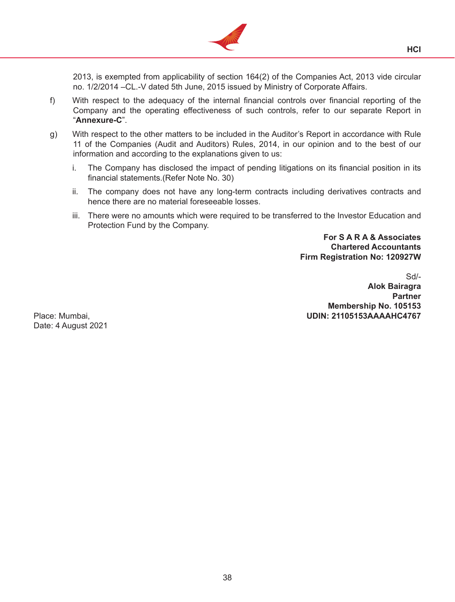

2013, is exempted from applicability of section 164(2) of the Companies Act, 2013 vide circular no. 1/2/2014 –CL.-V dated 5th June, 2015 issued by Ministry of Corporate Affairs.

- f) With respect to the adequacy of the internal financial controls over financial reporting of the Company and the operating effectiveness of such controls, refer to our separate Report in "**Annexure-C**".
- g) With respect to the other matters to be included in the Auditor's Report in accordance with Rule 11 of the Companies (Audit and Auditors) Rules, 2014, in our opinion and to the best of our information and according to the explanations given to us:
	- i. The Company has disclosed the impact of pending litigations on its financial position in its financial statements.(Refer Note No. 30)
	- ii. The company does not have any long-term contracts including derivatives contracts and hence there are no material foreseeable losses.
	- iii. There were no amounts which were required to be transferred to the Investor Education and Protection Fund by the Company.

**For S A R A & Associates Chartered Accountants Firm Registration No: 120927W**

Sd/- **Alok Bairagra Partner Membership No. 105153** Place: Mumbai, **UDIN: 21105153AAAAHC4767**

Date: 4 August 2021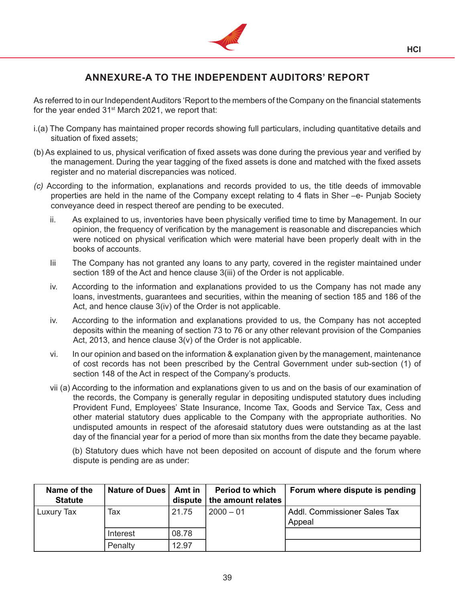

# **ANNEXURE-A TO THE INDEPENDENT AUDITORS' REPORT**

As referred to in our Independent Auditors 'Report to the members of the Company on the financial statements for the year ended  $31<sup>st</sup>$  March 2021, we report that:

- i.(a) The Company has maintained proper records showing full particulars, including quantitative details and situation of fixed assets;
- (b) As explained to us, physical verification of fixed assets was done during the previous year and verified by the management. During the year tagging of the fixed assets is done and matched with the fixed assets register and no material discrepancies was noticed.
- *(c)* According to the information, explanations and records provided to us, the title deeds of immovable properties are held in the name of the Company except relating to 4 flats in Sher –e- Punjab Society conveyance deed in respect thereof are pending to be executed.
	- ii. As explained to us, inventories have been physically verified time to time by Management. In our opinion, the frequency of verification by the management is reasonable and discrepancies which were noticed on physical verification which were material have been properly dealt with in the books of accounts.
	- Iii The Company has not granted any loans to any party, covered in the register maintained under section 189 of the Act and hence clause 3(iii) of the Order is not applicable.
	- iv. According to the information and explanations provided to us the Company has not made any loans, investments, guarantees and securities, within the meaning of section 185 and 186 of the Act, and hence clause 3(iv) of the Order is not applicable.
	- iv. According to the information and explanations provided to us, the Company has not accepted deposits within the meaning of section 73 to 76 or any other relevant provision of the Companies Act, 2013, and hence clause 3(v) of the Order is not applicable.
	- vi. In our opinion and based on the information & explanation given by the management, maintenance of cost records has not been prescribed by the Central Government under sub-section (1) of section 148 of the Act in respect of the Company's products.
	- vii (a) According to the information and explanations given to us and on the basis of our examination of the records, the Company is generally regular in depositing undisputed statutory dues including Provident Fund, Employees' State Insurance, Income Tax, Goods and Service Tax, Cess and other material statutory dues applicable to the Company with the appropriate authorities. No undisputed amounts in respect of the aforesaid statutory dues were outstanding as at the last day of the financial year for a period of more than six months from the date they became payable.

(b) Statutory dues which have not been deposited on account of dispute and the forum where dispute is pending are as under:

| Name of the<br><b>Statute</b> | Nature of Dues | Amt in<br>dispute | <b>Period to which</b><br>the amount relates | Forum where dispute is pending         |
|-------------------------------|----------------|-------------------|----------------------------------------------|----------------------------------------|
| Luxury Tax                    | Tax            | 21.75             | $2000 - 01$                                  | Addl. Commissioner Sales Tax<br>Appeal |
|                               | Interest       | 08.78             |                                              |                                        |
|                               | Penalty        | 12.97             |                                              |                                        |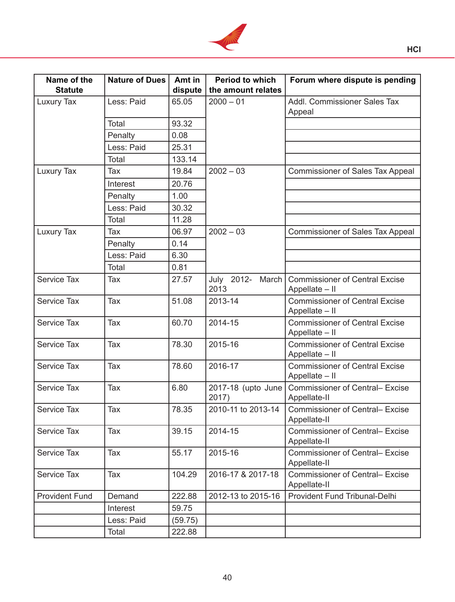

| Name of the<br><b>Statute</b> | <b>Nature of Dues</b> | Amt in<br>dispute | <b>Period to which</b><br>the amount relates | Forum where dispute is pending                          |
|-------------------------------|-----------------------|-------------------|----------------------------------------------|---------------------------------------------------------|
| <b>Luxury Tax</b>             | Less: Paid            | 65.05             | $2000 - 01$                                  | Addl. Commissioner Sales Tax<br>Appeal                  |
|                               | Total                 | 93.32             |                                              |                                                         |
|                               | Penalty               | 0.08              |                                              |                                                         |
|                               | Less: Paid            | 25.31             |                                              |                                                         |
|                               | Total                 | 133.14            |                                              |                                                         |
| <b>Luxury Tax</b>             | Tax                   | 19.84             | $2002 - 03$                                  | <b>Commissioner of Sales Tax Appeal</b>                 |
|                               | <b>Interest</b>       | 20.76             |                                              |                                                         |
|                               | Penalty               | 1.00              |                                              |                                                         |
|                               | Less: Paid            | 30.32             |                                              |                                                         |
|                               | Total                 | 11.28             |                                              |                                                         |
| <b>Luxury Tax</b>             | Tax                   | 06.97             | $2002 - 03$                                  | <b>Commissioner of Sales Tax Appeal</b>                 |
|                               | Penalty               | 0.14              |                                              |                                                         |
|                               | Less: Paid            | 6.30              |                                              |                                                         |
|                               | Total                 | 0.81              |                                              |                                                         |
| <b>Service Tax</b>            | Tax                   | 27.57             | $2012 -$<br>March<br>July<br>2013            | <b>Commissioner of Central Excise</b><br>Appellate - II |
| Service Tax                   | Tax                   | 51.08             | 2013-14                                      | <b>Commissioner of Central Excise</b><br>Appellate - II |
| Service Tax                   | Tax                   | 60.70             | 2014-15                                      | <b>Commissioner of Central Excise</b><br>Appellate - II |
| Service Tax                   | Tax                   | 78.30             | 2015-16                                      | <b>Commissioner of Central Excise</b><br>Appellate - II |
| Service Tax                   | Tax                   | 78.60             | 2016-17                                      | <b>Commissioner of Central Excise</b><br>Appellate - II |
| Service Tax                   | Tax                   | 6.80              | 2017-18 (upto June<br>2017)                  | <b>Commissioner of Central- Excise</b><br>Appellate-II  |
| <b>Service Tax</b>            | Tax                   | 78.35             | 2010-11 to 2013-14                           | <b>Commissioner of Central- Excise</b><br>Appellate-II  |
| Service Tax                   | Tax                   | 39.15             | 2014-15                                      | <b>Commissioner of Central- Excise</b><br>Appellate-II  |
| Service Tax                   | Tax                   | 55.17             | 2015-16                                      | <b>Commissioner of Central- Excise</b><br>Appellate-II  |
| Service Tax                   | Tax                   | 104.29            | 2016-17 & 2017-18                            | <b>Commissioner of Central- Excise</b><br>Appellate-II  |
| <b>Provident Fund</b>         | Demand                | 222.88            | 2012-13 to 2015-16                           | Provident Fund Tribunal-Delhi                           |
|                               | Interest              | 59.75             |                                              |                                                         |
|                               | Less: Paid            | (59.75)           |                                              |                                                         |
|                               | Total                 | 222.88            |                                              |                                                         |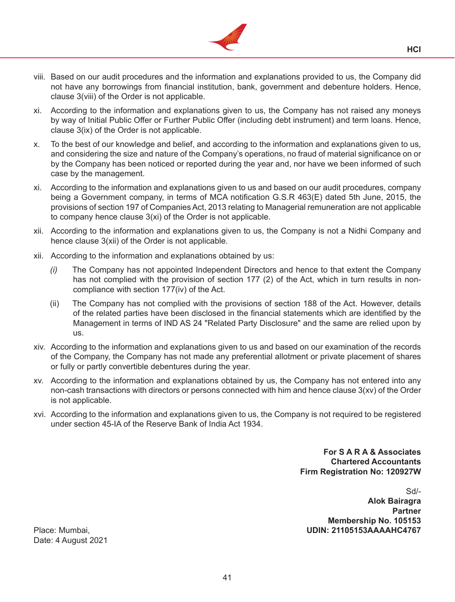

- viii. Based on our audit procedures and the information and explanations provided to us, the Company did not have any borrowings from financial institution, bank, government and debenture holders. Hence, clause 3(viii) of the Order is not applicable.
- xi. According to the information and explanations given to us, the Company has not raised any moneys by way of Initial Public Offer or Further Public Offer (including debt instrument) and term loans. Hence, clause 3(ix) of the Order is not applicable.
- x. To the best of our knowledge and belief, and according to the information and explanations given to us, and considering the size and nature of the Company's operations, no fraud of material significance on or by the Company has been noticed or reported during the year and, nor have we been informed of such case by the management.
- xi. According to the information and explanations given to us and based on our audit procedures, company being a Government company, in terms of MCA notification G.S.R 463(E) dated 5th June, 2015, the provisions of section 197 of Companies Act, 2013 relating to Managerial remuneration are not applicable to company hence clause 3(xi) of the Order is not applicable.
- xii. According to the information and explanations given to us, the Company is not a Nidhi Company and hence clause 3(xii) of the Order is not applicable.
- xii. According to the information and explanations obtained by us:
	- *(i)* The Company has not appointed Independent Directors and hence to that extent the Company has not complied with the provision of section 177 (2) of the Act, which in turn results in noncompliance with section 177(iv) of the Act.
	- (ii) The Company has not complied with the provisions of section 188 of the Act. However, details of the related parties have been disclosed in the financial statements which are identified by the Management in terms of IND AS 24 "Related Party Disclosure" and the same are relied upon by us.
- xiv. According to the information and explanations given to us and based on our examination of the records of the Company, the Company has not made any preferential allotment or private placement of shares or fully or partly convertible debentures during the year.
- xv. According to the information and explanations obtained by us, the Company has not entered into any non-cash transactions with directors or persons connected with him and hence clause 3(xv) of the Order is not applicable.
- xvi. According to the information and explanations given to us, the Company is not required to be registered under section 45-IA of the Reserve Bank of India Act 1934.

**For S A R A & Associates Chartered Accountants Firm Registration No: 120927W**

Sd/- **Alok Bairagra Partner Membership No. 105153** Place: Mumbai, **UDIN: 21105153AAAAHC4767**

Date: 4 August 2021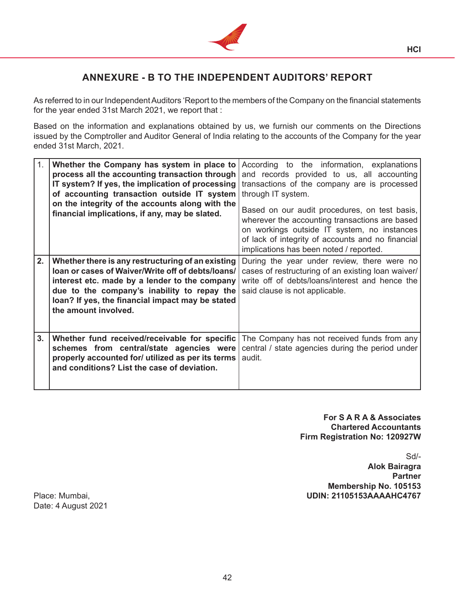

# **ANNEXURE - B TO THE INDEPENDENT AUDITORS' REPORT**

As referred to in our Independent Auditors 'Report to the members of the Company on the financial statements for the year ended 31st March 2021, we report that :

Based on the information and explanations obtained by us, we furnish our comments on the Directions issued by the Comptroller and Auditor General of India relating to the accounts of the Company for the year ended 31st March, 2021.

| 1.<br>2. | Whether the Company has system in place to<br>process all the accounting transaction through<br>IT system? If yes, the implication of processing<br>of accounting transaction outside IT system<br>on the integrity of the accounts along with the<br>financial implications, if any, may be slated.<br>Whether there is any restructuring of an existing | According to the information, explanations<br>and records provided to us, all accounting<br>transactions of the company are is processed<br>through IT system.<br>Based on our audit procedures, on test basis,<br>wherever the accounting transactions are based<br>on workings outside IT system, no instances<br>of lack of integrity of accounts and no financial<br>implications has been noted / reported.<br>During the year under review, there were no |  |  |
|----------|-----------------------------------------------------------------------------------------------------------------------------------------------------------------------------------------------------------------------------------------------------------------------------------------------------------------------------------------------------------|-----------------------------------------------------------------------------------------------------------------------------------------------------------------------------------------------------------------------------------------------------------------------------------------------------------------------------------------------------------------------------------------------------------------------------------------------------------------|--|--|
|          | loan or cases of Waiver/Write off of debts/loans/<br>interest etc. made by a lender to the company<br>due to the company's inability to repay the<br>loan? If yes, the financial impact may be stated<br>the amount involved.                                                                                                                             | cases of restructuring of an existing loan waiver/<br>write off of debts/loans/interest and hence the<br>said clause is not applicable.                                                                                                                                                                                                                                                                                                                         |  |  |
| 3.       | Whether fund received/receivable for specific<br>schemes from central/state agencies were<br>properly accounted for/ utilized as per its terms<br>and conditions? List the case of deviation.                                                                                                                                                             | The Company has not received funds from any<br>central / state agencies during the period under<br>audit.                                                                                                                                                                                                                                                                                                                                                       |  |  |

**For S A R A & Associates Chartered Accountants Firm Registration No: 120927W**

Sd/- **Alok Bairagra Partner Membership No. 105153** Place: Mumbai, **UDIN: 21105153AAAAHC4767**

Date: 4 August 2021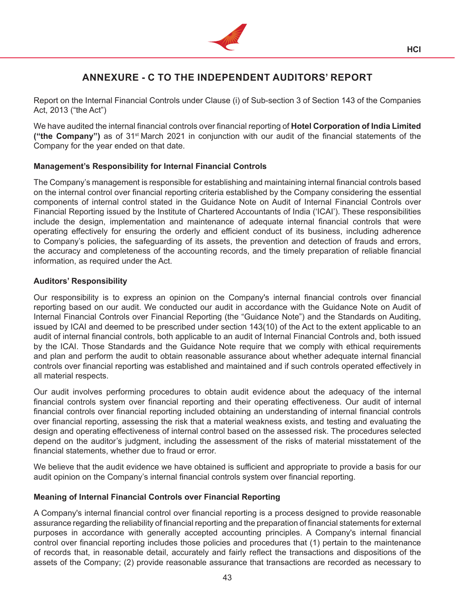

# **ANNEXURE - C TO THE INDEPENDENT AUDITORS' REPORT**

Report on the Internal Financial Controls under Clause (i) of Sub-section 3 of Section 143 of the Companies Act, 2013 ("the Act")

We have audited the internal financial controls over financial reporting of **Hotel Corporation of India Limited ("the Company")** as of 31st March 2021 in conjunction with our audit of the financial statements of the Company for the year ended on that date.

## **Management's Responsibility for Internal Financial Controls**

The Company's management is responsible for establishing and maintaining internal financial controls based on the internal control over financial reporting criteria established by the Company considering the essential components of internal control stated in the Guidance Note on Audit of Internal Financial Controls over Financial Reporting issued by the Institute of Chartered Accountants of India ('ICAI'). These responsibilities include the design, implementation and maintenance of adequate internal financial controls that were operating effectively for ensuring the orderly and efficient conduct of its business, including adherence to Company's policies, the safeguarding of its assets, the prevention and detection of frauds and errors, the accuracy and completeness of the accounting records, and the timely preparation of reliable financial information, as required under the Act.

### **Auditors' Responsibility**

Our responsibility is to express an opinion on the Company's internal financial controls over financial reporting based on our audit. We conducted our audit in accordance with the Guidance Note on Audit of Internal Financial Controls over Financial Reporting (the "Guidance Note") and the Standards on Auditing, issued by ICAI and deemed to be prescribed under section 143(10) of the Act to the extent applicable to an audit of internal financial controls, both applicable to an audit of Internal Financial Controls and, both issued by the ICAI. Those Standards and the Guidance Note require that we comply with ethical requirements and plan and perform the audit to obtain reasonable assurance about whether adequate internal financial controls over financial reporting was established and maintained and if such controls operated effectively in all material respects.

Our audit involves performing procedures to obtain audit evidence about the adequacy of the internal financial controls system over financial reporting and their operating effectiveness. Our audit of internal financial controls over financial reporting included obtaining an understanding of internal financial controls over financial reporting, assessing the risk that a material weakness exists, and testing and evaluating the design and operating effectiveness of internal control based on the assessed risk. The procedures selected depend on the auditor's judgment, including the assessment of the risks of material misstatement of the financial statements, whether due to fraud or error.

We believe that the audit evidence we have obtained is sufficient and appropriate to provide a basis for our audit opinion on the Company's internal financial controls system over financial reporting.

## **Meaning of Internal Financial Controls over Financial Reporting**

A Company's internal financial control over financial reporting is a process designed to provide reasonable assurance regarding the reliability of financial reporting and the preparation of financial statements for external purposes in accordance with generally accepted accounting principles. A Company's internal financial control over financial reporting includes those policies and procedures that (1) pertain to the maintenance of records that, in reasonable detail, accurately and fairly reflect the transactions and dispositions of the assets of the Company; (2) provide reasonable assurance that transactions are recorded as necessary to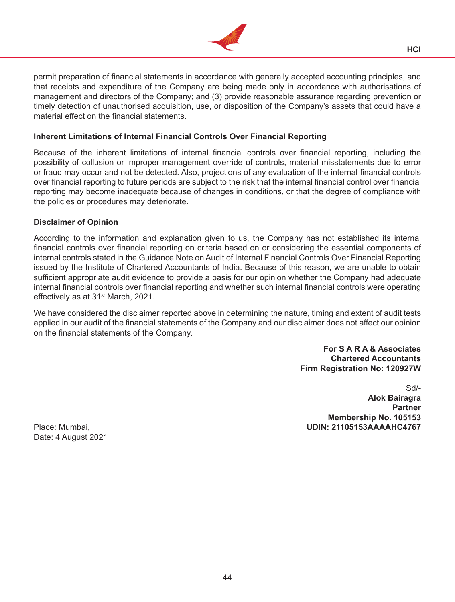

permit preparation of financial statements in accordance with generally accepted accounting principles, and that receipts and expenditure of the Company are being made only in accordance with authorisations of management and directors of the Company; and (3) provide reasonable assurance regarding prevention or timely detection of unauthorised acquisition, use, or disposition of the Company's assets that could have a material effect on the financial statements.

### **Inherent Limitations of Internal Financial Controls Over Financial Reporting**

Because of the inherent limitations of internal financial controls over financial reporting, including the possibility of collusion or improper management override of controls, material misstatements due to error or fraud may occur and not be detected. Also, projections of any evaluation of the internal financial controls over financial reporting to future periods are subject to the risk that the internal financial control over financial reporting may become inadequate because of changes in conditions, or that the degree of compliance with the policies or procedures may deteriorate.

### **Disclaimer of Opinion**

According to the information and explanation given to us, the Company has not established its internal financial controls over financial reporting on criteria based on or considering the essential components of internal controls stated in the Guidance Note on Audit of Internal Financial Controls Over Financial Reporting issued by the Institute of Chartered Accountants of India. Because of this reason, we are unable to obtain sufficient appropriate audit evidence to provide a basis for our opinion whether the Company had adequate internal financial controls over financial reporting and whether such internal financial controls were operating effectively as at 31<sup>st</sup> March, 2021.

We have considered the disclaimer reported above in determining the nature, timing and extent of audit tests applied in our audit of the financial statements of the Company and our disclaimer does not affect our opinion on the financial statements of the Company.

> **For S A R A & Associates Chartered Accountants Firm Registration No: 120927W**

Sd/- **Alok Bairagra Partner Membership No. 105153** Place: Mumbai, **UDIN: 21105153AAAAHC4767**

Date: 4 August 2021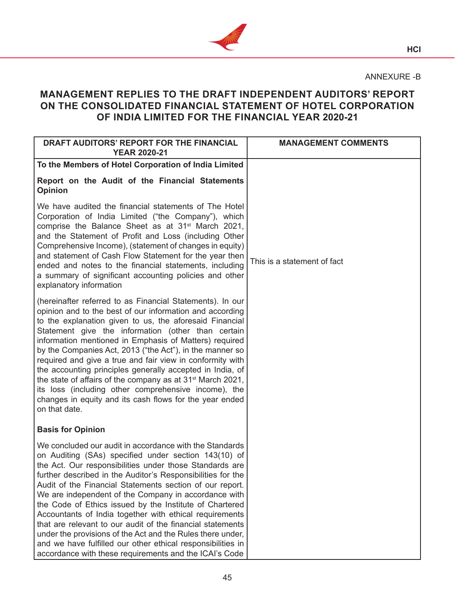

ANNEXURE -B

# **MANAGEMENT REPLIES TO THE DRAFT INDEPENDENT AUDITORS' REPORT ON THE CONSOLIDATED FINANCIAL STATEMENT OF HOTEL CORPORATION OF INDIA LIMITED FOR THE FINANCIAL YEAR 2020-21**

| <b>DRAFT AUDITORS' REPORT FOR THE FINANCIAL</b><br><b>YEAR 2020-21</b>                                                                                                                                                                                                                                                                                                                                                                                                                                                                                                                                                                                                                                                                   | <b>MANAGEMENT COMMENTS</b>  |
|------------------------------------------------------------------------------------------------------------------------------------------------------------------------------------------------------------------------------------------------------------------------------------------------------------------------------------------------------------------------------------------------------------------------------------------------------------------------------------------------------------------------------------------------------------------------------------------------------------------------------------------------------------------------------------------------------------------------------------------|-----------------------------|
| To the Members of Hotel Corporation of India Limited                                                                                                                                                                                                                                                                                                                                                                                                                                                                                                                                                                                                                                                                                     |                             |
| Report on the Audit of the Financial Statements<br><b>Opinion</b>                                                                                                                                                                                                                                                                                                                                                                                                                                                                                                                                                                                                                                                                        |                             |
| We have audited the financial statements of The Hotel<br>Corporation of India Limited ("the Company"), which<br>comprise the Balance Sheet as at 31 <sup>st</sup> March 2021,<br>and the Statement of Profit and Loss (including Other<br>Comprehensive Income), (statement of changes in equity)<br>and statement of Cash Flow Statement for the year then<br>ended and notes to the financial statements, including<br>a summary of significant accounting policies and other<br>explanatory information                                                                                                                                                                                                                               | This is a statement of fact |
| (hereinafter referred to as Financial Statements). In our<br>opinion and to the best of our information and according<br>to the explanation given to us, the aforesaid Financial<br>Statement give the information (other than certain<br>information mentioned in Emphasis of Matters) required<br>by the Companies Act, 2013 ("the Act"), in the manner so<br>required and give a true and fair view in conformity with<br>the accounting principles generally accepted in India, of<br>the state of affairs of the company as at 31 <sup>st</sup> March 2021,<br>its loss (including other comprehensive income), the<br>changes in equity and its cash flows for the year ended<br>on that date.                                     |                             |
| <b>Basis for Opinion</b>                                                                                                                                                                                                                                                                                                                                                                                                                                                                                                                                                                                                                                                                                                                 |                             |
| We concluded our audit in accordance with the Standards<br>on Auditing (SAs) specified under section 143(10) of<br>the Act. Our responsibilities under those Standards are<br>further described in the Auditor's Responsibilities for the<br>Audit of the Financial Statements section of our report.<br>We are independent of the Company in accordance with<br>the Code of Ethics issued by the Institute of Chartered<br>Accountants of India together with ethical requirements<br>that are relevant to our audit of the financial statements<br>under the provisions of the Act and the Rules there under,<br>and we have fulfilled our other ethical responsibilities in<br>accordance with these requirements and the ICAI's Code |                             |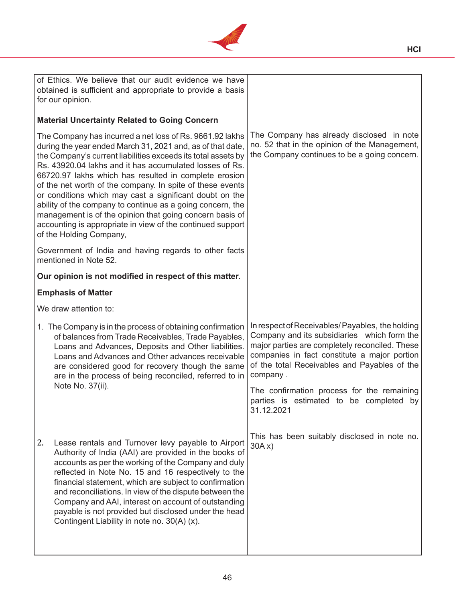

of Ethics. We believe that our audit evidence we have obtained is sufficient and appropriate to provide a basis

| for our opinion.                                                                                                                                                                                                                                                                                                                                                                                                                                                                                                                                                                                                                                       |                                                                                                                                                                                                                                                                                                                                                                     |  |  |  |
|--------------------------------------------------------------------------------------------------------------------------------------------------------------------------------------------------------------------------------------------------------------------------------------------------------------------------------------------------------------------------------------------------------------------------------------------------------------------------------------------------------------------------------------------------------------------------------------------------------------------------------------------------------|---------------------------------------------------------------------------------------------------------------------------------------------------------------------------------------------------------------------------------------------------------------------------------------------------------------------------------------------------------------------|--|--|--|
| <b>Material Uncertainty Related to Going Concern</b>                                                                                                                                                                                                                                                                                                                                                                                                                                                                                                                                                                                                   |                                                                                                                                                                                                                                                                                                                                                                     |  |  |  |
| The Company has incurred a net loss of Rs. 9661.92 lakhs<br>during the year ended March 31, 2021 and, as of that date,<br>the Company's current liabilities exceeds its total assets by<br>Rs. 43920.04 lakhs and it has accumulated losses of Rs.<br>66720.97 lakhs which has resulted in complete erosion<br>of the net worth of the company. In spite of these events<br>or conditions which may cast a significant doubt on the<br>ability of the company to continue as a going concern, the<br>management is of the opinion that going concern basis of<br>accounting is appropriate in view of the continued support<br>of the Holding Company, | The Company has already disclosed in note<br>no. 52 that in the opinion of the Management,<br>the Company continues to be a going concern.                                                                                                                                                                                                                          |  |  |  |
| Government of India and having regards to other facts<br>mentioned in Note 52.                                                                                                                                                                                                                                                                                                                                                                                                                                                                                                                                                                         |                                                                                                                                                                                                                                                                                                                                                                     |  |  |  |
| Our opinion is not modified in respect of this matter.                                                                                                                                                                                                                                                                                                                                                                                                                                                                                                                                                                                                 |                                                                                                                                                                                                                                                                                                                                                                     |  |  |  |
| <b>Emphasis of Matter</b>                                                                                                                                                                                                                                                                                                                                                                                                                                                                                                                                                                                                                              |                                                                                                                                                                                                                                                                                                                                                                     |  |  |  |
| We draw attention to:                                                                                                                                                                                                                                                                                                                                                                                                                                                                                                                                                                                                                                  |                                                                                                                                                                                                                                                                                                                                                                     |  |  |  |
| 1. The Company is in the process of obtaining confirmation<br>of balances from Trade Receivables, Trade Payables,<br>Loans and Advances, Deposits and Other liabilities.<br>Loans and Advances and Other advances receivable<br>are considered good for recovery though the same<br>are in the process of being reconciled, referred to in<br>Note No. 37(ii).                                                                                                                                                                                                                                                                                         | In respect of Receivables/Payables, the holding<br>Company and its subsidiaries which form the<br>major parties are completely reconciled. These<br>companies in fact constitute a major portion<br>of the total Receivables and Payables of the<br>company.<br>The confirmation process for the remaining<br>parties is estimated to be completed by<br>31.12.2021 |  |  |  |
| Lease rentals and Turnover levy payable to Airport<br>2.<br>Authority of India (AAI) are provided in the books of<br>accounts as per the working of the Company and duly<br>reflected in Note No. 15 and 16 respectively to the<br>financial statement, which are subject to confirmation<br>and reconciliations. In view of the dispute between the<br>Company and AAI, interest on account of outstanding<br>payable is not provided but disclosed under the head<br>Contingent Liability in note no. 30(A) (x).                                                                                                                                     | This has been suitably disclosed in note no.<br>30A x                                                                                                                                                                                                                                                                                                               |  |  |  |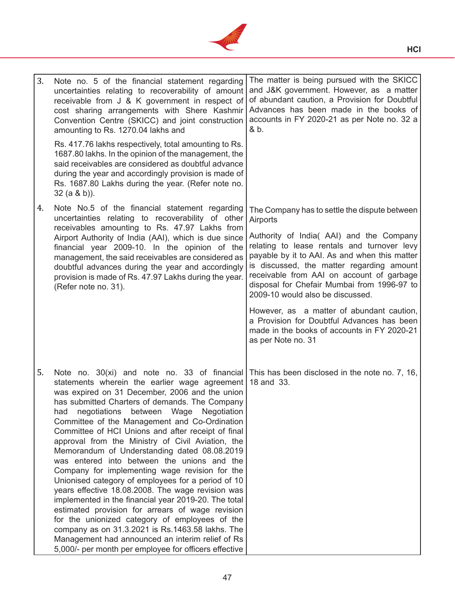

**HCI**

| 3. | Note no. 5 of the financial statement regarding<br>uncertainties relating to recoverability of amount<br>receivable from J & K government in respect of<br>cost sharing arrangements with Shere Kashmir<br>Convention Centre (SKICC) and joint construction<br>amounting to Rs. 1270.04 lakhs and                                                                                                                                                                                                                                                                                                                                                                                                                                                                                                                                                                                                                                                                                                                                                       | The matter is being pursued with the SKICC<br>and J&K government. However, as a matter<br>of abundant caution, a Provision for Doubtful<br>Advances has been made in the books of<br>accounts in FY 2020-21 as per Note no. 32 a<br>& b.                                                                                                                                           |
|----|---------------------------------------------------------------------------------------------------------------------------------------------------------------------------------------------------------------------------------------------------------------------------------------------------------------------------------------------------------------------------------------------------------------------------------------------------------------------------------------------------------------------------------------------------------------------------------------------------------------------------------------------------------------------------------------------------------------------------------------------------------------------------------------------------------------------------------------------------------------------------------------------------------------------------------------------------------------------------------------------------------------------------------------------------------|------------------------------------------------------------------------------------------------------------------------------------------------------------------------------------------------------------------------------------------------------------------------------------------------------------------------------------------------------------------------------------|
|    | Rs. 417.76 lakhs respectively, total amounting to Rs.<br>1687.80 lakhs. In the opinion of the management, the<br>said receivables are considered as doubtful advance<br>during the year and accordingly provision is made of<br>Rs. 1687.80 Lakhs during the year. (Refer note no.<br>32 (a & b)).                                                                                                                                                                                                                                                                                                                                                                                                                                                                                                                                                                                                                                                                                                                                                      |                                                                                                                                                                                                                                                                                                                                                                                    |
| 4. | Note No.5 of the financial statement regarding<br>uncertainties relating to recoverability of other<br>receivables amounting to Rs. 47.97 Lakhs from<br>Airport Authority of India (AAI), which is due since<br>financial year 2009-10. In the opinion of the<br>management, the said receivables are considered as<br>doubtful advances during the year and accordingly<br>provision is made of Rs. 47.97 Lakhs during the year.<br>(Refer note no. 31).                                                                                                                                                                                                                                                                                                                                                                                                                                                                                                                                                                                               | The Company has to settle the dispute between<br>Airports<br>Authority of India( AAI) and the Company<br>relating to lease rentals and turnover levy<br>payable by it to AAI. As and when this matter<br>is discussed, the matter regarding amount<br>receivable from AAI on account of garbage<br>disposal for Chefair Mumbai from 1996-97 to<br>2009-10 would also be discussed. |
|    |                                                                                                                                                                                                                                                                                                                                                                                                                                                                                                                                                                                                                                                                                                                                                                                                                                                                                                                                                                                                                                                         | However, as a matter of abundant caution,<br>a Provision for Doubtful Advances has been<br>made in the books of accounts in FY 2020-21<br>as per Note no. 31                                                                                                                                                                                                                       |
| 5. | Note no. 30(xi) and note no. 33 of financial This has been disclosed in the note no. 7, 16,<br>statements wherein the earlier wage agreement<br>was expired on 31 December, 2006 and the union<br>has submitted Charters of demands. The Company<br>negotiations between Wage Negotiation<br>had<br>Committee of the Management and Co-Ordination<br>Committee of HCI Unions and after receipt of final<br>approval from the Ministry of Civil Aviation, the<br>Memorandum of Understanding dated 08.08.2019<br>was entered into between the unions and the<br>Company for implementing wage revision for the<br>Unionised category of employees for a period of 10<br>years effective 18.08.2008. The wage revision was<br>implemented in the financial year 2019-20. The total<br>estimated provision for arrears of wage revision<br>for the unionized category of employees of the<br>company as on 31.3.2021 is Rs.1463.58 lakhs. The<br>Management had announced an interim relief of Rs<br>5,000/- per month per employee for officers effective | 18 and 33.                                                                                                                                                                                                                                                                                                                                                                         |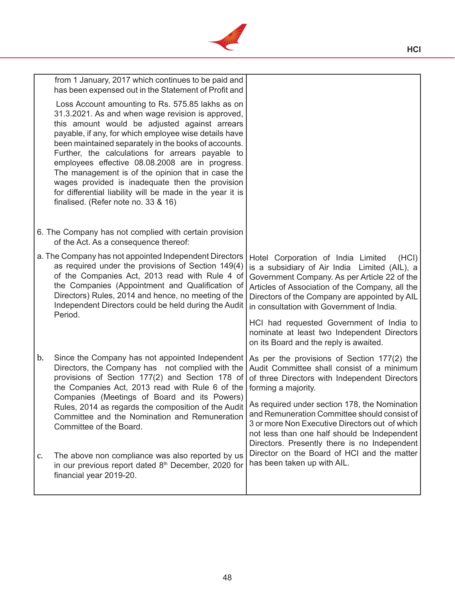

**HCI**

|    | from 1 January, 2017 which continues to be paid and<br>has been expensed out in the Statement of Profit and                                                                                                                                                                                                                                                                                                                                                                                                                                                                                |                                                                                                                                                                                                                                                                                               |
|----|--------------------------------------------------------------------------------------------------------------------------------------------------------------------------------------------------------------------------------------------------------------------------------------------------------------------------------------------------------------------------------------------------------------------------------------------------------------------------------------------------------------------------------------------------------------------------------------------|-----------------------------------------------------------------------------------------------------------------------------------------------------------------------------------------------------------------------------------------------------------------------------------------------|
|    | Loss Account amounting to Rs. 575.85 lakhs as on<br>31.3.2021. As and when wage revision is approved,<br>this amount would be adjusted against arrears<br>payable, if any, for which employee wise details have<br>been maintained separately in the books of accounts.<br>Further, the calculations for arrears payable to<br>employees effective 08.08.2008 are in progress.<br>The management is of the opinion that in case the<br>wages provided is inadequate then the provision<br>for differential liability will be made in the year it is<br>finalised. (Refer note no. 33 & 16) |                                                                                                                                                                                                                                                                                               |
|    | 6. The Company has not complied with certain provision<br>of the Act. As a consequence thereof:                                                                                                                                                                                                                                                                                                                                                                                                                                                                                            |                                                                                                                                                                                                                                                                                               |
|    | a. The Company has not appointed Independent Directors<br>as required under the provisions of Section 149(4)<br>of the Companies Act, 2013 read with Rule 4 of<br>the Companies (Appointment and Qualification of<br>Directors) Rules, 2014 and hence, no meeting of the<br>Independent Directors could be held during the Audit<br>Period.                                                                                                                                                                                                                                                | Hotel Corporation of India Limited<br>(HCI)<br>is a subsidiary of Air India Limited (AIL), a<br>Government Company. As per Article 22 of the<br>Articles of Association of the Company, all the<br>Directors of the Company are appointed by AIL<br>in consultation with Government of India. |
|    |                                                                                                                                                                                                                                                                                                                                                                                                                                                                                                                                                                                            | HCI had requested Government of India to<br>nominate at least two Independent Directors<br>on its Board and the reply is awaited.                                                                                                                                                             |
| b. | Since the Company has not appointed Independent<br>Directors, the Company has not complied with the<br>provisions of Section 177(2) and Section 178 of<br>the Companies Act, 2013 read with Rule 6 of the                                                                                                                                                                                                                                                                                                                                                                                  | As per the provisions of Section 177(2) the<br>Audit Committee shall consist of a minimum<br>of three Directors with Independent Directors<br>forming a majority.                                                                                                                             |
|    | Companies (Meetings of Board and its Powers)<br>Rules, 2014 as regards the composition of the Audit<br>Committee and the Nomination and Remuneration<br>Committee of the Board.                                                                                                                                                                                                                                                                                                                                                                                                            | As required under section 178, the Nomination<br>and Remuneration Committee should consist of<br>3 or more Non Executive Directors out of which<br>not less than one half should be Independent<br>Directors. Presently there is no Independent                                               |
| c. | The above non compliance was also reported by us<br>in our previous report dated 8th December, 2020 for<br>financial year 2019-20.                                                                                                                                                                                                                                                                                                                                                                                                                                                         | Director on the Board of HCI and the matter<br>has been taken up with AIL.                                                                                                                                                                                                                    |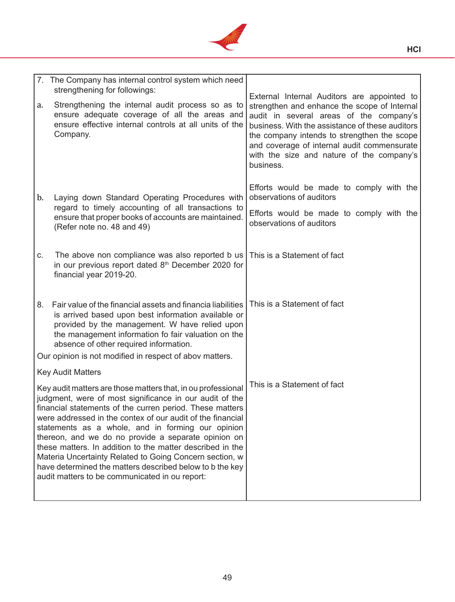

|                                                                                                                                                                                                                                                                                                                                                                                                                                                                                                                                                                                                                                 | 7. The Company has internal control system which need<br>strengthening for followings:                                                                                                                                                                                | External Internal Auditors are appointed to                                                                                                                                                                                                                                                        |
|---------------------------------------------------------------------------------------------------------------------------------------------------------------------------------------------------------------------------------------------------------------------------------------------------------------------------------------------------------------------------------------------------------------------------------------------------------------------------------------------------------------------------------------------------------------------------------------------------------------------------------|-----------------------------------------------------------------------------------------------------------------------------------------------------------------------------------------------------------------------------------------------------------------------|----------------------------------------------------------------------------------------------------------------------------------------------------------------------------------------------------------------------------------------------------------------------------------------------------|
| a.                                                                                                                                                                                                                                                                                                                                                                                                                                                                                                                                                                                                                              | Strengthening the internal audit process so as to<br>ensure adequate coverage of all the areas and<br>ensure effective internal controls at all units of the<br>Company.                                                                                              | strengthen and enhance the scope of Internal<br>audit in several areas of the company's<br>business. With the assistance of these auditors<br>the company intends to strengthen the scope<br>and coverage of internal audit commensurate<br>with the size and nature of the company's<br>business. |
| b.                                                                                                                                                                                                                                                                                                                                                                                                                                                                                                                                                                                                                              | Laying down Standard Operating Procedures with                                                                                                                                                                                                                        | Efforts would be made to comply with the<br>observations of auditors                                                                                                                                                                                                                               |
|                                                                                                                                                                                                                                                                                                                                                                                                                                                                                                                                                                                                                                 | regard to timely accounting of all transactions to<br>ensure that proper books of accounts are maintained.<br>(Refer note no. 48 and 49)                                                                                                                              | Efforts would be made to comply with the<br>observations of auditors                                                                                                                                                                                                                               |
| C.                                                                                                                                                                                                                                                                                                                                                                                                                                                                                                                                                                                                                              | The above non compliance was also reported b us<br>in our previous report dated 8 <sup>th</sup> December 2020 for<br>financial year 2019-20.                                                                                                                          | This is a Statement of fact                                                                                                                                                                                                                                                                        |
| 8.                                                                                                                                                                                                                                                                                                                                                                                                                                                                                                                                                                                                                              | Fair value of the financial assets and financia liabilities<br>is arrived based upon best information available or<br>provided by the management. W have relied upon<br>the management information fo fair valuation on the<br>absence of other required information. | This is a Statement of fact                                                                                                                                                                                                                                                                        |
|                                                                                                                                                                                                                                                                                                                                                                                                                                                                                                                                                                                                                                 | Our opinion is not modified in respect of abov matters.                                                                                                                                                                                                               |                                                                                                                                                                                                                                                                                                    |
| <b>Key Audit Matters</b><br>Key audit matters are those matters that, in ou professional<br>judgment, were of most significance in our audit of the<br>financial statements of the curren period. These matters<br>were addressed in the contex of our audit of the financial<br>statements as a whole, and in forming our opinion<br>thereon, and we do no provide a separate opinion on<br>these matters. In addition to the matter described in the<br>Materia Uncertainty Related to Going Concern section, w<br>have determined the matters described below to b the key<br>audit matters to be communicated in ou report: |                                                                                                                                                                                                                                                                       | This is a Statement of fact                                                                                                                                                                                                                                                                        |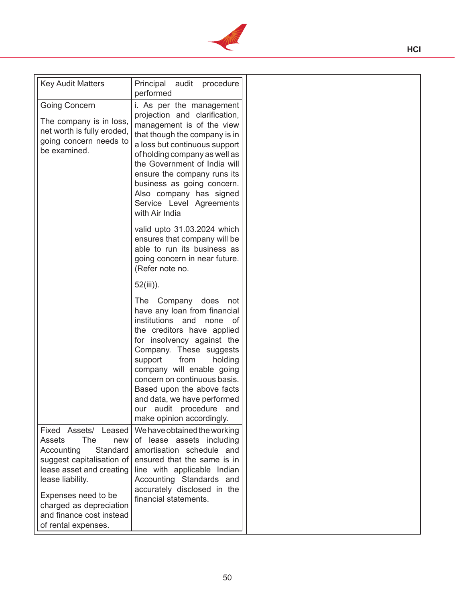

| <b>Key Audit Matters</b>                                                                                                                                                                                                                                                       | Principal<br>audit<br>procedure<br>performed                                                                                                                                                                                                                                                                                                                                                                                                                                                                                                                                                                                                                                                                                                                                                                                                                                                    |  |  |  |  |  |
|--------------------------------------------------------------------------------------------------------------------------------------------------------------------------------------------------------------------------------------------------------------------------------|-------------------------------------------------------------------------------------------------------------------------------------------------------------------------------------------------------------------------------------------------------------------------------------------------------------------------------------------------------------------------------------------------------------------------------------------------------------------------------------------------------------------------------------------------------------------------------------------------------------------------------------------------------------------------------------------------------------------------------------------------------------------------------------------------------------------------------------------------------------------------------------------------|--|--|--|--|--|
| <b>Going Concern</b><br>The company is in loss,<br>net worth is fully eroded,<br>going concern needs to<br>be examined.                                                                                                                                                        | i. As per the management<br>projection and clarification,<br>management is of the view<br>that though the company is in<br>a loss but continuous support<br>of holding company as well as<br>the Government of India will<br>ensure the company runs its<br>business as going concern.<br>Also company has signed<br>Service Level Agreements<br>with Air India<br>valid upto 31.03.2024 which<br>ensures that company will be<br>able to run its business as<br>going concern in near future.<br>(Refer note no.<br>52(iii)).<br>The Company does<br>not<br>have any loan from financial<br>institutions and none of<br>the creditors have applied<br>for insolvency against the<br>Company. These suggests<br>from<br>support<br>holding<br>company will enable going<br>concern on continuous basis.<br>Based upon the above facts<br>and data, we have performed<br>our audit procedure and |  |  |  |  |  |
| Fixed Assets/ Leased<br>The<br><b>Assets</b><br>new <sub>l</sub><br>Accounting<br>Standard  <br>suggest capitalisation of<br>lease asset and creating<br>lease liability.<br>Expenses need to be<br>charged as depreciation<br>and finance cost instead<br>of rental expenses. | make opinion accordingly.<br>We have obtained the working<br>of lease assets including<br>amortisation schedule and<br>ensured that the same is in<br>line with applicable Indian<br>Accounting Standards and<br>accurately disclosed in the<br>financial statements.                                                                                                                                                                                                                                                                                                                                                                                                                                                                                                                                                                                                                           |  |  |  |  |  |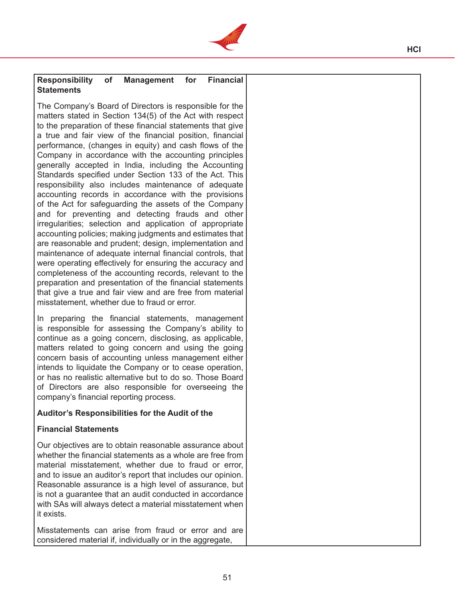

## **Responsibility of Management for Financial Statements**

The Company's Board of Directors is responsible for the matters stated in Section 134(5) of the Act with respect to the preparation of these financial statements that give a true and fair view of the financial position, financial performance, (changes in equity) and cash flows of the Company in accordance with the accounting principles generally accepted in India, including the Accounting Standards specified under Section 133 of the Act. This responsibility also includes maintenance of adequate accounting records in accordance with the provisions of the Act for safeguarding the assets of the Company and for preventing and detecting frauds and other irregularities; selection and application of appropriate accounting policies; making judgments and estimates that are reasonable and prudent; design, implementation and maintenance of adequate internal financial controls, that were operating effectively for ensuring the accuracy and completeness of the accounting records, relevant to the preparation and presentation of the financial statements that give a true and fair view and are free from material misstatement, whether due to fraud or error.

In preparing the financial statements, management is responsible for assessing the Company's ability to continue as a going concern, disclosing, as applicable, matters related to going concern and using the going concern basis of accounting unless management either intends to liquidate the Company or to cease operation, or has no realistic alternative but to do so. Those Board of Directors are also responsible for overseeing the company's financial reporting process.

### **Auditor's Responsibilities for the Audit of the**

### **Financial Statements**

Our objectives are to obtain reasonable assurance about whether the financial statements as a whole are free from material misstatement, whether due to fraud or error, and to issue an auditor's report that includes our opinion. Reasonable assurance is a high level of assurance, but is not a guarantee that an audit conducted in accordance with SAs will always detect a material misstatement when it exists.

Misstatements can arise from fraud or error and are considered material if, individually or in the aggregate,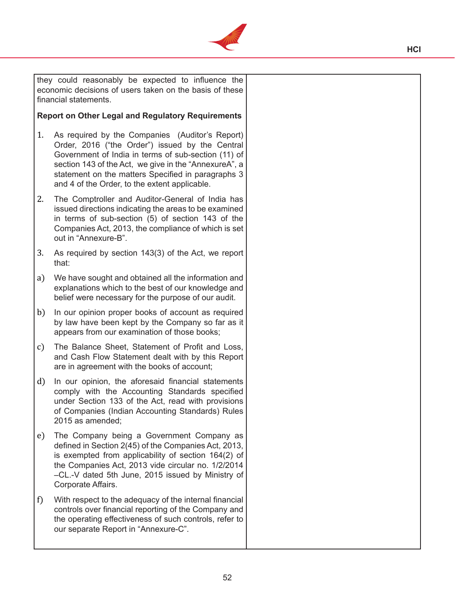

they could reasonably be expected to influence the economic decisions of users taken on the basis of these financial statements.

### **Report on Other Legal and Regulatory Requirements**

- 1. As required by the Companies (Auditor's Report) Order, 2016 ("the Order") issued by the Central Government of India in terms of sub-section (11) of section 143 of the Act, we give in the "AnnexureA", a statement on the matters Specified in paragraphs 3 and 4 of the Order, to the extent applicable.
- 2. The Comptroller and Auditor-General of India has issued directions indicating the areas to be examined in terms of sub-section (5) of section 143 of the Companies Act, 2013, the compliance of which is set out in "Annexure-B".
- 3. As required by section 143(3) of the Act, we report that:
- a) We have sought and obtained all the information and explanations which to the best of our knowledge and belief were necessary for the purpose of our audit.
- b) In our opinion proper books of account as required by law have been kept by the Company so far as it appears from our examination of those books;
- c) The Balance Sheet, Statement of Profit and Loss, and Cash Flow Statement dealt with by this Report are in agreement with the books of account;
- d) In our opinion, the aforesaid financial statements comply with the Accounting Standards specified under Section 133 of the Act, read with provisions of Companies (Indian Accounting Standards) Rules 2015 as amended;
- e) The Company being a Government Company as defined in Section 2(45) of the Companies Act, 2013, is exempted from applicability of section 164(2) of the Companies Act, 2013 vide circular no. 1/2/2014 –CL.-V dated 5th June, 2015 issued by Ministry of Corporate Affairs.
- f) With respect to the adequacy of the internal financial controls over financial reporting of the Company and the operating effectiveness of such controls, refer to our separate Report in "Annexure-C".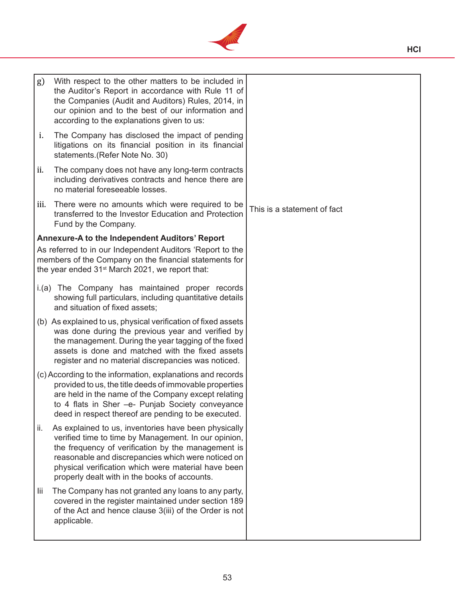

| g)   | With respect to the other matters to be included in<br>the Auditor's Report in accordance with Rule 11 of<br>the Companies (Audit and Auditors) Rules, 2014, in<br>our opinion and to the best of our information and<br>according to the explanations given to us:                                                              |                             |
|------|----------------------------------------------------------------------------------------------------------------------------------------------------------------------------------------------------------------------------------------------------------------------------------------------------------------------------------|-----------------------------|
| i.   | The Company has disclosed the impact of pending<br>litigations on its financial position in its financial<br>statements.(Refer Note No. 30)                                                                                                                                                                                      |                             |
| ii.  | The company does not have any long-term contracts<br>including derivatives contracts and hence there are<br>no material foreseeable losses.                                                                                                                                                                                      |                             |
| iii. | There were no amounts which were required to be<br>transferred to the Investor Education and Protection<br>Fund by the Company.                                                                                                                                                                                                  | This is a statement of fact |
|      | <b>Annexure-A to the Independent Auditors' Report</b>                                                                                                                                                                                                                                                                            |                             |
|      | As referred to in our Independent Auditors 'Report to the<br>members of the Company on the financial statements for<br>the year ended 31 <sup>st</sup> March 2021, we report that:                                                                                                                                               |                             |
|      | i.(a) The Company has maintained proper records<br>showing full particulars, including quantitative details<br>and situation of fixed assets;                                                                                                                                                                                    |                             |
|      | (b) As explained to us, physical verification of fixed assets<br>was done during the previous year and verified by<br>the management. During the year tagging of the fixed<br>assets is done and matched with the fixed assets<br>register and no material discrepancies was noticed.                                            |                             |
|      | (c) According to the information, explanations and records<br>provided to us, the title deeds of immovable properties<br>are held in the name of the Company except relating<br>to 4 flats in Sher -e- Punjab Society conveyance<br>deed in respect thereof are pending to be executed.                                          |                             |
| ii.  | As explained to us, inventories have been physically<br>verified time to time by Management. In our opinion,<br>the frequency of verification by the management is<br>reasonable and discrepancies which were noticed on<br>physical verification which were material have been<br>properly dealt with in the books of accounts. |                             |
| lii  | The Company has not granted any loans to any party,<br>covered in the register maintained under section 189<br>of the Act and hence clause 3(iii) of the Order is not<br>applicable.                                                                                                                                             |                             |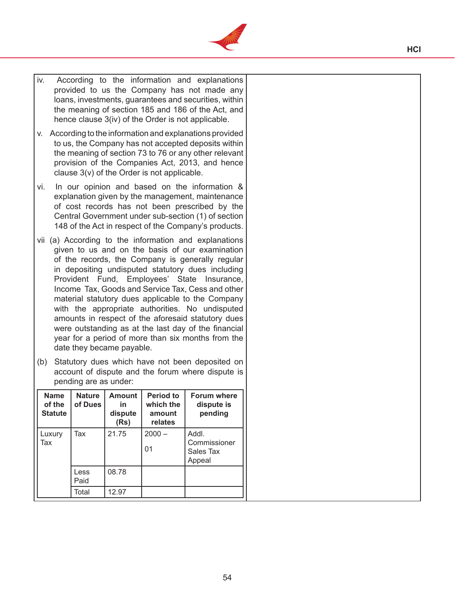

- iv. According to the information and explanations provided to us the Company has not made any loans, investments, guarantees and securities, within the meaning of section 185 and 186 of the Act, and hence clause 3(iv) of the Order is not applicable.
- v. According to the information and explanations provided to us, the Company has not accepted deposits within the meaning of section 73 to 76 or any other relevant provision of the Companies Act, 2013, and hence clause 3(v) of the Order is not applicable.
- vi. In our opinion and based on the information & explanation given by the management, maintenance of cost records has not been prescribed by the Central Government under sub-section (1) of section 148 of the Act in respect of the Company's products.
- vii (a) According to the information and explanations given to us and on the basis of our examination of the records, the Company is generally regular in depositing undisputed statutory dues including Provident Fund, Employees' State Insurance, Income Tax, Goods and Service Tax, Cess and other material statutory dues applicable to the Company with the appropriate authorities. No undisputed amounts in respect of the aforesaid statutory dues were outstanding as at the last day of the financial year for a period of more than six months from the date they became payable.
- (b) Statutory dues which have not been deposited on account of dispute and the forum where dispute is pending are as under:

| <b>Name</b><br>of the<br><b>Statute</b> | <b>Nature</b><br>of Dues | <b>Amount</b><br>in<br>dispute<br>(Rs) | <b>Period to</b><br>which the<br>amount<br>relates | Forum where<br>dispute is<br>pending         |
|-----------------------------------------|--------------------------|----------------------------------------|----------------------------------------------------|----------------------------------------------|
| Luxury<br>Tax                           | Тах                      | 21.75                                  | $2000 -$<br>0 <sub>1</sub>                         | Addl.<br>Commissioner<br>Sales Tax<br>Appeal |
|                                         | Less<br>Paid             | 08.78                                  |                                                    |                                              |
|                                         | Total                    | 12.97                                  |                                                    |                                              |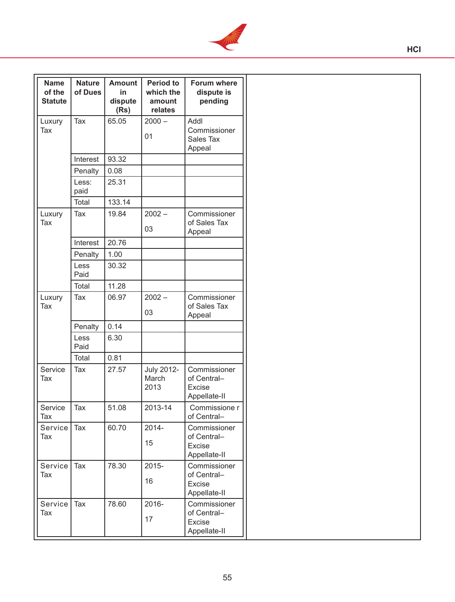

| <b>Name</b><br>of the<br><b>Statute</b> | <b>Nature</b><br>of Dues | <b>Amount</b><br>in<br>dispute<br>(Rs) | <b>Period to</b><br>which the<br>amount<br>relates | Forum where<br>dispute is<br>pending                         |  |
|-----------------------------------------|--------------------------|----------------------------------------|----------------------------------------------------|--------------------------------------------------------------|--|
| Luxury<br>Tax                           | Tax                      | 65.05                                  | $2000 -$<br>01                                     | Addl<br>Commissioner<br>Sales Tax<br>Appeal                  |  |
|                                         | Interest                 | 93.32                                  |                                                    |                                                              |  |
|                                         | Penalty                  | 0.08                                   |                                                    |                                                              |  |
|                                         | Less:<br>paid            | 25.31                                  |                                                    |                                                              |  |
|                                         | Total                    | 133.14                                 |                                                    |                                                              |  |
| Luxury<br>Tax                           | Tax                      | 19.84                                  | $2002 -$<br>03                                     | Commissioner<br>of Sales Tax<br>Appeal                       |  |
|                                         | Interest                 | 20.76                                  |                                                    |                                                              |  |
|                                         | Penalty                  | 1.00                                   |                                                    |                                                              |  |
|                                         | Less<br>Paid             | 30.32                                  |                                                    |                                                              |  |
|                                         | Total                    | 11.28                                  |                                                    |                                                              |  |
| Luxury<br>Tax                           | Tax                      | 06.97                                  | $2002 -$<br>03                                     | Commissioner<br>of Sales Tax                                 |  |
|                                         | Penalty                  | 0.14                                   |                                                    | Appeal                                                       |  |
|                                         | Less<br>Paid             | 6.30                                   |                                                    |                                                              |  |
|                                         | Total                    | 0.81                                   |                                                    |                                                              |  |
| Service<br>Tax                          | Tax                      | 27.57                                  | July 2012-<br>March<br>2013                        | Commissioner<br>of Central-<br>Excise<br>Appellate-II        |  |
| Service<br>Tax                          | Tax                      | 51.08                                  | 2013-14                                            | Commissione r<br>of Central-                                 |  |
| Service<br>Tax                          | Tax                      | 60.70                                  | 2014-<br>15                                        | Commissioner<br>of Central-<br><b>Excise</b><br>Appellate-II |  |
| Service<br>Tax                          | Tax                      | 78.30                                  | 2015-<br>16                                        | Commissioner<br>of Central-<br><b>Excise</b><br>Appellate-II |  |
| Service<br>Tax                          | Tax                      | 78.60                                  | 2016-<br>17                                        | Commissioner<br>of Central-<br>Excise<br>Appellate-II        |  |

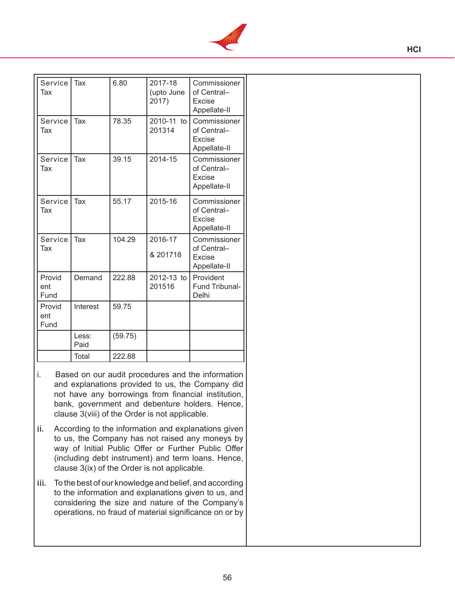

| Service<br>Tax        | Tax           | 6.80    | 2017-18<br>(upto June<br>2017) | Commissioner<br>of Central-<br>Excise<br>Appellate-II        |
|-----------------------|---------------|---------|--------------------------------|--------------------------------------------------------------|
| Service<br>Tax        | Tax           | 78.35   | 2010-11<br>to<br>201314        | Commissioner<br>of Central-<br>Excise<br>Appellate-II        |
| Service<br>Tax        | Tax           | 39.15   | 2014-15                        | Commissioner<br>of Central-<br><b>Excise</b><br>Appellate-II |
| Service<br>Tax        | Tax           | 55.17   | 2015-16                        | Commissioner<br>of Central-<br>Excise<br>Appellate-II        |
| Service<br>Tax        | Tax           | 104.29  | 2016-17<br>& 201718            | Commissioner<br>of Central-<br>Excise<br>Appellate-II        |
| Provid<br>ent<br>Fund | Demand        | 222.88  | 2012-13 to<br>201516           | Provident<br>Fund Tribunal-<br>Delhi                         |
| Provid<br>ent<br>Fund | Interest      | 59.75   |                                |                                                              |
|                       | Less:<br>Paid | (59.75) |                                |                                                              |
|                       | Total         | 222.88  |                                |                                                              |

- i. Based on our audit procedures and the information and explanations provided to us, the Company did not have any borrowings from financial institution, bank, government and debenture holders. Hence, clause 3(viii) of the Order is not applicable.
- ii. According to the information and explanations given to us, the Company has not raised any moneys by way of Initial Public Offer or Further Public Offer (including debt instrument) and term loans. Hence, clause 3(ix) of the Order is not applicable.
- iii. To the best of our knowledge and belief, and according to the information and explanations given to us, and considering the size and nature of the Company's operations, no fraud of material significance on or by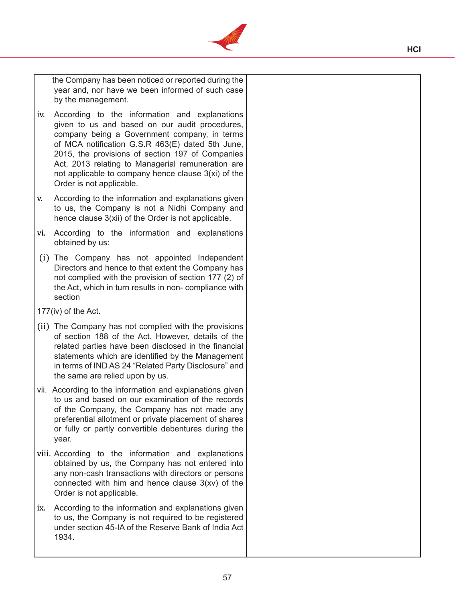

 the Company has been noticed or reported during the year and, nor have we been informed of such case by the management.

- iv. According to the information and explanations given to us and based on our audit procedures, company being a Government company, in terms of MCA notification G.S.R 463(E) dated 5th June, 2015, the provisions of section 197 of Companies Act, 2013 relating to Managerial remuneration are not applicable to company hence clause 3(xi) of the Order is not applicable.
- v. According to the information and explanations given to us, the Company is not a Nidhi Company and hence clause 3(xii) of the Order is not applicable.
- vi. According to the information and explanations obtained by us:
- (i) The Company has not appointed Independent Directors and hence to that extent the Company has not complied with the provision of section 177 (2) of the Act, which in turn results in non- compliance with section

177(iv) of the Act.

- (ii) The Company has not complied with the provisions of section 188 of the Act. However, details of the related parties have been disclosed in the financial statements which are identified by the Management in terms of IND AS 24 "Related Party Disclosure" and the same are relied upon by us.
- vii. According to the information and explanations given to us and based on our examination of the records of the Company, the Company has not made any preferential allotment or private placement of shares or fully or partly convertible debentures during the year.
- viii. According to the information and explanations obtained by us, the Company has not entered into any non-cash transactions with directors or persons connected with him and hence clause 3(xv) of the Order is not applicable.
- ix. According to the information and explanations given to us, the Company is not required to be registered under section 45-IA of the Reserve Bank of India Act 1934.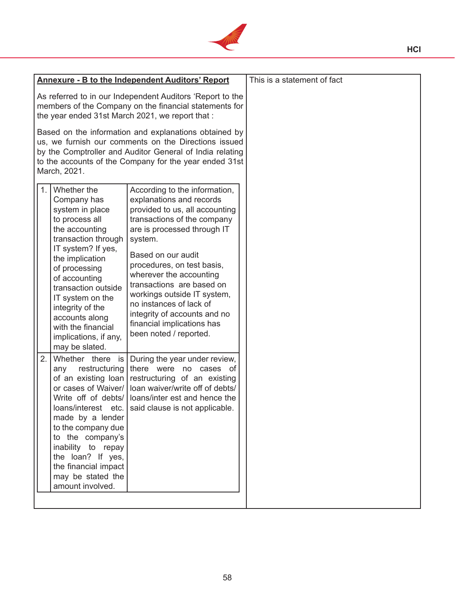

| <b>Annexure - B to the Independent Auditors' Report</b>                                                                                                                                                                                                                                                                                                                                                                                                                                                                                                                                                                                                                                                                                                                                                                                                                                                                                                                                                                                                                                                                                                                                                                                                                                                                 | This is a statement of fact |
|-------------------------------------------------------------------------------------------------------------------------------------------------------------------------------------------------------------------------------------------------------------------------------------------------------------------------------------------------------------------------------------------------------------------------------------------------------------------------------------------------------------------------------------------------------------------------------------------------------------------------------------------------------------------------------------------------------------------------------------------------------------------------------------------------------------------------------------------------------------------------------------------------------------------------------------------------------------------------------------------------------------------------------------------------------------------------------------------------------------------------------------------------------------------------------------------------------------------------------------------------------------------------------------------------------------------------|-----------------------------|
| As referred to in our Independent Auditors 'Report to the<br>members of the Company on the financial statements for<br>the year ended 31st March 2021, we report that :                                                                                                                                                                                                                                                                                                                                                                                                                                                                                                                                                                                                                                                                                                                                                                                                                                                                                                                                                                                                                                                                                                                                                 |                             |
| Based on the information and explanations obtained by<br>us, we furnish our comments on the Directions issued<br>by the Comptroller and Auditor General of India relating<br>to the accounts of the Company for the year ended 31st<br>March, 2021.                                                                                                                                                                                                                                                                                                                                                                                                                                                                                                                                                                                                                                                                                                                                                                                                                                                                                                                                                                                                                                                                     |                             |
| Whether the<br>1 <sub>1</sub><br>According to the information,<br>Company has<br>explanations and records<br>provided to us, all accounting<br>system in place<br>transactions of the company<br>to process all<br>the accounting<br>are is processed through IT<br>transaction through<br>system.<br>IT system? If yes,<br>Based on our audit<br>the implication<br>procedures, on test basis,<br>of processing<br>wherever the accounting<br>of accounting<br>transactions are based on<br>transaction outside<br>workings outside IT system,<br>IT system on the<br>no instances of lack of<br>integrity of the<br>integrity of accounts and no<br>accounts along<br>financial implications has<br>with the financial<br>been noted / reported.<br>implications, if any,<br>may be slated.<br>2.<br>Whether there is<br>During the year under review,<br>there were no<br>restructuring<br>cases of<br>any<br>of an existing loan restructuring of an existing<br>or cases of Waiver/   loan waiver/write off of debts/<br>Write off of debts/   loans/inter est and hence the<br>$loans/interest$ etc. $ $ said clause is not applicable.<br>made by a lender<br>to the company due<br>to the company's<br>inability to repay<br>the loan? If yes,<br>the financial impact<br>may be stated the<br>amount involved. |                             |
|                                                                                                                                                                                                                                                                                                                                                                                                                                                                                                                                                                                                                                                                                                                                                                                                                                                                                                                                                                                                                                                                                                                                                                                                                                                                                                                         |                             |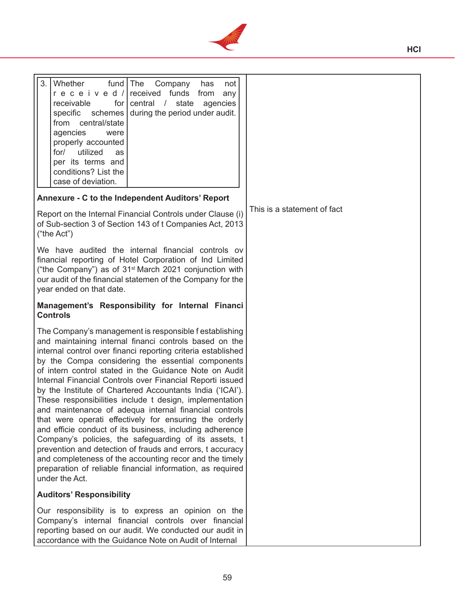

| 3.<br>Whether<br>fund<br>received/<br>for<br>receivable<br>specific<br>schemes<br>from<br>central/state<br>agencies<br>were<br>properly accounted<br>utilized<br>for/<br>as<br>per its terms and<br>conditions? List the<br>case of deviation. | The<br>Company<br>not<br>has<br>funds<br>received<br>from<br>any<br>central<br>$\frac{1}{2}$<br>state<br>agencies<br>during the period under audit.                                                                                                                                                                                                                                                                                                                                                                                                                                                                                                                                                                                                                                                                                                                                                                |                             |
|------------------------------------------------------------------------------------------------------------------------------------------------------------------------------------------------------------------------------------------------|--------------------------------------------------------------------------------------------------------------------------------------------------------------------------------------------------------------------------------------------------------------------------------------------------------------------------------------------------------------------------------------------------------------------------------------------------------------------------------------------------------------------------------------------------------------------------------------------------------------------------------------------------------------------------------------------------------------------------------------------------------------------------------------------------------------------------------------------------------------------------------------------------------------------|-----------------------------|
|                                                                                                                                                                                                                                                | Annexure - C to the Independent Auditors' Report                                                                                                                                                                                                                                                                                                                                                                                                                                                                                                                                                                                                                                                                                                                                                                                                                                                                   |                             |
| ("the Act")                                                                                                                                                                                                                                    | Report on the Internal Financial Controls under Clause (i)<br>of Sub-section 3 of Section 143 of t Companies Act, 2013                                                                                                                                                                                                                                                                                                                                                                                                                                                                                                                                                                                                                                                                                                                                                                                             | This is a statement of fact |
| year ended on that date.                                                                                                                                                                                                                       | We have audited the internal financial controls ov<br>financial reporting of Hotel Corporation of Ind Limited<br>("the Company") as of 31 <sup>st</sup> March 2021 conjunction with<br>our audit of the financial statemen of the Company for the                                                                                                                                                                                                                                                                                                                                                                                                                                                                                                                                                                                                                                                                  |                             |
| <b>Controls</b>                                                                                                                                                                                                                                | Management's Responsibility for Internal Financi                                                                                                                                                                                                                                                                                                                                                                                                                                                                                                                                                                                                                                                                                                                                                                                                                                                                   |                             |
| under the Act.                                                                                                                                                                                                                                 | The Company's management is responsible f establishing<br>and maintaining internal financi controls based on the<br>internal control over financi reporting criteria established<br>by the Compa considering the essential components<br>of intern control stated in the Guidance Note on Audit<br>Internal Financial Controls over Financial Reporti issued<br>by the Institute of Chartered Accountants India ('ICAI').<br>These responsibilities include t design, implementation<br>and maintenance of adequa internal financial controls<br>that were operati effectively for ensuring the orderly<br>and efficie conduct of its business, including adherence<br>Company's policies, the safeguarding of its assets, t<br>prevention and detection of frauds and errors, t accuracy<br>and completeness of the accounting recor and the timely<br>preparation of reliable financial information, as required |                             |
| <b>Auditors' Responsibility</b>                                                                                                                                                                                                                |                                                                                                                                                                                                                                                                                                                                                                                                                                                                                                                                                                                                                                                                                                                                                                                                                                                                                                                    |                             |
|                                                                                                                                                                                                                                                | Our responsibility is to express an opinion on the<br>Company's internal financial controls over financial<br>reporting based on our audit. We conducted our audit in<br>accordance with the Guidance Note on Audit of Internal                                                                                                                                                                                                                                                                                                                                                                                                                                                                                                                                                                                                                                                                                    |                             |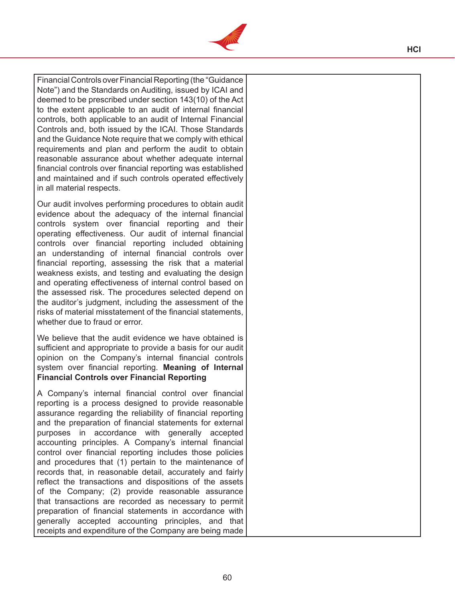

Financial Controls over Financial Reporting (the "Guidance Note") and the Standards on Auditing, issued by ICAI and deemed to be prescribed under section 143(10) of the Act to the extent applicable to an audit of internal financial controls, both applicable to an audit of Internal Financial Controls and, both issued by the ICAI. Those Standards and the Guidance Note require that we comply with ethical requirements and plan and perform the audit to obtain reasonable assurance about whether adequate internal financial controls over financial reporting was established and maintained and if such controls operated effectively in all material respects.

Our audit involves performing procedures to obtain audit evidence about the adequacy of the internal financial controls system over financial reporting and their operating effectiveness. Our audit of internal financial controls over financial reporting included obtaining an understanding of internal financial controls over financial reporting, assessing the risk that a material weakness exists, and testing and evaluating the design and operating effectiveness of internal control based on the assessed risk. The procedures selected depend on the auditor's judgment, including the assessment of the risks of material misstatement of the financial statements, whether due to fraud or error.

We believe that the audit evidence we have obtained is sufficient and appropriate to provide a basis for our audit opinion on the Company's internal financial controls system over financial reporting. **Meaning of Internal Financial Controls over Financial Reporting**

A Company's internal financial control over financial reporting is a process designed to provide reasonable assurance regarding the reliability of financial reporting and the preparation of financial statements for external purposes in accordance with generally accepted accounting principles. A Company's internal financial control over financial reporting includes those policies and procedures that (1) pertain to the maintenance of records that, in reasonable detail, accurately and fairly reflect the transactions and dispositions of the assets of the Company; (2) provide reasonable assurance that transactions are recorded as necessary to permit preparation of financial statements in accordance with generally accepted accounting principles, and that receipts and expenditure of the Company are being made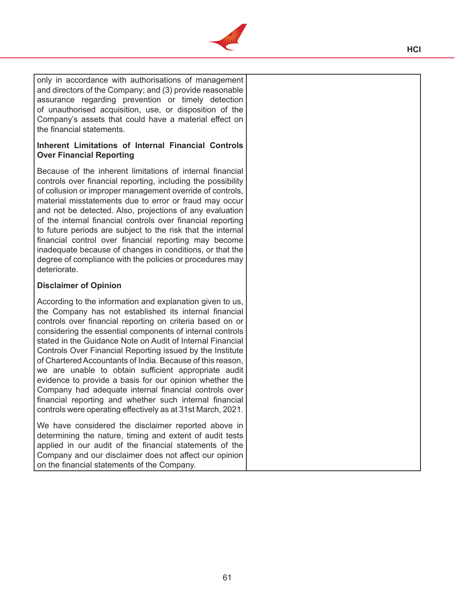

only in accordance with authorisations of management and directors of the Company; and (3) provide reasonable assurance regarding prevention or timely detection of unauthorised acquisition, use, or disposition of the Company's assets that could have a material effect on the financial statements.

### **Inherent Limitations of Internal Financial Controls Over Financial Reporting**

Because of the inherent limitations of internal financial controls over financial reporting, including the possibility of collusion or improper management override of controls, material misstatements due to error or fraud may occur and not be detected. Also, projections of any evaluation of the internal financial controls over financial reporting to future periods are subject to the risk that the internal financial control over financial reporting may become inadequate because of changes in conditions, or that the degree of compliance with the policies or procedures may deteriorate.

### **Disclaimer of Opinion**

According to the information and explanation given to us, the Company has not established its internal financial controls over financial reporting on criteria based on or considering the essential components of internal controls stated in the Guidance Note on Audit of Internal Financial Controls Over Financial Reporting issued by the Institute of Chartered Accountants of India. Because of this reason, we are unable to obtain sufficient appropriate audit evidence to provide a basis for our opinion whether the Company had adequate internal financial controls over financial reporting and whether such internal financial controls were operating effectively as at 31st March, 2021.

We have considered the disclaimer reported above in determining the nature, timing and extent of audit tests applied in our audit of the financial statements of the Company and our disclaimer does not affect our opinion on the financial statements of the Company.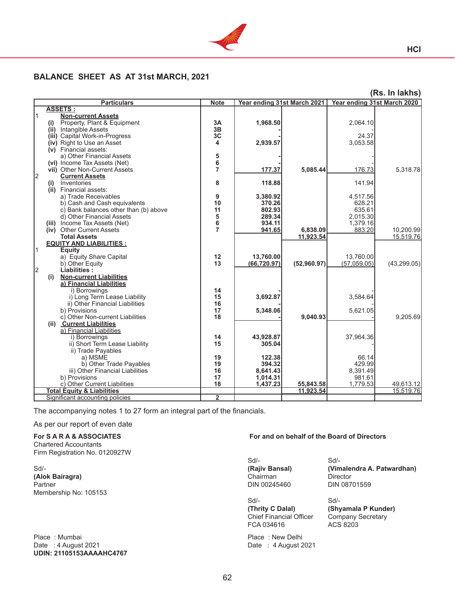

### **BALANCE SHEET AS AT 31st MARCH, 2021**

| (Rs. In lakhs)                                                        |                |                             |             |                             |              |
|-----------------------------------------------------------------------|----------------|-----------------------------|-------------|-----------------------------|--------------|
| <b>Particulars</b>                                                    | <b>Note</b>    | Year ending 31st March 2021 |             | Year ending 31st March 2020 |              |
| <b>ASSETS:</b><br>1<br><b>Non-current Assets</b>                      |                |                             |             |                             |              |
| Property, Plant & Equipment<br>(i)                                    | 3A             | 1,968.50                    |             | 2,064.10                    |              |
| (ii) Intangible Assets                                                | 3B             |                             |             |                             |              |
| (iii) Capital Work-in-Progress                                        | 3C             |                             |             | 24.37                       |              |
| (iv) Right to Use an Asset                                            | 4              | 2,939.57                    |             | 3,053.58                    |              |
| (v) Financial assets:                                                 |                |                             |             |                             |              |
| a) Other Financial Assets                                             | 5              |                             |             |                             |              |
| (vi) Income Tax Assets (Net)                                          | 6              |                             |             |                             |              |
| vii) Other Non-Current Assets                                         | 7              | 177.37                      | 5,085.44    | 176.73                      | 5,318.78     |
| l2<br><b>Current Assets</b>                                           |                |                             |             |                             |              |
| (i) Inventories                                                       | 8              | 118.88                      |             | 141.94                      |              |
| (ii) Financial assets:                                                |                |                             |             |                             |              |
| a) Trade Receivables                                                  | 9<br>10        | 3,380.92<br>370.26          |             | 4,517.56<br>628.21          |              |
| b) Cash and Cash equivalents<br>c) Bank balances other than (b) above | 11             | 802.93                      |             | 635.61                      |              |
| d) Other Financial Assets                                             | 5              | 289.34                      |             | 2,015.30                    |              |
| (iii) Income Tax Assets (Net)                                         | 6              | 934.11                      |             | 1,379.16                    |              |
| (iv) Other Current Assets                                             | 7              | 941.65                      | 6,838.09    | 883.20                      | 10,200.99    |
| <b>Total Assets</b>                                                   |                |                             | 11,923.54   |                             | 15,519.76    |
| <b>EQUITY AND LIABILITIES:</b>                                        |                |                             |             |                             |              |
| 11<br>Equity                                                          |                |                             |             |                             |              |
| a) Equity Share Capital                                               | 12             | 13,760.00                   |             | 13,760.00                   |              |
| b) Other Equity                                                       | 13             | (66, 720.97)                | (52,960.97) | (57,059.05)                 | (43, 299.05) |
| 2<br>Liabilities:                                                     |                |                             |             |                             |              |
| <b>Non-current Liabilities</b><br>(i)                                 |                |                             |             |                             |              |
| a) Financial Liabilities                                              |                |                             |             |                             |              |
| i) Borrowings                                                         | 14             |                             |             |                             |              |
| i) Long Term Lease Liability                                          | 15             | 3,692.87                    |             | 3,584.64                    |              |
| ii) Other Financial Liabilities                                       | 16<br>17       | 5,348.06                    |             |                             |              |
| b) Provisions<br>c) Other Non-current Liabilities                     | 18             |                             | 9,040.93    | 5,621.05                    |              |
| (ii) Current Liabilities                                              |                |                             |             |                             | 9,205.69     |
| a) Financial Liabilities                                              |                |                             |             |                             |              |
| i) Borrowings                                                         | 14             | 43.928.87                   |             | 37,964.36                   |              |
| ii) Short Term Lease Liability                                        | 15             | 305.04                      |             |                             |              |
| ii) Trade Payables                                                    |                |                             |             |                             |              |
| a) MSME                                                               | 19             | 122.38                      |             | 66.14                       |              |
| b) Other Trade Payables                                               | 19             | 394.32                      |             | 429.99                      |              |
| iii) Other Financial Liabilities                                      | 16             | 8,641.43                    |             | 8,391.49                    |              |
| b) Provisions                                                         | 17             | 1,014.31                    |             | 981.61                      |              |
| c) Other Current Liabilities                                          | 18             | 1,437.23                    | 55,843.58   | 1,779.53                    | 49,613.12    |
| <b>Total Equity &amp; Liabilities</b>                                 |                |                             | 11,923.54   |                             | 15,519.76    |
| Significant accounting policies                                       | $\overline{2}$ |                             |             |                             |              |

The accompanying notes 1 to 27 form an integral part of the financials.

### As per our report of even date

Chartered Accountants Firm Registration No. 0120927W

**(Alok Bairagra) Chairman** Director **Director Partner Director Partner Director DIN** 00245460 **DIN** 08701559 Membership No: 105153

Place : Mumbai Place : Mumbai Place : New Delhi<br>
Date : 4 August 2021 **UDIN: 21105153AAAAHC4767**

### **For S A R A & ASSOCIATES For and on behalf of the Board of Directors**

 $Sd$  -  $Sd$  -  $Sd$  -DIN 00245460

 $Sd$  -  $Sd$  -  $Sd$  -**(Thrity C Dalal) (Shyamala P Kunder)**  FCA 034616

Date : 4 August 2021

Sd/- **(Rajiv Bansal) (Vimalendra A. Patwardhan)**

Company Secretary<br>ACS 8203

**HCI**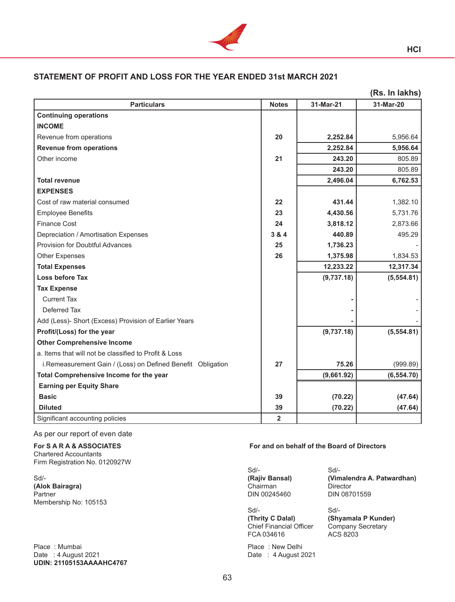

### **STATEMENT OF PROFIT AND LOSS FOR THE YEAR ENDED 31st MARCH 2021**

|                                                             |                |            | (Rs. In lakhs) |
|-------------------------------------------------------------|----------------|------------|----------------|
| <b>Particulars</b>                                          | <b>Notes</b>   | 31-Mar-21  | 31-Mar-20      |
| <b>Continuing operations</b>                                |                |            |                |
| <b>INCOME</b>                                               |                |            |                |
| Revenue from operations                                     | 20             | 2,252.84   | 5,956.64       |
| <b>Revenue from operations</b>                              |                | 2,252.84   | 5,956.64       |
| Other income                                                | 21             | 243.20     | 805.89         |
|                                                             |                | 243.20     | 805.89         |
| <b>Total revenue</b>                                        |                | 2,496.04   | 6,762.53       |
| <b>EXPENSES</b>                                             |                |            |                |
| Cost of raw material consumed                               | 22             | 431.44     | 1,382.10       |
| <b>Employee Benefits</b>                                    | 23             | 4,430.56   | 5,731.76       |
| <b>Finance Cost</b>                                         | 24             | 3,818.12   | 2,873.66       |
| Depreciation / Amortisation Expenses                        | 3 & 4          | 440.89     | 495.29         |
| Provision for Doubtful Advances                             | 25             | 1,736.23   |                |
| <b>Other Expenses</b>                                       | 26             | 1,375.98   | 1,834.53       |
| <b>Total Expenses</b>                                       |                | 12,233.22  | 12,317.34      |
| Loss before Tax                                             |                | (9,737.18) | (5,554.81)     |
| <b>Tax Expense</b>                                          |                |            |                |
| <b>Current Tax</b>                                          |                |            |                |
| Deferred Tax                                                |                |            |                |
| Add (Less)- Short (Excess) Provision of Earlier Years       |                |            |                |
| Profit/(Loss) for the year                                  |                | (9,737.18) | (5,554.81)     |
| <b>Other Comprehensive Income</b>                           |                |            |                |
| a. Items that will not be classified to Profit & Loss       |                |            |                |
| i.Remeasurement Gain / (Loss) on Defined Benefit Obligation | 27             | 75.26      | (999.89)       |
| Total Comprehensive Income for the year                     |                | (9,661.92) | (6, 554.70)    |
| <b>Earning per Equity Share</b>                             |                |            |                |
| <b>Basic</b>                                                | 39             | (70.22)    | (47.64)        |
| <b>Diluted</b>                                              | 39             | (70.22)    | (47.64)        |
| Significant accounting policies                             | $\overline{2}$ |            |                |

As per our report of even date

Chartered Accountants Firm Registration No. 0120927W

**(Alok Bairagra) (Alok Bairagra) Chairman Director Director Director Partner DIN 00245460 DIN 08701559** Membership No: 105153

Place : Mumbai Place : Mumbai Place : New Delhi<br>
Date : 4 August 2021 **UDIN: 21105153AAAAHC4767**

### **For S A R A & ASSOCIATES For and on behalf of the Board of Directors**

 $Sd/ Sd/-$ DIN 00245460

 $Sd/ Sd/-$ **(Thrity C Dalal) (Shyamala P Kunder)**  Chief Financial Officer Company Secretary<br>
FCA 034616 ACS 8203 FCA 034616 ACS 8203

Date : 4 August 2021

Sd/- **(Rajiv Bansal) (Vimalendra A. Patwardhan)**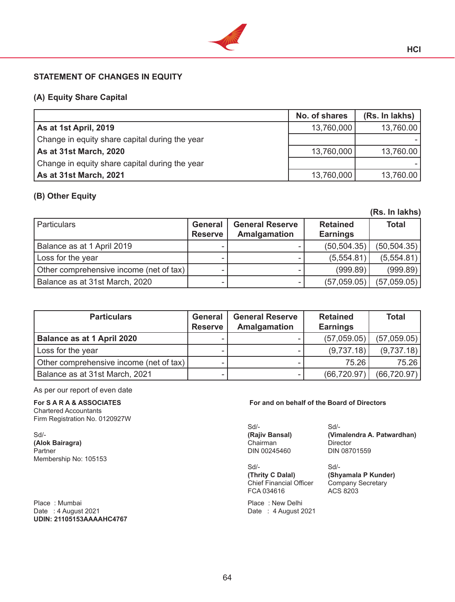

### **STATEMENT OF CHANGES IN EQUITY**

### **(A) Equity Share Capital**

|                                                | No. of shares | (Rs. In lakhs) |
|------------------------------------------------|---------------|----------------|
| As at 1st April, 2019                          | 13,760,000    | 13,760.00      |
| Change in equity share capital during the year |               |                |
| <b>As at 31st March, 2020</b>                  | 13,760,000    | 13,760.00      |
| Change in equity share capital during the year |               |                |
| As at 31st March, 2021                         | 13,760,000    | 13,760.00      |

### **(B) Other Equity**

|                                         |                                  |                                        |                                    | (Rs. In lakhs) |
|-----------------------------------------|----------------------------------|----------------------------------------|------------------------------------|----------------|
| <b>Particulars</b>                      | <b>General</b><br><b>Reserve</b> | <b>General Reserve</b><br>Amalgamation | <b>Retained</b><br><b>Earnings</b> | Total          |
| Balance as at 1 April 2019              |                                  |                                        | (50, 504.35)                       | (50, 504.35)   |
| Loss for the year                       | -                                |                                        | (5,554.81)                         | (5,554.81)     |
| Other comprehensive income (net of tax) |                                  |                                        | (999.89)                           | (999.89)       |
| Balance as at 31st March, 2020          |                                  |                                        | (57,059.05)                        | (57,059.05)    |

| <b>Particulars</b>                      | <b>General</b><br><b>Reserve</b> | <b>General Reserve</b><br>Amalgamation | <b>Retained</b><br><b>Earnings</b> | Total        |
|-----------------------------------------|----------------------------------|----------------------------------------|------------------------------------|--------------|
| <b>Balance as at 1 April 2020</b>       |                                  |                                        | (57,059.05)                        | (57,059.05)  |
| Loss for the year                       |                                  |                                        | (9,737.18)                         | (9,737.18)   |
| Other comprehensive income (net of tax) |                                  |                                        | 75.26                              | 75.26        |
| Balance as at 31st March, 2021          |                                  |                                        | (66, 720.97)                       | (66, 720.97) |

As per our report of even date

Chartered Accountants Firm Registration No. 0120927W

**(Alok Bairagra) Chairman** Chairman Director of the Chairman Chairman Director of the Director of the Director of Director of Director of Director of Director of Director of Director of Director of Director of Director o Membership No: 105153

Place : Mumbai Place : Mumbai Place : New Delhi<br>
Date : 4 August 2021 **UDIN: 21105153AAAAHC4767**

### **For S A R A & ASSOCIATES For and on behalf of the Board of Directors**

 $Sd$  -  $Sd$  -  $Sd$  -

 $Sd$  -  $Sd$  -  $Sd$  -Chief Financial Officer Company S<br>FCA 034616 4CS 8203 FCA 034616

Date : 4 August 2021

Sd/- **(Rajiv Bansal) (Vimalendra A. Patwardhan)** DIN 08701559

**(Thrity C Dalal) (Shyamala P Kunder)**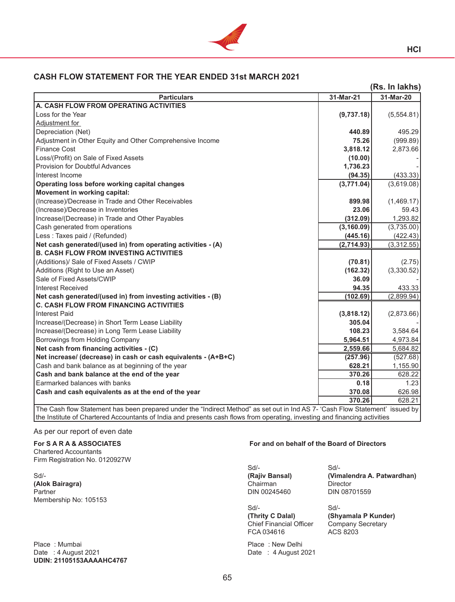

### **CASH FLOW STATEMENT FOR THE YEAR ENDED 31st MARCH 2021**

|                                                                |             | (Rs. In lakhs) |
|----------------------------------------------------------------|-------------|----------------|
| <b>Particulars</b>                                             | 31-Mar-21   | 31-Mar-20      |
| A. CASH FLOW FROM OPERATING ACTIVITIES                         |             |                |
| Loss for the Year                                              | (9,737.18)  | (5,554.81)     |
| Adjustment for                                                 |             |                |
| Depreciation (Net)                                             | 440.89      | 495.29         |
| Adjustment in Other Equity and Other Comprehensive Income      | 75.26       | (999.89)       |
| <b>Finance Cost</b>                                            | 3,818.12    | 2,873.66       |
| Loss/(Profit) on Sale of Fixed Assets                          | (10.00)     |                |
| Provision for Doubtful Advances                                | 1,736.23    |                |
| Interest Income                                                | (94.35)     | (433.33)       |
| Operating loss before working capital changes                  | (3,771.04)  | (3,619.08)     |
| Movement in working capital:                                   |             |                |
| (Increase)/Decrease in Trade and Other Receivables             | 899.98      | (1,469.17)     |
| (Increase)/Decrease in Inventories                             | 23.06       | 59.43          |
| Increase/(Decrease) in Trade and Other Payables                | (312.09)    | 1,293.82       |
| Cash generated from operations                                 | (3, 160.09) | (3,735.00)     |
| Less: Taxes paid / (Refunded)                                  | (445.16)    | (422.43)       |
| Net cash generated/(used in) from operating activities - (A)   | (2,714.93)  | (3,312.55)     |
| <b>B. CASH FLOW FROM INVESTING ACTIVITIES</b>                  |             |                |
| (Additions)/ Sale of Fixed Assets / CWIP                       | (70.81)     | (2.75)         |
| Additions (Right to Use an Asset)                              | (162.32)    | (3,330.52)     |
| Sale of Fixed Assets/CWIP                                      | 36.09       |                |
| <b>Interest Received</b>                                       | 94.35       | 433.33         |
| Net cash generated/(used in) from investing activities - (B)   | (102.69)    | (2,899.94)     |
| <b>C. CASH FLOW FROM FINANCING ACTIVITIES</b>                  |             |                |
| <b>Interest Paid</b>                                           | (3,818.12)  | (2,873.66)     |
| Increase/(Decrease) in Short Term Lease Liability              | 305.04      |                |
| Increase/(Decrease) in Long Term Lease Liability               | 108.23      | 3,584.64       |
| Borrowings from Holding Company                                | 5,964.51    | 4,973.84       |
| Net cash from financing activities - (C)                       | 2,559.66    | 5,684.82       |
| Net increase/ (decrease) in cash or cash equivalents - (A+B+C) | (257.96)    | (527.68)       |
| Cash and bank balance as at beginning of the year              | 628.21      | 1,155.90       |
| Cash and bank balance at the end of the year                   | 370.26      | 628.22         |
| Earmarked balances with banks                                  | 0.18        | 1.23           |
| Cash and cash equivalents as at the end of the year            | 370.08      | 626.98         |
|                                                                | 370.26      | 628.21         |

The Cash flow Statement has been prepared under the "Indirect Method" as set out in Ind AS 7- 'Cash Flow Statement' issued by the Institute of Chartered Accountants of India and presents cash flows from operating, investing and financing activities

### As per our report of even date

Chartered Accountants Firm Registration No. 0120927W

**(Alok Bairagra)** Chairman Director Membership No: 105153

Place : Mumbai Place : Mumbai Place : Mew Delhi<br>
Date : 4 August 2021 **UDIN: 21105153AAAAHC4767**

#### **For S A R A & ASSOCIATES For and on behalf of the Board of Directors**

 $Sd/ Sd/-$ DIN 00245460

 $Sd/ Sd/-$ **(Thrity C Dalal) (Shyamala P Kunder)**  Chief Financial Officer Company Secretary<br>
FCA 034616 ACS 8203 FCA 034616 ACS 8203

Date : 4 August 2021

Sd/- **(Rajiv Bansal) (Vimalendra A. Patwardhan)**

**HCI**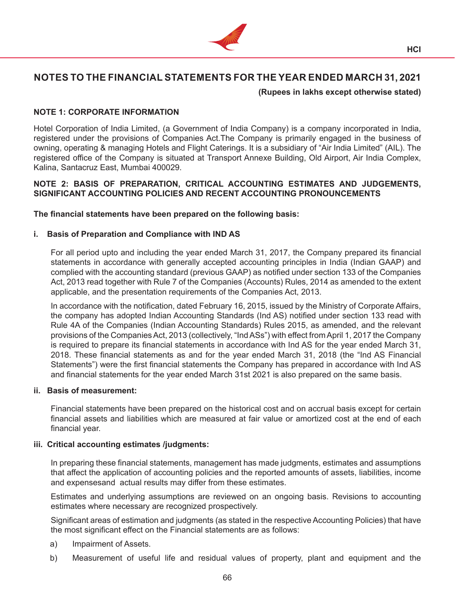

# **NOTES TO THE FINANCIAL STATEMENTS FOR THE YEAR ENDED MARCH 31, 2021**

### **(Rupees in lakhs except otherwise stated)**

**HCI**

### **NOTE 1: CORPORATE INFORMATION**

Hotel Corporation of India Limited, (a Government of India Company) is a company incorporated in India, registered under the provisions of Companies Act.The Company is primarily engaged in the business of owning, operating & managing Hotels and Flight Caterings. It is a subsidiary of "Air India Limited" (AIL). The registered office of the Company is situated at Transport Annexe Building, Old Airport, Air India Complex, Kalina, Santacruz East, Mumbai 400029.

### **NOTE 2: BASIS OF PREPARATION, CRITICAL ACCOUNTING ESTIMATES AND JUDGEMENTS, SIGNIFICANT ACCOUNTING POLICIES AND RECENT ACCOUNTING PRONOUNCEMENTS**

### **The financial statements have been prepared on the following basis:**

### **i. Basis of Preparation and Compliance with IND AS**

 For all period upto and including the year ended March 31, 2017, the Company prepared its financial statements in accordance with generally accepted accounting principles in India (Indian GAAP) and complied with the accounting standard (previous GAAP) as notified under section 133 of the Companies Act, 2013 read together with Rule 7 of the Companies (Accounts) Rules, 2014 as amended to the extent applicable, and the presentation requirements of the Companies Act, 2013.

 In accordance with the notification, dated February 16, 2015, issued by the Ministry of Corporate Affairs, the company has adopted Indian Accounting Standards (Ind AS) notified under section 133 read with Rule 4A of the Companies (Indian Accounting Standards) Rules 2015, as amended, and the relevant provisions of the CompaniesAct, 2013 (collectively, "IndASs") with effect from April 1, 2017 the Company is required to prepare its financial statements in accordance with Ind AS for the year ended March 31, 2018. These financial statements as and for the year ended March 31, 2018 (the "Ind AS Financial Statements") were the first financial statements the Company has prepared in accordance with Ind AS and financial statements for the year ended March 31st 2021 is also prepared on the same basis.

### **ii. Basis of measurement:**

Financial statements have been prepared on the historical cost and on accrual basis except for certain financial assets and liabilities which are measured at fair value or amortized cost at the end of each financial year.

### **iii. Critical accounting estimates /judgments:**

 In preparing these financial statements, management has made judgments, estimates and assumptions that affect the application of accounting policies and the reported amounts of assets, liabilities, income and expensesand actual results may differ from these estimates.

Estimates and underlying assumptions are reviewed on an ongoing basis. Revisions to accounting estimates where necessary are recognized prospectively.

 Significant areas of estimation and judgments (as stated in the respective Accounting Policies) that have the most significant effect on the Financial statements are as follows:

- a) Impairment of Assets.
- b) Measurement of useful life and residual values of property, plant and equipment and the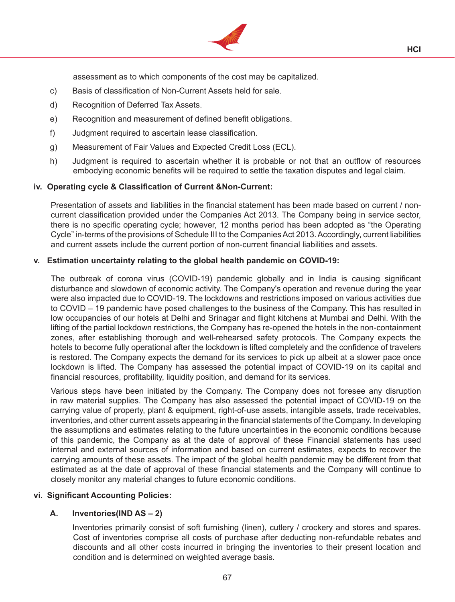

assessment as to which components of the cost may be capitalized.

- c) Basis of classification of Non-Current Assets held for sale.
- d) Recognition of Deferred Tax Assets.
- e) Recognition and measurement of defined benefit obligations.
- f) Judgment required to ascertain lease classification.
- g) Measurement of Fair Values and Expected Credit Loss (ECL).
- h) Judgment is required to ascertain whether it is probable or not that an outflow of resources embodying economic benefits will be required to settle the taxation disputes and legal claim.

### **iv. Operating cycle & Classification of Current &Non-Current:**

 Presentation of assets and liabilities in the financial statement has been made based on current / noncurrent classification provided under the Companies Act 2013. The Company being in service sector, there is no specific operating cycle; however, 12 months period has been adopted as "the Operating Cycle" in-terms of the provisions of Schedule III to the Companies Act 2013. Accordingly, current liabilities and current assets include the current portion of non-current financial liabilities and assets.

### **v. Estimation uncertainty relating to the global health pandemic on COVID-19:**

 The outbreak of corona virus (COVID-19) pandemic globally and in India is causing significant disturbance and slowdown of economic activity. The Company's operation and revenue during the year were also impacted due to COVID-19. The lockdowns and restrictions imposed on various activities due to COVID – 19 pandemic have posed challenges to the business of the Company. This has resulted in low occupancies of our hotels at Delhi and Srinagar and flight kitchens at Mumbai and Delhi. With the lifting of the partial lockdown restrictions, the Company has re-opened the hotels in the non-containment zones, after establishing thorough and well-rehearsed safety protocols. The Company expects the hotels to become fully operational after the lockdown is lifted completely and the confidence of travelers is restored. The Company expects the demand for its services to pick up albeit at a slower pace once lockdown is lifted. The Company has assessed the potential impact of COVID-19 on its capital and financial resources, profitability, liquidity position, and demand for its services.

Various steps have been initiated by the Company. The Company does not foresee any disruption in raw material supplies. The Company has also assessed the potential impact of COVID-19 on the carrying value of property, plant & equipment, right-of-use assets, intangible assets, trade receivables, inventories, and other current assets appearing in the financial statements of the Company. In developing the assumptions and estimates relating to the future uncertainties in the economic conditions because of this pandemic, the Company as at the date of approval of these Financial statements has used internal and external sources of information and based on current estimates, expects to recover the carrying amounts of these assets. The impact of the global health pandemic may be different from that estimated as at the date of approval of these financial statements and the Company will continue to closely monitor any material changes to future economic conditions.

### **vi. Significant Accounting Policies:**

### **A. Inventories(IND AS – 2)**

Inventories primarily consist of soft furnishing (linen), cutlery / crockery and stores and spares. Cost of inventories comprise all costs of purchase after deducting non-refundable rebates and discounts and all other costs incurred in bringing the inventories to their present location and condition and is determined on weighted average basis.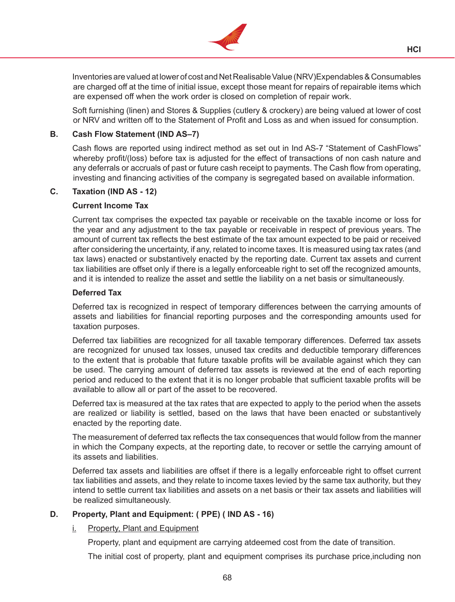

Inventories are valued at lower of cost and Net Realisable Value (NRV)Expendables & Consumables are charged off at the time of initial issue, except those meant for repairs of repairable items which are expensed off when the work order is closed on completion of repair work.

Soft furnishing (linen) and Stores & Supplies (cutlery & crockery) are being valued at lower of cost or NRV and written off to the Statement of Profit and Loss as and when issued for consumption.

### **B. Cash Flow Statement (IND AS–7)**

 Cash flows are reported using indirect method as set out in Ind AS-7 "Statement of CashFlows" whereby profit/(loss) before tax is adjusted for the effect of transactions of non cash nature and any deferrals or accruals of past or future cash receipt to payments. The Cash flow from operating, investing and financing activities of the company is segregated based on available information.

### **C. Taxation (IND AS - 12)**

### **Current Income Tax**

Current tax comprises the expected tax payable or receivable on the taxable income or loss for the year and any adjustment to the tax payable or receivable in respect of previous years. The amount of current tax reflects the best estimate of the tax amount expected to be paid or received after considering the uncertainty, if any, related to income taxes. It is measured using tax rates (and tax laws) enacted or substantively enacted by the reporting date. Current tax assets and current tax liabilities are offset only if there is a legally enforceable right to set off the recognized amounts, and it is intended to realize the asset and settle the liability on a net basis or simultaneously.

### **Deferred Tax**

 Deferred tax is recognized in respect of temporary differences between the carrying amounts of assets and liabilities for financial reporting purposes and the corresponding amounts used for taxation purposes.

 Deferred tax liabilities are recognized for all taxable temporary differences. Deferred tax assets are recognized for unused tax losses, unused tax credits and deductible temporary differences to the extent that is probable that future taxable profits will be available against which they can be used. The carrying amount of deferred tax assets is reviewed at the end of each reporting period and reduced to the extent that it is no longer probable that sufficient taxable profits will be available to allow all or part of the asset to be recovered.

Deferred tax is measured at the tax rates that are expected to apply to the period when the assets are realized or liability is settled, based on the laws that have been enacted or substantively enacted by the reporting date.

 The measurement of deferred tax reflects the tax consequences that would follow from the manner in which the Company expects, at the reporting date, to recover or settle the carrying amount of its assets and liabilities.

 Deferred tax assets and liabilities are offset if there is a legally enforceable right to offset current tax liabilities and assets, and they relate to income taxes levied by the same tax authority, but they intend to settle current tax liabilities and assets on a net basis or their tax assets and liabilities will be realized simultaneously.

### **D. Property, Plant and Equipment: ( PPE) ( IND AS - 16)**

### i. Property, Plant and Equipment

Property, plant and equipment are carrying atdeemed cost from the date of transition.

The initial cost of property, plant and equipment comprises its purchase price,including non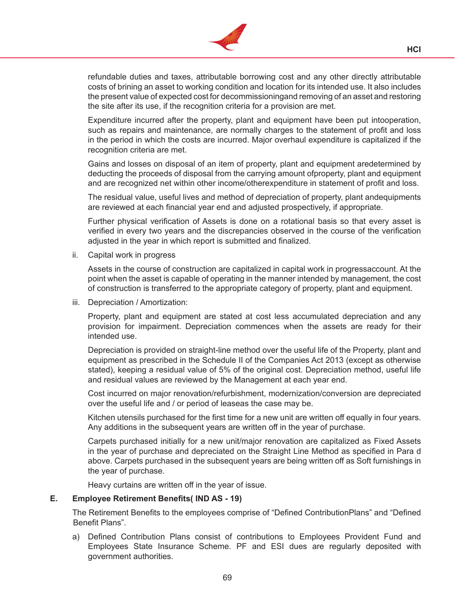

refundable duties and taxes, attributable borrowing cost and any other directly attributable costs of brining an asset to working condition and location for its intended use. It also includes the present value of expected cost for decommissioningand removing of an asset and restoring the site after its use, if the recognition criteria for a provision are met.

Expenditure incurred after the property, plant and equipment have been put intooperation, such as repairs and maintenance, are normally charges to the statement of profit and loss in the period in which the costs are incurred. Major overhaul expenditure is capitalized if the recognition criteria are met.

Gains and losses on disposal of an item of property, plant and equipment aredetermined by deducting the proceeds of disposal from the carrying amount ofproperty, plant and equipment and are recognized net within other income/otherexpenditure in statement of profit and loss.

The residual value, useful lives and method of depreciation of property, plant andequipments are reviewed at each financial year end and adjusted prospectively, if appropriate.

 Further physical verification of Assets is done on a rotational basis so that every asset is verified in every two years and the discrepancies observed in the course of the verification adjusted in the year in which report is submitted and finalized.

ii. Capital work in progress

Assets in the course of construction are capitalized in capital work in progressaccount. At the point when the asset is capable of operating in the manner intended by management, the cost of construction is transferred to the appropriate category of property, plant and equipment.

iii. Depreciation / Amortization:

Property, plant and equipment are stated at cost less accumulated depreciation and any provision for impairment. Depreciation commences when the assets are ready for their intended use.

Depreciation is provided on straight-line method over the useful life of the Property, plant and equipment as prescribed in the Schedule II of the Companies Act 2013 (except as otherwise stated), keeping a residual value of 5% of the original cost. Depreciation method, useful life and residual values are reviewed by the Management at each year end.

Cost incurred on major renovation/refurbishment, modernization/conversion are depreciated over the useful life and / or period of leaseas the case may be.

 Kitchen utensils purchased for the first time for a new unit are written off equally in four years. Any additions in the subsequent years are written off in the year of purchase.

Carpets purchased initially for a new unit/major renovation are capitalized as Fixed Assets in the year of purchase and depreciated on the Straight Line Method as specified in Para d above. Carpets purchased in the subsequent years are being written off as Soft furnishings in the year of purchase.

 Heavy curtains are written off in the year of issue.

### **E. Employee Retirement Benefits( IND AS - 19)**

 The Retirement Benefits to the employees comprise of "Defined ContributionPlans" and "Defined Benefit Plans".

a) Defined Contribution Plans consist of contributions to Employees Provident Fund and Employees State Insurance Scheme. PF and ESI dues are regularly deposited with government authorities.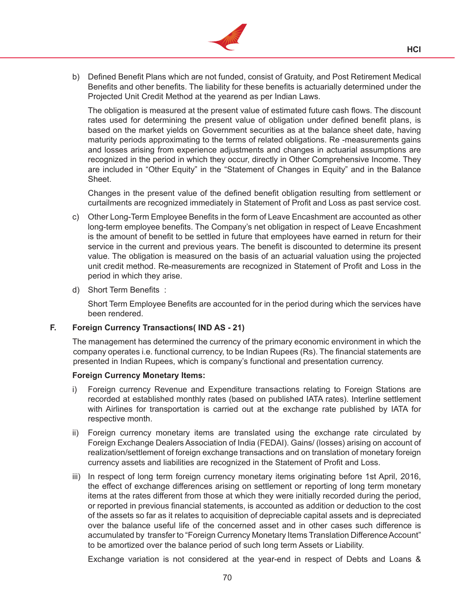

b) Defined Benefit Plans which are not funded, consist of Gratuity, and Post Retirement Medical Benefits and other benefits. The liability for these benefits is actuarially determined under the Projected Unit Credit Method at the yearend as per Indian Laws.

 The obligation is measured at the present value of estimated future cash flows. The discount rates used for determining the present value of obligation under defined benefit plans, is based on the market yields on Government securities as at the balance sheet date, having maturity periods approximating to the terms of related obligations. Re -measurements gains and losses arising from experience adjustments and changes in actuarial assumptions are recognized in the period in which they occur, directly in Other Comprehensive Income. They are included in "Other Equity" in the "Statement of Changes in Equity" and in the Balance Sheet.

 Changes in the present value of the defined benefit obligation resulting from settlement or curtailments are recognized immediately in Statement of Profit and Loss as past service cost.

- c) Other Long-Term Employee Benefits in the form of Leave Encashment are accounted as other long-term employee benefits. The Company's net obligation in respect of Leave Encashment is the amount of benefit to be settled in future that employees have earned in return for their service in the current and previous years. The benefit is discounted to determine its present value. The obligation is measured on the basis of an actuarial valuation using the projected unit credit method. Re-measurements are recognized in Statement of Profit and Loss in the period in which they arise.
- d) Short Term Benefits :

 Short Term Employee Benefits are accounted for in the period during which the services have been rendered.

### **F. Foreign Currency Transactions( IND AS - 21)**

The management has determined the currency of the primary economic environment in which the company operates i.e. functional currency, to be Indian Rupees (Rs). The financial statements are presented in Indian Rupees, which is company's functional and presentation currency.

### **Foreign Currency Monetary Items:**

- i) Foreign currency Revenue and Expenditure transactions relating to Foreign Stations are recorded at established monthly rates (based on published IATA rates). Interline settlement with Airlines for transportation is carried out at the exchange rate published by IATA for respective month.
- ii) Foreign currency monetary items are translated using the exchange rate circulated by Foreign Exchange Dealers Association of India (FEDAI). Gains/ (losses) arising on account of realization/settlement of foreign exchange transactions and on translation of monetary foreign currency assets and liabilities are recognized in the Statement of Profit and Loss.
- iii) In respect of long term foreign currency monetary items originating before 1st April, 2016, the effect of exchange differences arising on settlement or reporting of long term monetary items at the rates different from those at which they were initially recorded during the period, or reported in previous financial statements, is accounted as addition or deduction to the cost of the assets so far as it relates to acquisition of depreciable capital assets and is depreciated over the balance useful life of the concerned asset and in other cases such difference is accumulated by transfer to "Foreign Currency Monetary Items Translation Difference Account" to be amortized over the balance period of such long term Assets or Liability.

 Exchange variation is not considered at the year-end in respect of Debts and Loans &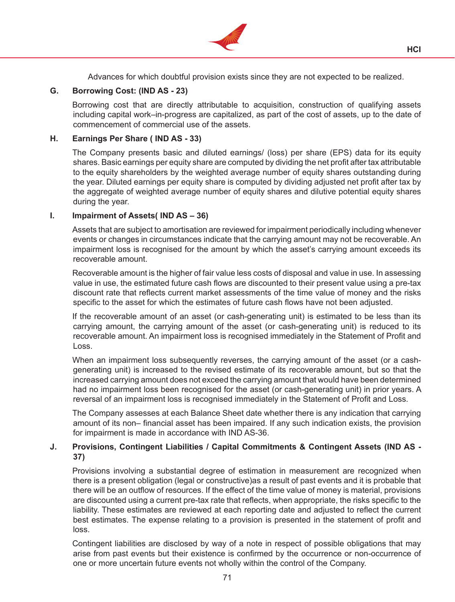

Advances for which doubtful provision exists since they are not expected to be realized.

### **G. Borrowing Cost: (IND AS - 23)**

Borrowing cost that are directly attributable to acquisition, construction of qualifying assets including capital work–in-progress are capitalized, as part of the cost of assets, up to the date of commencement of commercial use of the assets.

### **H. Earnings Per Share ( IND AS - 33)**

The Company presents basic and diluted earnings/ (loss) per share (EPS) data for its equity shares. Basic earnings per equity share are computed by dividing the net profit after tax attributable to the equity shareholders by the weighted average number of equity shares outstanding during the year. Diluted earnings per equity share is computed by dividing adjusted net profit after tax by the aggregate of weighted average number of equity shares and dilutive potential equity shares during the year.

### **I. Impairment of Assets( IND AS – 36)**

Assets that are subject to amortisation are reviewed for impairment periodically including whenever events or changes in circumstances indicate that the carrying amount may not be recoverable. An impairment loss is recognised for the amount by which the asset's carrying amount exceeds its recoverable amount.

Recoverable amount is the higher of fair value less costs of disposal and value in use. In assessing value in use, the estimated future cash flows are discounted to their present value using a pre-tax discount rate that reflects current market assessments of the time value of money and the risks specific to the asset for which the estimates of future cash flows have not been adjusted.

If the recoverable amount of an asset (or cash-generating unit) is estimated to be less than its carrying amount, the carrying amount of the asset (or cash-generating unit) is reduced to its recoverable amount. An impairment loss is recognised immediately in the Statement of Profit and Loss.

When an impairment loss subsequently reverses, the carrying amount of the asset (or a cashgenerating unit) is increased to the revised estimate of its recoverable amount, but so that the increased carrying amount does not exceed the carrying amount that would have been determined had no impairment loss been recognised for the asset (or cash-generating unit) in prior years. A reversal of an impairment loss is recognised immediately in the Statement of Profit and Loss.

The Company assesses at each Balance Sheet date whether there is any indication that carrying amount of its non– financial asset has been impaired. If any such indication exists, the provision for impairment is made in accordance with IND AS-36.

### **J. Provisions, Contingent Liabilities / Capital Commitments & Contingent Assets (IND AS - 37)**

Provisions involving a substantial degree of estimation in measurement are recognized when there is a present obligation (legal or constructive)as a result of past events and it is probable that there will be an outflow of resources. If the effect of the time value of money is material, provisions are discounted using a current pre-tax rate that reflects, when appropriate, the risks specific to the liability. These estimates are reviewed at each reporting date and adjusted to reflect the current best estimates. The expense relating to a provision is presented in the statement of profit and loss.

Contingent liabilities are disclosed by way of a note in respect of possible obligations that may arise from past events but their existence is confirmed by the occurrence or non-occurrence of one or more uncertain future events not wholly within the control of the Company.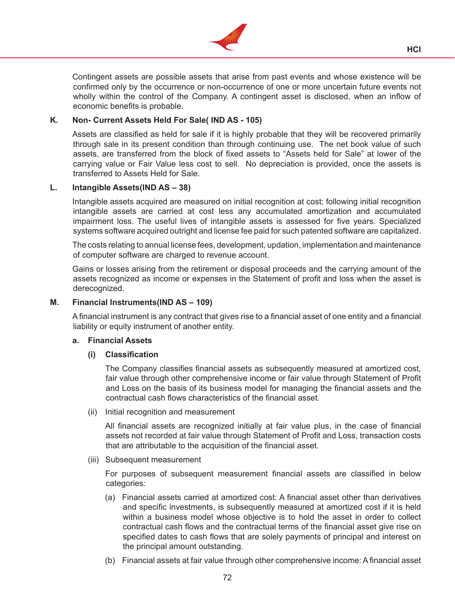

Contingent assets are possible assets that arise from past events and whose existence will be confirmed only by the occurrence or non-occurrence of one or more uncertain future events not wholly within the control of the Company. A contingent asset is disclosed, when an inflow of economic benefits is probable.

## **K. Non- Current Assets Held For Sale( IND AS - 105)**

Assets are classified as held for sale if it is highly probable that they will be recovered primarily through sale in its present condition than through continuing use. The net book value of such assets, are transferred from the block of fixed assets to "Assets held for Sale" at lower of the carrying value or Fair Value less cost to sell. No depreciation is provided, once the assets is transferred to Assets Held for Sale.

### **L. Intangible Assets(IND AS – 38)**

Intangible assets acquired are measured on initial recognition at cost; following initial recognition intangible assets are carried at cost less any accumulated amortization and accumulated impairment loss. The useful lives of intangible assets is assessed for five years. Specialized systems software acquired outright and license fee paid for such patented software are capitalized.

The costs relating to annual license fees, development, updation, implementation and maintenance of computer software are charged to revenue account.

Gains or losses arising from the retirement or disposal proceeds and the carrying amount of the assets recognized as income or expenses in the Statement of profit and loss when the asset is derecognized.

### **M. Financial Instruments(IND AS – 109)**

Afinancial instrument is any contract that gives rise to a financial asset of one entity and a financial liability or equity instrument of another entity.

### **a. Financial Assets**

### **(i) Classification**

 The Company classifies financial assets as subsequently measured at amortized cost, fair value through other comprehensive income or fair value through Statement of Profit and Loss on the basis of its business model for managing the financial assets and the contractual cash flows characteristics of the financial asset.

(ii) Initial recognition and measurement

 All financial assets are recognized initially at fair value plus, in the case of financial assets not recorded at fair value through Statement of Profit and Loss, transaction costs that are attributable to the acquisition of the financial asset.

(iii) Subsequent measurement

 For purposes of subsequent measurement financial assets are classified in below categories:

- (a) Financial assets carried at amortized cost: A financial asset other than derivatives and specific investments, is subsequently measured at amortized cost if it is held within a business model whose objective is to hold the asset in order to collect contractual cash flows and the contractual terms of the financial asset give rise on specified dates to cash flows that are solely payments of principal and interest on the principal amount outstanding.
- (b) Financial assets at fair value through other comprehensive income: A financial asset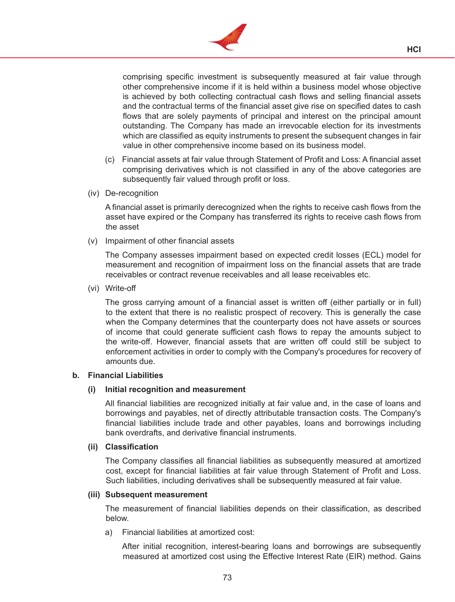

comprising specific investment is subsequently measured at fair value through other comprehensive income if it is held within a business model whose objective is achieved by both collecting contractual cash flows and selling financial assets and the contractual terms of the financial asset give rise on specified dates to cash flows that are solely payments of principal and interest on the principal amount outstanding. The Company has made an irrevocable election for its investments which are classified as equity instruments to present the subsequent changes in fair value in other comprehensive income based on its business model.

- (c) Financial assets at fair value through Statement of Profit and Loss: A financial asset comprising derivatives which is not classified in any of the above categories are subsequently fair valued through profit or loss.
- (iv) De-recognition

 A financial asset is primarily derecognized when the rights to receive cash flows from the asset have expired or the Company has transferred its rights to receive cash flows from the asset

(v) Impairment of other financial assets

 The Company assesses impairment based on expected credit losses (ECL) model for measurement and recognition of impairment loss on the financial assets that are trade receivables or contract revenue receivables and all lease receivables etc.

(vi) Write-off

 The gross carrying amount of a financial asset is written off (either partially or in full) to the extent that there is no realistic prospect of recovery. This is generally the case when the Company determines that the counterparty does not have assets or sources of income that could generate sufficient cash flows to repay the amounts subject to the write-off. However, financial assets that are written off could still be subject to enforcement activities in order to comply with the Company's procedures for recovery of amounts due.

# **b. Financial Liabilities**

### **(i) Initial recognition and measurement**

 All financial liabilities are recognized initially at fair value and, in the case of loans and borrowings and payables, net of directly attributable transaction costs. The Company's financial liabilities include trade and other payables, loans and borrowings including bank overdrafts, and derivative financial instruments.

### **(ii) Classification**

 The Company classifies all financial liabilities as subsequently measured at amortized cost, except for financial liabilities at fair value through Statement of Profit and Loss. Such liabilities, including derivatives shall be subsequently measured at fair value.

### **(iii) Subsequent measurement**

 The measurement of financial liabilities depends on their classification, as described below.

a) Financial liabilities at amortized cost:

After initial recognition, interest-bearing loans and borrowings are subsequently measured at amortized cost using the Effective Interest Rate (EIR) method. Gains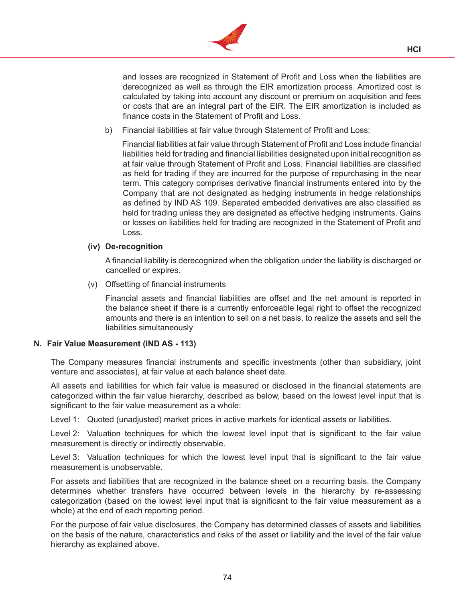

and losses are recognized in Statement of Profit and Loss when the liabilities are derecognized as well as through the EIR amortization process. Amortized cost is calculated by taking into account any discount or premium on acquisition and fees or costs that are an integral part of the EIR. The EIR amortization is included as finance costs in the Statement of Profit and Loss.

b) Financial liabilities at fair value through Statement of Profit and Loss:

 Financial liabilities at fair value through Statement of Profit and Loss include financial liabilities held for trading and financial liabilities designated upon initial recognition as at fair value through Statement of Profit and Loss. Financial liabilities are classified as held for trading if they are incurred for the purpose of repurchasing in the near term. This category comprises derivative financial instruments entered into by the Company that are not designated as hedging instruments in hedge relationships as defined by IND AS 109. Separated embedded derivatives are also classified as held for trading unless they are designated as effective hedging instruments. Gains or losses on liabilities held for trading are recognized in the Statement of Profit and Loss.

### **(iv) De-recognition**

 A financial liability is derecognized when the obligation under the liability is discharged or cancelled or expires.

(v) Offsetting of financial instruments

 Financial assets and financial liabilities are offset and the net amount is reported in the balance sheet if there is a currently enforceable legal right to offset the recognized amounts and there is an intention to sell on a net basis, to realize the assets and sell the liabilities simultaneously

### **N. Fair Value Measurement (IND AS - 113)**

 The Company measures financial instruments and specific investments (other than subsidiary, joint venture and associates), at fair value at each balance sheet date.

 All assets and liabilities for which fair value is measured or disclosed in the financial statements are categorized within the fair value hierarchy, described as below, based on the lowest level input that is significant to the fair value measurement as a whole:

Level 1: Quoted (unadjusted) market prices in active markets for identical assets or liabilities.

Level 2: Valuation techniques for which the lowest level input that is significant to the fair value measurement is directly or indirectly observable.

Level 3: Valuation techniques for which the lowest level input that is significant to the fair value measurement is unobservable.

For assets and liabilities that are recognized in the balance sheet on a recurring basis, the Company determines whether transfers have occurred between levels in the hierarchy by re-assessing categorization (based on the lowest level input that is significant to the fair value measurement as a whole) at the end of each reporting period.

For the purpose of fair value disclosures, the Company has determined classes of assets and liabilities on the basis of the nature, characteristics and risks of the asset or liability and the level of the fair value hierarchy as explained above.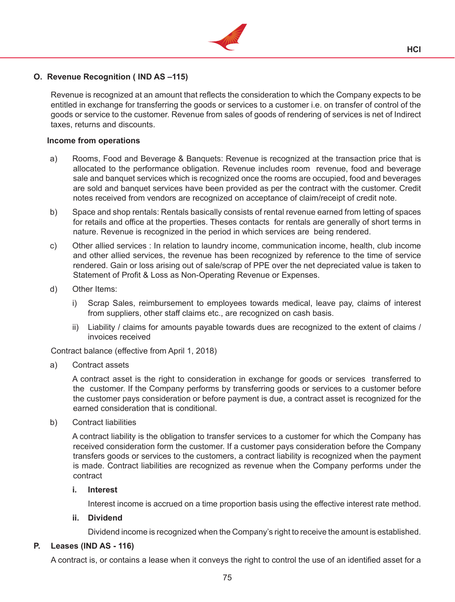

# **O. Revenue Recognition ( IND AS –115)**

 Revenue is recognized at an amount that reflects the consideration to which the Company expects to be entitled in exchange for transferring the goods or services to a customer i.e. on transfer of control of the goods or service to the customer. Revenue from sales of goods of rendering of services is net of Indirect taxes, returns and discounts.

### **Income from operations**

- a) Rooms, Food and Beverage & Banquets: Revenue is recognized at the transaction price that is allocated to the performance obligation. Revenue includes room revenue, food and beverage sale and banquet services which is recognized once the rooms are occupied, food and beverages are sold and banquet services have been provided as per the contract with the customer. Credit notes received from vendors are recognized on acceptance of claim/receipt of credit note.
- b) Space and shop rentals: Rentals basically consists of rental revenue earned from letting of spaces for retails and office at the properties. Theses contacts for rentals are generally of short terms in nature. Revenue is recognized in the period in which services are being rendered.
- c) Other allied services : In relation to laundry income, communication income, health, club income and other allied services, the revenue has been recognized by reference to the time of service rendered. Gain or loss arising out of sale/scrap of PPE over the net depreciated value is taken to Statement of Profit & Loss as Non-Operating Revenue or Expenses.
- d) Other Items:
	- i) Scrap Sales, reimbursement to employees towards medical, leave pay, claims of interest from suppliers, other staff claims etc., are recognized on cash basis.
	- ii) Liability / claims for amounts payable towards dues are recognized to the extent of claims  $/$ invoices received

 Contract balance (effective from April 1, 2018)

a) Contract assets

A contract asset is the right to consideration in exchange for goods or services transferred to the customer. If the Company performs by transferring goods or services to a customer before the customer pays consideration or before payment is due, a contract asset is recognized for the earned consideration that is conditional.

b) Contract liabilities

A contract liability is the obligation to transfer services to a customer for which the Company has received consideration form the customer. If a customer pays consideration before the Company transfers goods or services to the customers, a contract liability is recognized when the payment is made. Contract liabilities are recognized as revenue when the Company performs under the contract

### **i. Interest**

 Interest income is accrued on a time proportion basis using the effective interest rate method.

# **ii. Dividend**

Dividend income is recognized when the Company's right to receive the amount is established.

### **P. Leases (IND AS - 116)**

 A contract is, or contains a lease when it conveys the right to control the use of an identified asset for a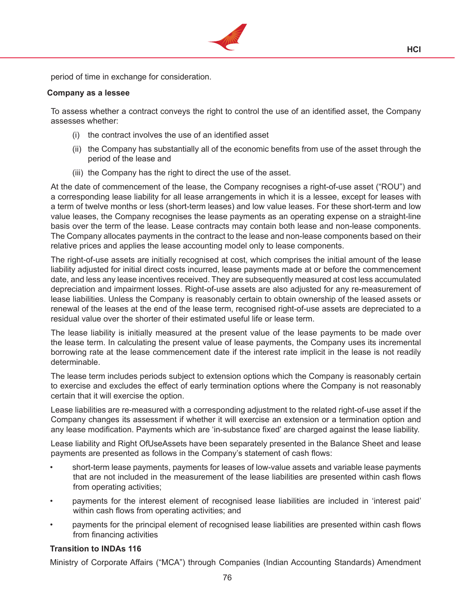

period of time in exchange for consideration.

#### **Company as a lessee**

 To assess whether a contract conveys the right to control the use of an identified asset, the Company assesses whether:

- (i) the contract involves the use of an identified asset
- (ii) the Company has substantially all of the economic benefits from use of the asset through the period of the lease and

**HCI**

(iii) the Company has the right to direct the use of the asset.

At the date of commencement of the lease, the Company recognises a right-of-use asset ("ROU") and a corresponding lease liability for all lease arrangements in which it is a lessee, except for leases with a term of twelve months or less (short-term leases) and low value leases. For these short-term and low value leases, the Company recognises the lease payments as an operating expense on a straight-line basis over the term of the lease. Lease contracts may contain both lease and non-lease components. The Company allocates payments in the contract to the lease and non-lease components based on their relative prices and applies the lease accounting model only to lease components.

The right-of-use assets are initially recognised at cost, which comprises the initial amount of the lease liability adjusted for initial direct costs incurred, lease payments made at or before the commencement date, and less any lease incentives received. They are subsequently measured at cost less accumulated depreciation and impairment losses. Right-of-use assets are also adjusted for any re-measurement of lease liabilities. Unless the Company is reasonably certain to obtain ownership of the leased assets or renewal of the leases at the end of the lease term, recognised right-of-use assets are depreciated to a residual value over the shorter of their estimated useful life or lease term.

The lease liability is initially measured at the present value of the lease payments to be made over the lease term. In calculating the present value of lease payments, the Company uses its incremental borrowing rate at the lease commencement date if the interest rate implicit in the lease is not readily determinable.

The lease term includes periods subject to extension options which the Company is reasonably certain to exercise and excludes the effect of early termination options where the Company is not reasonably certain that it will exercise the option.

 Lease liabilities are re-measured with a corresponding adjustment to the related right-of-use asset if the Company changes its assessment if whether it will exercise an extension or a termination option and any lease modification. Payments which are 'in-substance fixed' are charged against the lease liability.

 Lease liability and Right OfUseAssets have been separately presented in the Balance Sheet and lease payments are presented as follows in the Company's statement of cash flows:

- short-term lease payments, payments for leases of low-value assets and variable lease payments that are not included in the measurement of the lease liabilities are presented within cash flows from operating activities;
- payments for the interest element of recognised lease liabilities are included in 'interest paid' within cash flows from operating activities; and
- payments for the principal element of recognised lease liabilities are presented within cash flows from financing activities

### **Transition to INDAs 116**

Ministry of Corporate Affairs ("MCA") through Companies (Indian Accounting Standards) Amendment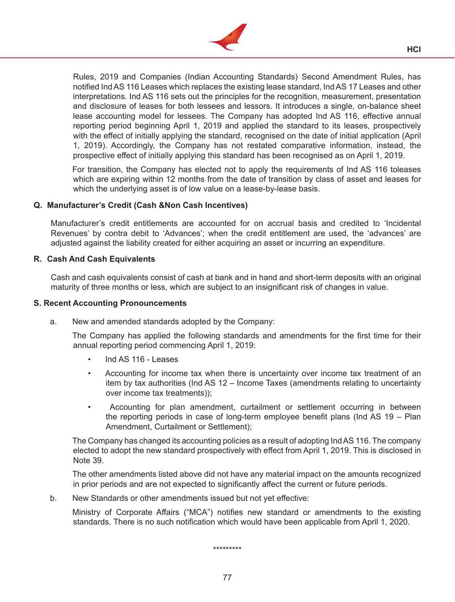

Rules, 2019 and Companies (Indian Accounting Standards) Second Amendment Rules, has notified IndAS 116 Leases which replaces the existing lease standard, IndAS 17 Leases and other interpretations. Ind AS 116 sets out the principles for the recognition, measurement, presentation and disclosure of leases for both lessees and lessors. It introduces a single, on-balance sheet lease accounting model for lessees. The Company has adopted Ind AS 116, effective annual reporting period beginning April 1, 2019 and applied the standard to its leases, prospectively with the effect of initially applying the standard, recognised on the date of initial application (April 1, 2019). Accordingly, the Company has not restated comparative information, instead, the prospective effect of initially applying this standard has been recognised as on April 1, 2019.

For transition, the Company has elected not to apply the requirements of Ind AS 116 toleases which are expiring within 12 months from the date of transition by class of asset and leases for which the underlying asset is of low value on a lease-by-lease basis.

### **Q. Manufacturer's Credit (Cash &Non Cash Incentives)**

Manufacturer's credit entitlements are accounted for on accrual basis and credited to 'Incidental Revenues' by contra debit to 'Advances'; when the credit entitlement are used, the 'advances' are adjusted against the liability created for either acquiring an asset or incurring an expenditure.

### **R. Cash And Cash Equivalents**

Cash and cash equivalents consist of cash at bank and in hand and short-term deposits with an original maturity of three months or less, which are subject to an insignificant risk of changes in value.

### **S. Recent Accounting Pronouncements**

a. New and amended standards adopted by the Company:

 The Company has applied the following standards and amendments for the first time for their annual reporting period commencing April 1, 2019:

- Ind AS 116 Leases
- Accounting for income tax when there is uncertainty over income tax treatment of an item by tax authorities (Ind AS 12 – Income Taxes (amendments relating to uncertainty over income tax treatments));
- Accounting for plan amendment, curtailment or settlement occurring in between the reporting periods in case of long-term employee benefit plans (Ind AS 19 – Plan Amendment, Curtailment or Settlement);

The Company has changed its accounting policies as a result of adopting Ind AS 116. The company elected to adopt the new standard prospectively with effect from April 1, 2019. This is disclosed in Note 39.

The other amendments listed above did not have any material impact on the amounts recognized in prior periods and are not expected to significantly affect the current or future periods.

b. New Standards or other amendments issued but not yet effective:

 Ministry of Corporate Affairs ("MCA") notifies new standard or amendments to the existing standards. There is no such notification which would have been applicable from April 1, 2020.

\*\*\*\*\*\*\*\*\*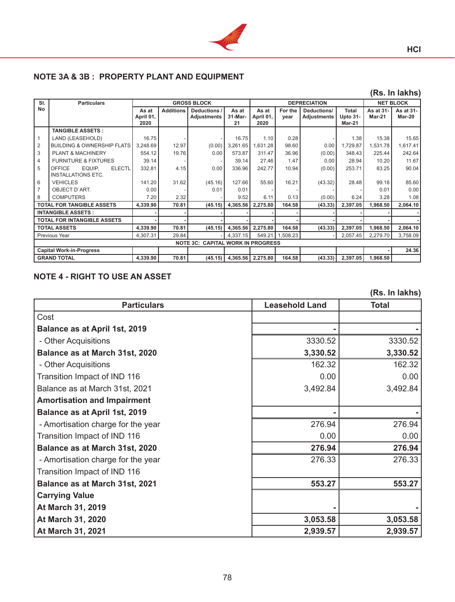

# **NOTE 3A & 3B : PROPERTY PLANT AND EQUIPMENT**

|                |                                                                       |                            |                  |                                          |                        |                            |                 |                                   |                                                  |                            | (Rs. In lakhs)      |
|----------------|-----------------------------------------------------------------------|----------------------------|------------------|------------------------------------------|------------------------|----------------------------|-----------------|-----------------------------------|--------------------------------------------------|----------------------------|---------------------|
| SI.            | <b>GROSS BLOCK</b><br><b>Particulars</b><br><b>DEPRECIATION</b>       |                            |                  |                                          |                        |                            |                 | <b>NET BLOCK</b>                  |                                                  |                            |                     |
| No             |                                                                       | As at<br>April 01,<br>2020 | <b>Additions</b> | Deductions<br><b>Adjustments</b>         | As at<br>31-Mar-<br>21 | As at<br>April 01,<br>2020 | For the<br>year | Deductions/<br><b>Adjustments</b> | <b>Total</b><br><b>Upto 31-</b><br><b>Mar-21</b> | As at 31-<br><b>Mar-21</b> | As at 31-<br>Mar-20 |
|                | <b>TANGIBLE ASSETS:</b>                                               |                            |                  |                                          |                        |                            |                 |                                   |                                                  |                            |                     |
| $\mathbf{1}$   | LAND (LEASEHOLD)                                                      | 16.75                      |                  |                                          | 16.75                  | 1.10                       | 0.28            |                                   | 1.38                                             | 15.38                      | 15.65               |
| 2              | <b>BUILDING &amp; OWNERSHIP FLATS</b>                                 | 3,248.69                   | 12.97            | (0.00)                                   | 3.261.65               | 1,631.28                   | 98.60           | 0.00                              | 1,729.87                                         | 1,531.78                   | 1,617.41            |
| 3              | <b>PLANT &amp; MACHINERY</b>                                          | 554.12                     | 19.76            | 0.00                                     | 573.87                 | 311.47                     | 36.96           | (0.00)                            | 348.43                                           | 225.44                     | 242.64              |
| $\overline{4}$ | <b>FURNITURE &amp; FIXTURES</b>                                       | 39.14                      |                  |                                          | 39.14                  | 27.46                      | 1.47            | 0.00                              | 28.94                                            | 10.20                      | 11.67               |
| 5              | <b>OFFICE</b><br>EQUIP.<br><b>ELECTL</b><br><b>INSTALLATIONS ETC.</b> | 332.81                     | 4.15             | 0.00                                     | 336.96                 | 242.77                     | 10.94           | (0.00)                            | 253.71                                           | 83.25                      | 90.04               |
| 6              | <b>VEHICLES</b>                                                       | 141.20                     | 31.62            | (45.16)                                  | 127.66                 | 55.60                      | 16.21           | (43.32)                           | 28.48                                            | 99.18                      | 85.60               |
| $\overline{7}$ | OBJECT D'ART.                                                         | 0.00                       |                  | 0.01                                     | 0.01                   |                            |                 |                                   |                                                  | 0.01                       | 0.00                |
| 8              | <b>COMPUTERS</b>                                                      | 7.20                       | 2.32             |                                          | 9.52                   | 6.11                       | 0.13            | (0.00)                            | 6.24                                             | 3.28                       | 1.08                |
|                | <b>TOTAL FOR TANGIBLE ASSETS</b>                                      | 4,339.90                   | 70.81            | (45.15)                                  | 4,365.56               | 2,275.80                   | 164.58          | (43.33)                           | 2,397.05                                         | 1,968.50                   | 2,064.10            |
|                | <b>INTANGIBLE ASSETS:</b>                                             |                            |                  |                                          |                        |                            |                 |                                   |                                                  |                            |                     |
|                | <b>TOTAL FOR INTANGIBLE ASSETS</b>                                    |                            |                  |                                          |                        |                            |                 |                                   |                                                  |                            |                     |
|                | <b>TOTAL ASSETS</b>                                                   | 4,339.90                   | 70.81            | (45.15)                                  | 4,365.56               | 2,275.80                   | 164.58          | (43.33)                           | 2,397.05                                         | 1,968.50                   | 2,064.10            |
|                | Previous Year                                                         | 4,307.31                   | 29.84            |                                          | 4.337.15               | 549.21                     | 1,508.23        |                                   | 2,057.45                                         | 2,279.70                   | 3,758.09            |
|                |                                                                       |                            |                  | <b>NOTE 3C: CAPITAL WORK IN PROGRESS</b> |                        |                            |                 |                                   |                                                  |                            |                     |
|                | <b>Capital Work-in-Progress</b>                                       |                            |                  |                                          |                        |                            |                 |                                   |                                                  |                            | 24.36               |
|                | <b>GRAND TOTAL</b>                                                    | 4,339.90                   | 70.81            | (45.15)                                  | 4,365.56               | 2,275.80                   | 164.58          | (43.33)                           | 2,397.05                                         | 1,968.50                   |                     |

# **NOTE 4 - RIGHT TO USE AN ASSET**

|                                    |                       | (Rs. In lakhs) |
|------------------------------------|-----------------------|----------------|
| <b>Particulars</b>                 | <b>Leasehold Land</b> | <b>Total</b>   |
| Cost                               |                       |                |
| Balance as at April 1st, 2019      |                       |                |
| - Other Acquisitions               | 3330.52               | 3330.52        |
| Balance as at March 31st, 2020     | 3,330.52              | 3,330.52       |
| - Other Acquisitions               | 162.32                | 162.32         |
| Transition Impact of IND 116       | 0.00                  | 0.00           |
| Balance as at March 31st, 2021     | 3,492.84              | 3,492.84       |
| <b>Amortisation and Impairment</b> |                       |                |
| Balance as at April 1st, 2019      |                       |                |
| - Amortisation charge for the year | 276.94                | 276.94         |
| Transition Impact of IND 116       | 0.00                  | 0.00           |
| Balance as at March 31st, 2020     | 276.94                | 276.94         |
| - Amortisation charge for the year | 276.33                | 276.33         |
| Transition Impact of IND 116       |                       |                |
| Balance as at March 31st, 2021     | 553.27                | 553.27         |
| <b>Carrying Value</b>              |                       |                |
| At March 31, 2019                  |                       |                |
| At March 31, 2020                  | 3,053.58              | 3,053.58       |
| At March 31, 2021                  | 2,939.57              | 2,939.57       |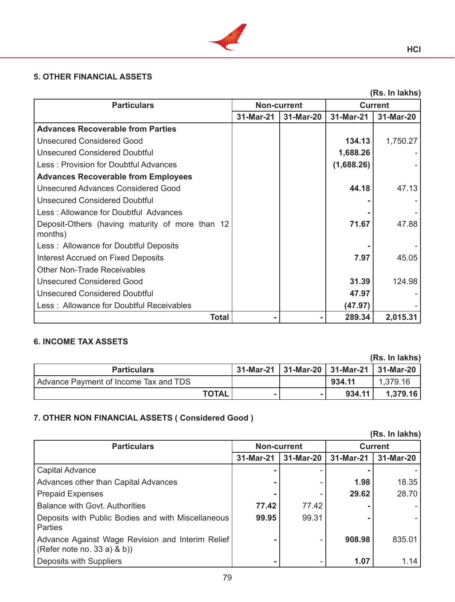

# **5. OTHER FINANCIAL ASSETS**

|                                                            |           |                    |                | (Rs. In lakhs) |  |  |
|------------------------------------------------------------|-----------|--------------------|----------------|----------------|--|--|
| <b>Particulars</b>                                         |           | <b>Non-current</b> | <b>Current</b> |                |  |  |
|                                                            | 31-Mar-21 | 31-Mar-20          | 31-Mar-21      | 31-Mar-20      |  |  |
| <b>Advances Recoverable from Parties</b>                   |           |                    |                |                |  |  |
| <b>Unsecured Considered Good</b>                           |           |                    | 134.13         | 1,750.27       |  |  |
| <b>Unsecured Considered Doubtful</b>                       |           |                    | 1,688.26       |                |  |  |
| Less: Provision for Doubtful Advances                      |           |                    | (1,688.26)     |                |  |  |
| <b>Advances Recoverable from Employees</b>                 |           |                    |                |                |  |  |
| <b>Unsecured Advances Considered Good</b>                  |           |                    | 44.18          | 47.13          |  |  |
| <b>Unsecured Considered Doubtful</b>                       |           |                    |                |                |  |  |
| Less: Allowance for Doubtful Advances                      |           |                    |                |                |  |  |
| Deposit-Others (having maturity of more than 12<br>months) |           |                    | 71.67          | 47.88          |  |  |
| Less: Allowance for Doubtful Deposits                      |           |                    |                |                |  |  |
| Interest Accrued on Fixed Deposits                         |           |                    | 7.97           | 45.05          |  |  |
| <b>Other Non-Trade Receivables</b>                         |           |                    |                |                |  |  |
| <b>Unsecured Considered Good</b>                           |           |                    | 31.39          | 124.98         |  |  |
| <b>Unsecured Considered Doubtful</b>                       |           |                    | 47.97          |                |  |  |
| Less: Allowance for Doubtful Receivables                   |           |                    | (47.97)        |                |  |  |
| <b>Total</b>                                               |           |                    | 289.34         | 2,015.31       |  |  |

# **6. INCOME TAX ASSETS**

|                                       |              |   |        | (Rs. In lakhs)                                |
|---------------------------------------|--------------|---|--------|-----------------------------------------------|
| <b>Particulars</b>                    |              |   |        | 31-Mar-21   31-Mar-20   31-Mar-21   31-Mar-20 |
| Advance Payment of Income Tax and TDS |              |   | 934.11 | 1.379.16                                      |
|                                       | <b>TOTAL</b> | ۰ | 934.11 | 1.379.16                                      |

# **7. OTHER NON FINANCIAL ASSETS ( Considered Good )**

| <b>Particulars</b>                                                             | <b>Non-current</b> |           |           | <b>Current</b> |  |
|--------------------------------------------------------------------------------|--------------------|-----------|-----------|----------------|--|
|                                                                                | 31-Mar-21          | 31-Mar-20 | 31-Mar-21 | 31-Mar-20      |  |
| <b>Capital Advance</b>                                                         |                    |           |           |                |  |
| Advances other than Capital Advances                                           |                    |           | 1.98      | 18.35          |  |
| <b>Prepaid Expenses</b>                                                        |                    |           | 29.62     | 28.70          |  |
| <b>Balance with Govt. Authorities</b>                                          | 77.42              | 77.42     |           |                |  |
| Deposits with Public Bodies and with Miscellaneous<br><b>Parties</b>           | 99.95              | 99.31     |           |                |  |
| Advance Against Wage Revision and Interim Relief<br>(Refer note no. 33 a) & b) |                    |           | 908.98    | 835.01         |  |
| Deposits with Suppliers                                                        |                    |           | 1.07      | 1.14           |  |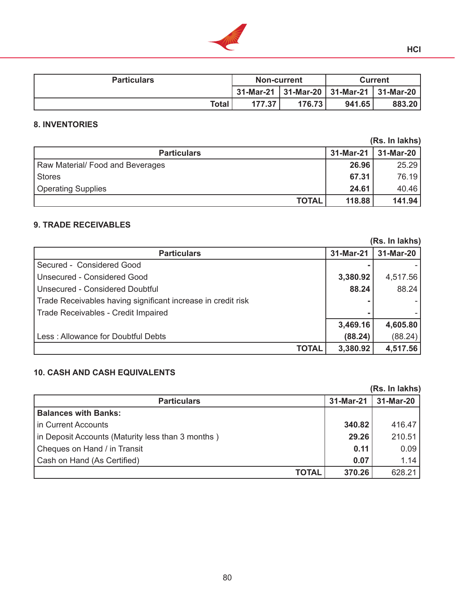

| <b>Particulars</b> | Non-current |        | <b>Current</b>                                |        |
|--------------------|-------------|--------|-----------------------------------------------|--------|
|                    |             |        | 31-Mar-21   31-Mar-20   31-Mar-21   31-Mar-20 |        |
| Total              | 177.37      | 176.73 | 941.65                                        | 883.20 |

# **8. INVENTORIES**

**(Rs. In lakhs) Particulars 31-Mar-21 31-Mar-20** Raw Material/ Food and Beverages **26.96** 25.29 Stores **67.31** 76.19 Operating Supplies 24.61 **24.61** 40.46 **TOTAL 118.88 141.94** 

# **9. TRADE RECEIVABLES**

|                                                              |           | (Rs. In lakhs) |
|--------------------------------------------------------------|-----------|----------------|
| <b>Particulars</b>                                           | 31-Mar-21 | 31-Mar-20      |
| Secured - Considered Good                                    |           |                |
| Unsecured - Considered Good                                  | 3,380.92  | 4,517.56       |
| Unsecured - Considered Doubtful                              | 88.24     | 88.24          |
| Trade Receivables having significant increase in credit risk |           |                |
| Trade Receivables - Credit Impaired                          |           |                |
|                                                              | 3,469.16  | 4,605.80       |
| Less: Allowance for Doubtful Debts                           | (88.24)   | (88.24)        |
| <b>TOTAL</b>                                                 | 3,380.92  | 4,517.56       |

# **10. CASH AND CASH EQUIVALENTS**

|                                                   |           | (Rs. In lakhs) |
|---------------------------------------------------|-----------|----------------|
| <b>Particulars</b>                                | 31-Mar-21 | 31-Mar-20      |
| <b>Balances with Banks:</b>                       |           |                |
| In Current Accounts                               | 340.82    | 416.47         |
| In Deposit Accounts (Maturity less than 3 months) | 29.26     | 210.51         |
| Cheques on Hand / in Transit                      | 0.11      | 0.09           |
| Cash on Hand (As Certified)                       | 0.07      | 1.14           |
| <b>TOTAL</b>                                      | 370.26    | 628.21         |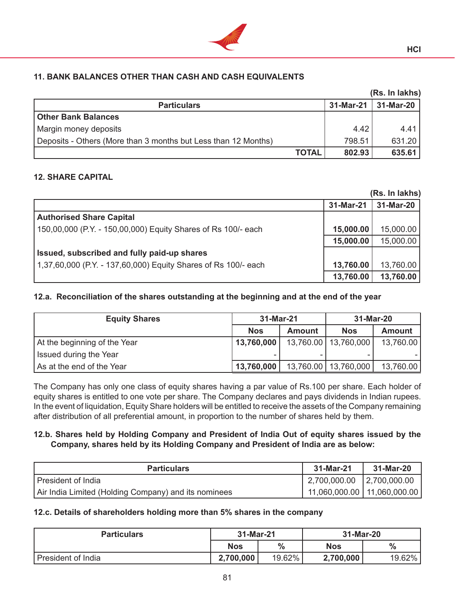

# **11. BANK BALANCES OTHER THAN CASH AND CASH EQUIVALENTS**

|                                                                |           | (Rs. In lakhs) |
|----------------------------------------------------------------|-----------|----------------|
| <b>Particulars</b>                                             | 31-Mar-21 | 31-Mar-20      |
| <b>Other Bank Balances</b>                                     |           |                |
| Margin money deposits                                          | 4.42      | 4.41           |
| Deposits - Others (More than 3 months but Less than 12 Months) | 798.51    | 631.20         |
| <b>TOTAL</b>                                                   | 802.93    | 635.61         |

# **12. SHARE CAPITAL**

|                                                                |           | (Rs. In lakhs) |
|----------------------------------------------------------------|-----------|----------------|
|                                                                | 31-Mar-21 | 31-Mar-20      |
| <b>Authorised Share Capital</b>                                |           |                |
| 150,00,000 (P.Y. - 150,00,000) Equity Shares of Rs 100/- each  | 15,000.00 | 15,000.00      |
|                                                                | 15,000.00 | 15,000.00      |
| <b>Issued, subscribed and fully paid-up shares</b>             |           |                |
| 1,37,60,000 (P.Y. - 137,60,000) Equity Shares of Rs 100/- each | 13,760.00 | 13,760.00      |
|                                                                | 13,760.00 | 13,760.00      |

# **12.a. Reconciliation of the shares outstanding at the beginning and at the end of the year**

| <b>Equity Shares</b>          | 31-Mar-21  |               | 31-Mar-20              |               |
|-------------------------------|------------|---------------|------------------------|---------------|
|                               | <b>Nos</b> | <b>Amount</b> | <b>Nos</b>             | <b>Amount</b> |
| At the beginning of the Year  | 13,760,000 |               | 13,760.00   13,760,000 | 13,760.00     |
| <b>Issued during the Year</b> |            |               |                        |               |
| As at the end of the Year     | 13,760,000 |               | 13,760.00   13,760,000 | 13,760.00     |

The Company has only one class of equity shares having a par value of Rs.100 per share. Each holder of equity shares is entitled to one vote per share. The Company declares and pays dividends in Indian rupees. In the event of liquidation, Equity Share holders will be entitled to receive the assets of the Company remaining after distribution of all preferential amount, in proportion to the number of shares held by them.

### **12.b. Shares held by Holding Company and President of India Out of equity shares issued by the Company, shares held by its Holding Company and President of India are as below:**

| <b>Particulars</b>                                   | 31-Mar-21                   | 31-Mar-20                     |
|------------------------------------------------------|-----------------------------|-------------------------------|
| President of India                                   | 2,700,000.00   2,700,000.00 |                               |
| Air India Limited (Holding Company) and its nominees |                             | 11,060,000.00   11,060,000.00 |

# **12.c. Details of shareholders holding more than 5% shares in the company**

| <b>Particulars</b> | 31-Mar-21  |               | 31-Mar-20  |               |
|--------------------|------------|---------------|------------|---------------|
|                    | <b>Nos</b> | $\frac{0}{0}$ | <b>Nos</b> | $\frac{0}{0}$ |
| President of India | 2,700,000  | $19.62\%$     | 2,700,000  | $19.62\%$     |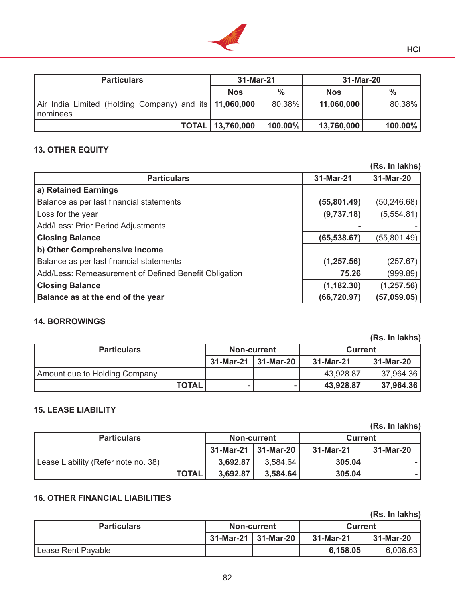

| <b>Particulars</b>                                                     | 31-Mar-21                   |               | 31-Mar-20  |               |
|------------------------------------------------------------------------|-----------------------------|---------------|------------|---------------|
|                                                                        | <b>Nos</b>                  | $\frac{0}{0}$ | <b>Nos</b> | $\frac{0}{0}$ |
| Air India Limited (Holding Company) and its   11,060,000  <br>nominees |                             | 80.38%        | 11,060,000 | 80.38%        |
|                                                                        | <b>TOTAL   13,760,000  </b> | $100.00\%$    | 13,760,000 | 100.00%       |

# **13. OTHER EQUITY**

|                                                       |              | (Rs. In lakhs) |
|-------------------------------------------------------|--------------|----------------|
| <b>Particulars</b>                                    | 31-Mar-21    | 31-Mar-20      |
| a) Retained Earnings                                  |              |                |
| Balance as per last financial statements              | (55,801.49)  | (50, 246.68)   |
| Loss for the year                                     | (9,737.18)   | (5,554.81)     |
| Add/Less: Prior Period Adjustments                    |              |                |
| <b>Closing Balance</b>                                | (65, 538.67) | (55,801.49)    |
| b) Other Comprehensive Income                         |              |                |
| Balance as per last financial statements              | (1, 257.56)  | (257.67)       |
| Add/Less: Remeasurement of Defined Benefit Obligation | 75.26        | (999.89)       |
| <b>Closing Balance</b>                                | (1, 182.30)  | (1, 257.56)    |
| Balance as at the end of the year                     | (66, 720.97) | (57,059.05)    |

# **14. BORROWINGS**

**(Rs. In lakhs)**

| <b>Particulars</b>            | <b>Non-current</b>    |  | <b>Current</b> |           |
|-------------------------------|-----------------------|--|----------------|-----------|
|                               | 31-Mar-21   31-Mar-20 |  | 31-Mar-21      | 31-Mar-20 |
| Amount due to Holding Company |                       |  | 43,928.87      | 37,964.36 |
| <b>TOTAL</b>                  |                       |  | 43,928.87      | 37,964.36 |

# **15. LEASE LIABILITY**

**(Rs. In lakhs)**

| <b>Particulars</b>                  |              | <b>Non-current</b>    |          | <b>Current</b> |           |
|-------------------------------------|--------------|-----------------------|----------|----------------|-----------|
|                                     |              | 31-Mar-21   31-Mar-20 |          | 31-Mar-21      | 31-Mar-20 |
| Lease Liability (Refer note no. 38) |              | 3,692.87              | 3.584.64 | 305.04         |           |
|                                     | <b>TOTAL</b> | 3.692.87              | 3.584.64 | 305.04         |           |

# **16. OTHER FINANCIAL LIABILITIES**

**(Rs. In lakhs)**

| <b>Particulars</b>   | Non-current           |  | <b>Current</b> |           |
|----------------------|-----------------------|--|----------------|-----------|
|                      | 31-Mar-21   31-Mar-20 |  | 31-Mar-21      | 31-Mar-20 |
| ' Lease Rent Payable |                       |  | 6,158.05       | 6,008.63  |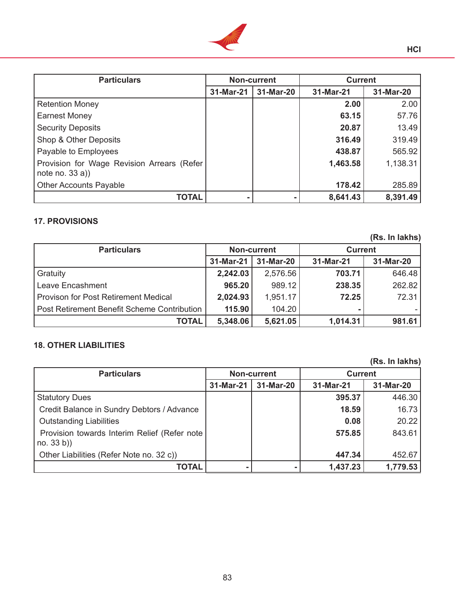

| <b>Particulars</b>                                              | <b>Non-current</b> |                | <b>Current</b> |           |
|-----------------------------------------------------------------|--------------------|----------------|----------------|-----------|
|                                                                 | 31-Mar-21          | 31-Mar-20      | 31-Mar-21      | 31-Mar-20 |
| <b>Retention Money</b>                                          |                    |                | 2.00           | 2.00      |
| <b>Earnest Money</b>                                            |                    |                | 63.15          | 57.76     |
| <b>Security Deposits</b>                                        |                    |                | 20.87          | 13.49     |
| Shop & Other Deposits                                           |                    |                | 316.49         | 319.49    |
| Payable to Employees                                            |                    |                | 438.87         | 565.92    |
| Provision for Wage Revision Arrears (Refer<br>note no. $33$ a)) |                    |                | 1,463.58       | 1,138.31  |
| <b>Other Accounts Payable</b>                                   |                    |                | 178.42         | 285.89    |
| <b>TOTAL</b>                                                    |                    | $\blacksquare$ | 8,641.43       | 8,391.49  |

# **17. PROVISIONS**

|                                             |                    |           |                | (Rs. In lakhs) |
|---------------------------------------------|--------------------|-----------|----------------|----------------|
| <b>Particulars</b>                          | <b>Non-current</b> |           | <b>Current</b> |                |
|                                             | 31-Mar-21          | 31-Mar-20 | 31-Mar-21      | 31-Mar-20      |
| Gratuity                                    | 2,242.03           | 2,576.56  | 703.71         | 646.48         |
| <b>Leave Encashment</b>                     | 965.20             | 989.12    | 238.35         | 262.82         |
| <b>Provison for Post Retirement Medical</b> | 2,024.93           | 1,951.17  | 72.25          | 72.31          |
| Post Retirement Benefit Scheme Contribution | 115.90             | 104.20    |                |                |
| <b>TOTAL</b>                                | 5,348.06           | 5,621.05  | 1,014.31       | 981.61         |

# **18. OTHER LIABILITIES**

# **(Rs. In lakhs)**

| <b>Particulars</b>                           | <b>Non-current</b> |           |           |           | <b>Current</b> |  |
|----------------------------------------------|--------------------|-----------|-----------|-----------|----------------|--|
|                                              | 31-Mar-21          | 31-Mar-20 | 31-Mar-21 | 31-Mar-20 |                |  |
| <b>Statutory Dues</b>                        |                    |           | 395.37    | 446.30    |                |  |
| Credit Balance in Sundry Debtors / Advance   |                    |           | 18.59     | 16.73     |                |  |
| <b>Outstanding Liabilities</b>               |                    |           | 0.08      | 20.22     |                |  |
| Provision towards Interim Relief (Refer note |                    |           | 575.85    | 843.61    |                |  |
| no. 33 b)                                    |                    |           |           |           |                |  |
| Other Liabilities (Refer Note no. 32 c))     |                    |           | 447.34    | 452.67    |                |  |
| <b>TOTAL</b>                                 |                    |           | 1,437.23  | 1,779.53  |                |  |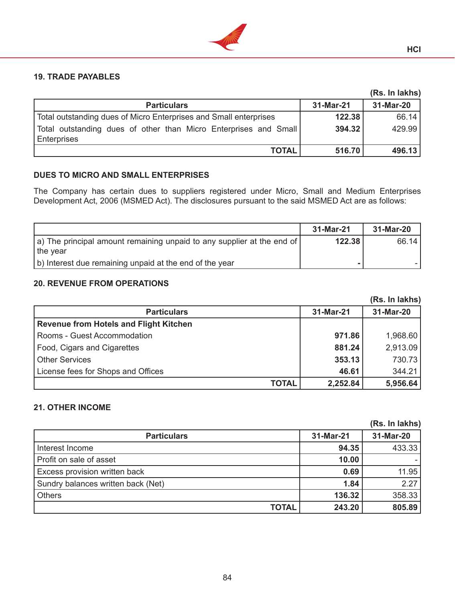

# **19. TRADE PAYABLES**

|                                                                                 |           | (Rs. In lakhs) |
|---------------------------------------------------------------------------------|-----------|----------------|
| <b>Particulars</b>                                                              | 31-Mar-21 | 31-Mar-20      |
| Total outstanding dues of Micro Enterprises and Small enterprises               | 122.38    | 66.14          |
| Total outstanding dues of other than Micro Enterprises and Small<br>Enterprises | 394.32    | 429.99         |
| <b>TOTAL</b>                                                                    | 516.70    | 496.13         |

# **DUES TO MICRO AND SMALL ENTERPRISES**

The Company has certain dues to suppliers registered under Micro, Small and Medium Enterprises Development Act, 2006 (MSMED Act). The disclosures pursuant to the said MSMED Act are as follows:

|                                                                           | 31-Mar-21 | 31-Mar-20 |
|---------------------------------------------------------------------------|-----------|-----------|
| $ a $ The principal amount remaining unpaid to any supplier at the end of | 122.38    | 66.14     |
| ∣ the year                                                                |           |           |
| (b) Interest due remaining unpaid at the end of the year                  |           |           |

## **20. REVENUE FROM OPERATIONS**

|                                               |           | (Rs. In lakhs) |
|-----------------------------------------------|-----------|----------------|
| <b>Particulars</b>                            | 31-Mar-21 | 31-Mar-20      |
| <b>Revenue from Hotels and Flight Kitchen</b> |           |                |
| Rooms - Guest Accommodation                   | 971.86    | 1,968.60       |
| Food, Cigars and Cigarettes                   | 881.24    | 2,913.09       |
| <b>Other Services</b>                         | 353.13    | 730.73         |
| License fees for Shops and Offices            | 46.61     | 344.21         |
| <b>TOTAL</b>                                  | 2,252.84  | 5,956.64       |

# **21. OTHER INCOME**

|                                    |           | (Rs. In lakhs) |
|------------------------------------|-----------|----------------|
| <b>Particulars</b>                 | 31-Mar-21 | 31-Mar-20      |
| Interest Income                    | 94.35     | 433.33         |
| Profit on sale of asset            | 10.00     |                |
| Excess provision written back      | 0.69      | 11.95          |
| Sundry balances written back (Net) | 1.84      | 2.27           |
| <b>Others</b>                      | 136.32    | 358.33         |
| <b>TOTAL</b>                       | 243.20    | 805.89         |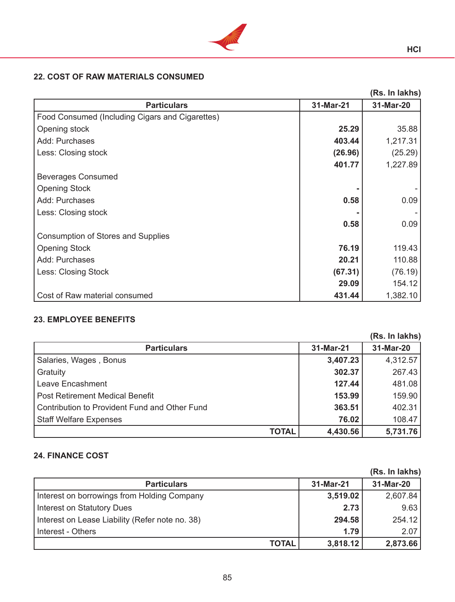

# **22. COST OF RAW MATERIALS CONSUMED**

|                                                 |           | (Rs. In lakhs) |
|-------------------------------------------------|-----------|----------------|
| <b>Particulars</b>                              | 31-Mar-21 | 31-Mar-20      |
| Food Consumed (Including Cigars and Cigarettes) |           |                |
| Opening stock                                   | 25.29     | 35.88          |
| Add: Purchases                                  | 403.44    | 1,217.31       |
| Less: Closing stock                             | (26.96)   | (25.29)        |
|                                                 | 401.77    | 1,227.89       |
| <b>Beverages Consumed</b>                       |           |                |
| <b>Opening Stock</b>                            |           |                |
| Add: Purchases                                  | 0.58      | 0.09           |
| Less: Closing stock                             |           |                |
|                                                 | 0.58      | 0.09           |
| <b>Consumption of Stores and Supplies</b>       |           |                |
| <b>Opening Stock</b>                            | 76.19     | 119.43         |
| Add: Purchases                                  | 20.21     | 110.88         |
| Less: Closing Stock                             | (67.31)   | (76.19)        |
|                                                 | 29.09     | 154.12         |
| Cost of Raw material consumed                   | 431.44    | 1,382.10       |

# **23. EMPLOYEE BENEFITS**

|                                               |           | (Rs. In lakhs) |
|-----------------------------------------------|-----------|----------------|
| <b>Particulars</b>                            | 31-Mar-21 | 31-Mar-20      |
| Salaries, Wages, Bonus                        | 3,407.23  | 4,312.57       |
| Gratuity                                      | 302.37    | 267.43         |
| Leave Encashment                              | 127.44    | 481.08         |
| <b>Post Retirement Medical Benefit</b>        | 153.99    | 159.90         |
| Contribution to Provident Fund and Other Fund | 363.51    | 402.31         |
| <b>Staff Welfare Expenses</b>                 | 76.02     | 108.47         |
| <b>TOTAL</b>                                  | 4,430.56  | 5,731.76       |

# **24. FINANCE COST**

|                                                 |           | (Rs. In lakhs) |
|-------------------------------------------------|-----------|----------------|
| <b>Particulars</b>                              | 31-Mar-21 | 31-Mar-20      |
| Interest on borrowings from Holding Company     | 3,519.02  | 2,607.84       |
| Interest on Statutory Dues                      | 2.73      | 9.63           |
| Interest on Lease Liability (Refer note no. 38) | 294.58    | 254.12         |
| Interest - Others                               | 1.79      | 2.07           |
| <b>TOTAL</b>                                    | 3,818.12  | 2,873.66       |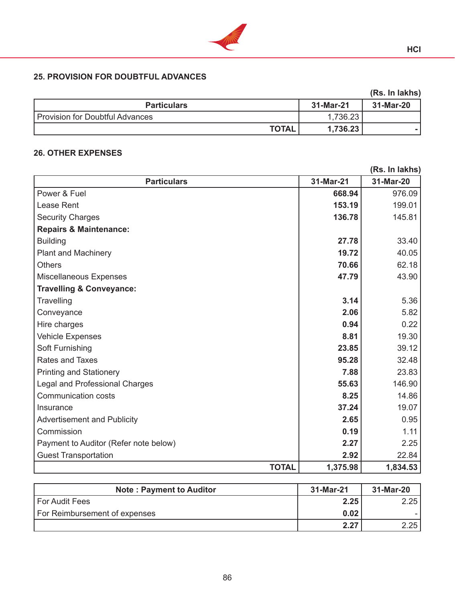

# **25. PROVISION FOR DOUBTFUL ADVANCES**

|                                 |           | (Rs. In lakhs) |
|---------------------------------|-----------|----------------|
| <b>Particulars</b>              | 31-Mar-21 | 31-Mar-20      |
| Provision for Doubtful Advances | 1,736.23  |                |
| <b>TOTAL</b>                    | 1,736.23  |                |

# **26. OTHER EXPENSES**

| (Rs. In lakhs)                        |           |           |
|---------------------------------------|-----------|-----------|
| <b>Particulars</b>                    | 31-Mar-21 | 31-Mar-20 |
| Power & Fuel                          | 668.94    | 976.09    |
| Lease Rent                            | 153.19    | 199.01    |
| <b>Security Charges</b>               | 136.78    | 145.81    |
| <b>Repairs &amp; Maintenance:</b>     |           |           |
| <b>Building</b>                       | 27.78     | 33.40     |
| <b>Plant and Machinery</b>            | 19.72     | 40.05     |
| <b>Others</b>                         | 70.66     | 62.18     |
| <b>Miscellaneous Expenses</b>         | 47.79     | 43.90     |
| <b>Travelling &amp; Conveyance:</b>   |           |           |
| Travelling                            | 3.14      | 5.36      |
| Conveyance                            | 2.06      | 5.82      |
| Hire charges                          | 0.94      | 0.22      |
| <b>Vehicle Expenses</b>               | 8.81      | 19.30     |
| Soft Furnishing                       | 23.85     | 39.12     |
| <b>Rates and Taxes</b>                | 95.28     | 32.48     |
| <b>Printing and Stationery</b>        | 7.88      | 23.83     |
| <b>Legal and Professional Charges</b> | 55.63     | 146.90    |
| <b>Communication costs</b>            | 8.25      | 14.86     |
| Insurance                             | 37.24     | 19.07     |
| <b>Advertisement and Publicity</b>    | 2.65      | 0.95      |
| Commission                            | 0.19      | 1.11      |
| Payment to Auditor (Refer note below) | 2.27      | 2.25      |
| <b>Guest Transportation</b>           | 2.92      | 22.84     |
| <b>TOTAL</b>                          | 1,375.98  | 1,834.53  |

| <b>Note: Payment to Auditor</b> | 31-Mar-21 | 31-Mar-20 |
|---------------------------------|-----------|-----------|
| l For Audit Fees                | 2.25      | 2.251     |
| For Reimbursement of expenses   | 0.02      |           |
|                                 | 2.27      | 2.25      |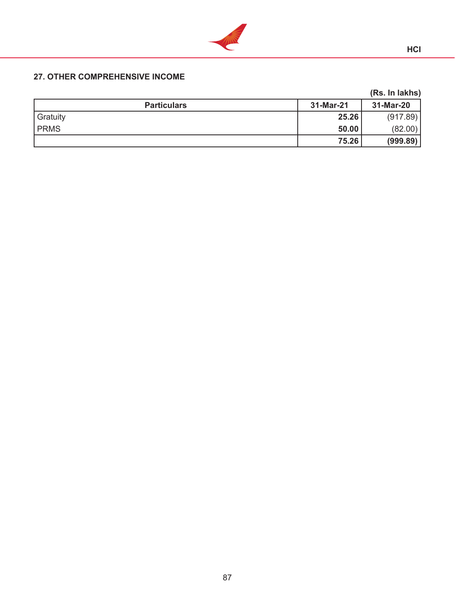

# **27. OTHER COMPREHENSIVE INCOME**

|                    |           | (Rs. In lakhs) |
|--------------------|-----------|----------------|
| <b>Particulars</b> | 31-Mar-21 | 31-Mar-20      |
| Gratuity           | 25.26     | (917.89)       |
| <b>PRMS</b>        | 50.00     | (82.00)        |
|                    | 75.26     | (999.89)       |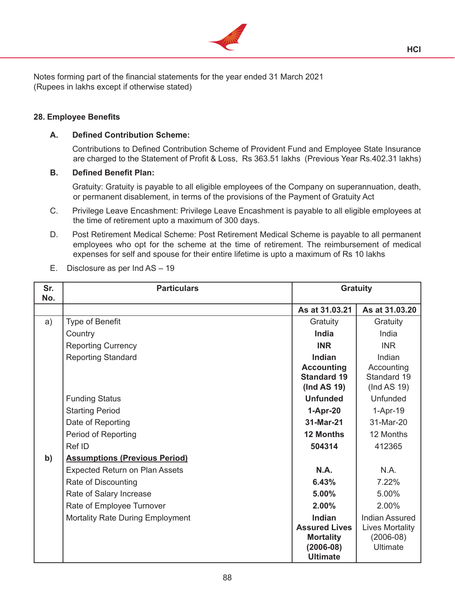

Notes forming part of the financial statements for the year ended 31 March 2021 (Rupees in lakhs except if otherwise stated)

### **28. Employee Benefits**

### **A. Defined Contribution Scheme:**

 Contributions to Defined Contribution Scheme of Provident Fund and Employee State Insurance are charged to the Statement of Profit & Loss, Rs 363.51 lakhs (Previous Year Rs.402.31 lakhs)

### **B. Defined Benefit Plan:**

Gratuity: Gratuity is payable to all eligible employees of the Company on superannuation, death, or permanent disablement, in terms of the provisions of the Payment of Gratuity Act

- C. Privilege Leave Encashment: Privilege Leave Encashment is payable to all eligible employees at the time of retirement upto a maximum of 300 days.
- D. Post Retirement Medical Scheme: Post Retirement Medical Scheme is payable to all permanent employees who opt for the scheme at the time of retirement. The reimbursement of medical expenses for self and spouse for their entire lifetime is upto a maximum of Rs 10 lakhs
- E. Disclosure as per Ind AS 19

| Sr.<br>No. | <b>Particulars</b>                      | <b>Gratuity</b>                         |                                  |
|------------|-----------------------------------------|-----------------------------------------|----------------------------------|
|            |                                         | As at 31.03.21                          | As at 31.03.20                   |
| a)         | <b>Type of Benefit</b>                  | Gratuity                                | Gratuity                         |
|            | Country                                 | India                                   | India                            |
|            | <b>Reporting Currency</b>               | <b>INR</b>                              | <b>INR</b>                       |
|            | <b>Reporting Standard</b>               | Indian                                  | Indian                           |
|            |                                         | <b>Accounting</b>                       | Accounting                       |
|            |                                         | <b>Standard 19</b><br>$($ lnd AS 19 $)$ | Standard 19<br>$($ lnd AS 19 $)$ |
|            | <b>Funding Status</b>                   | <b>Unfunded</b>                         | <b>Unfunded</b>                  |
|            | <b>Starting Period</b>                  | $1-Apr-20$                              | $1-Apr-19$                       |
|            | Date of Reporting                       | 31-Mar-21                               | 31-Mar-20                        |
|            | <b>Period of Reporting</b>              | <b>12 Months</b>                        | 12 Months                        |
|            | Ref ID                                  | 504314                                  | 412365                           |
| b)         | <b>Assumptions (Previous Period)</b>    |                                         |                                  |
|            | <b>Expected Return on Plan Assets</b>   | <b>N.A.</b>                             | N.A.                             |
|            | Rate of Discounting                     | 6.43%                                   | 7.22%                            |
|            | Rate of Salary Increase                 | 5.00%                                   | 5.00%                            |
|            | Rate of Employee Turnover               | 2.00%                                   | 2.00%                            |
|            | <b>Mortality Rate During Employment</b> | Indian                                  | <b>Indian Assured</b>            |
|            |                                         | <b>Assured Lives</b>                    | <b>Lives Mortality</b>           |
|            |                                         | <b>Mortality</b>                        | $(2006-08)$<br>Ultimate          |
|            |                                         | $(2006-08)$<br><b>Ultimate</b>          |                                  |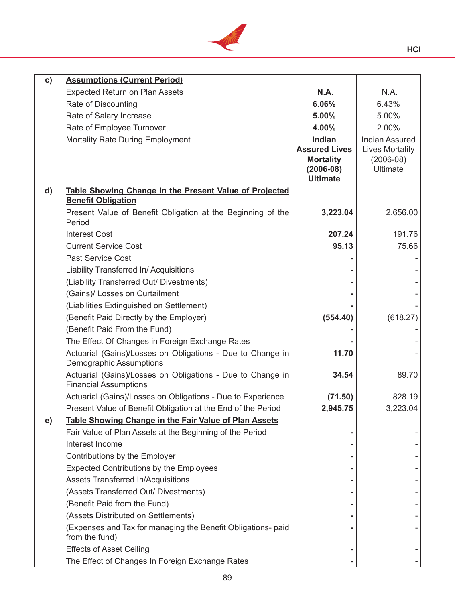

| $\mathbf{c})$ | <b>Assumptions (Current Period)</b>                                                        |                                |                       |
|---------------|--------------------------------------------------------------------------------------------|--------------------------------|-----------------------|
|               | <b>Expected Return on Plan Assets</b>                                                      | N.A.                           | N.A.                  |
|               | Rate of Discounting                                                                        | 6.06%                          | 6.43%                 |
|               | Rate of Salary Increase                                                                    | 5.00%                          | 5.00%                 |
|               | Rate of Employee Turnover                                                                  | 4.00%                          | 2.00%                 |
|               | Mortality Rate During Employment                                                           | <b>Indian</b>                  | <b>Indian Assured</b> |
|               |                                                                                            | <b>Assured Lives</b>           | Lives Mortality       |
|               |                                                                                            | <b>Mortality</b>               | $(2006-08)$           |
|               |                                                                                            | $(2006-08)$<br><b>Ultimate</b> | Ultimate              |
| d)            | Table Showing Change in the Present Value of Projected                                     |                                |                       |
|               | <b>Benefit Obligation</b>                                                                  |                                |                       |
|               | Present Value of Benefit Obligation at the Beginning of the                                | 3,223.04                       | 2,656.00              |
|               | Period                                                                                     |                                |                       |
|               | <b>Interest Cost</b>                                                                       | 207.24                         | 191.76                |
|               | <b>Current Service Cost</b>                                                                | 95.13                          | 75.66                 |
|               | <b>Past Service Cost</b>                                                                   |                                |                       |
|               | Liability Transferred In/ Acquisitions                                                     |                                |                       |
|               | (Liability Transferred Out/ Divestments)                                                   |                                |                       |
|               | (Gains)/ Losses on Curtailment                                                             |                                |                       |
|               | (Liabilities Extinguished on Settlement)                                                   |                                |                       |
|               | (Benefit Paid Directly by the Employer)                                                    | (554.40)                       | (618.27)              |
|               | (Benefit Paid From the Fund)                                                               |                                |                       |
|               | The Effect Of Changes in Foreign Exchange Rates                                            |                                |                       |
|               | Actuarial (Gains)/Losses on Obligations - Due to Change in<br>Demographic Assumptions      | 11.70                          |                       |
|               | Actuarial (Gains)/Losses on Obligations - Due to Change in<br><b>Financial Assumptions</b> | 34.54                          | 89.70                 |
|               | Actuarial (Gains)/Losses on Obligations - Due to Experience                                | (71.50)                        | 828.19                |
|               | Present Value of Benefit Obligation at the End of the Period                               | 2,945.75                       | 3,223.04              |
| e)            | Table Showing Change in the Fair Value of Plan Assets                                      |                                |                       |
|               | Fair Value of Plan Assets at the Beginning of the Period                                   |                                |                       |
|               | Interest Income                                                                            |                                |                       |
|               | Contributions by the Employer                                                              |                                |                       |
|               | <b>Expected Contributions by the Employees</b>                                             |                                |                       |
|               | <b>Assets Transferred In/Acquisitions</b>                                                  |                                |                       |
|               | (Assets Transferred Out/ Divestments)                                                      |                                |                       |
|               | (Benefit Paid from the Fund)                                                               |                                |                       |
|               | (Assets Distributed on Settlements)                                                        |                                |                       |
|               | (Expenses and Tax for managing the Benefit Obligations- paid<br>from the fund)             |                                |                       |
|               | <b>Effects of Asset Ceiling</b>                                                            |                                |                       |
|               | The Effect of Changes In Foreign Exchange Rates                                            |                                |                       |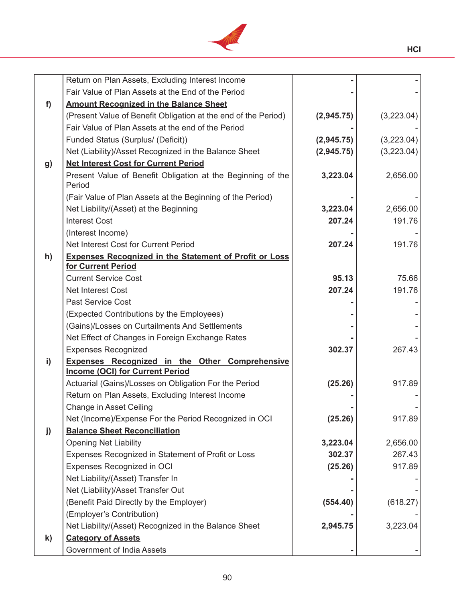

|    | Return on Plan Assets, Excluding Interest Income                      |            |            |
|----|-----------------------------------------------------------------------|------------|------------|
|    | Fair Value of Plan Assets at the End of the Period                    |            |            |
| f) | <b>Amount Recognized in the Balance Sheet</b>                         |            |            |
|    | (Present Value of Benefit Obligation at the end of the Period)        | (2,945.75) | (3,223.04) |
|    | Fair Value of Plan Assets at the end of the Period                    |            |            |
|    | Funded Status (Surplus/ (Deficit))                                    | (2,945.75) | (3,223.04) |
|    | Net (Liability)/Asset Recognized in the Balance Sheet                 | (2,945.75) | (3,223.04) |
| g) | <b>Net Interest Cost for Current Period</b>                           |            |            |
|    | Present Value of Benefit Obligation at the Beginning of the<br>Period | 3,223.04   | 2,656.00   |
|    | (Fair Value of Plan Assets at the Beginning of the Period)            |            |            |
|    | Net Liability/(Asset) at the Beginning                                | 3,223.04   | 2,656.00   |
|    | <b>Interest Cost</b>                                                  | 207.24     | 191.76     |
|    | (Interest Income)                                                     |            |            |
|    | Net Interest Cost for Current Period                                  | 207.24     | 191.76     |
| h) | <b>Expenses Recognized in the Statement of Profit or Loss</b>         |            |            |
|    | for Current Period                                                    |            |            |
|    | <b>Current Service Cost</b>                                           | 95.13      | 75.66      |
|    | <b>Net Interest Cost</b>                                              | 207.24     | 191.76     |
|    | <b>Past Service Cost</b>                                              |            |            |
|    | (Expected Contributions by the Employees)                             |            |            |
|    | (Gains)/Losses on Curtailments And Settlements                        |            |            |
|    | Net Effect of Changes in Foreign Exchange Rates                       |            |            |
|    | <b>Expenses Recognized</b>                                            | 302.37     | 267.43     |
| i) | <b>Expenses Recognized in the Other Comprehensive</b>                 |            |            |
|    | <b>Income (OCI) for Current Period</b>                                |            |            |
|    | Actuarial (Gains)/Losses on Obligation For the Period                 | (25.26)    | 917.89     |
|    | Return on Plan Assets, Excluding Interest Income                      |            |            |
|    | Change in Asset Ceiling                                               |            |            |
|    | Net (Income)/Expense For the Period Recognized in OCI                 | (25.26)    | 917.89     |
| j) | <b>Balance Sheet Reconciliation</b>                                   |            |            |
|    | <b>Opening Net Liability</b>                                          | 3,223.04   | 2,656.00   |
|    | Expenses Recognized in Statement of Profit or Loss                    | 302.37     | 267.43     |
|    | Expenses Recognized in OCI                                            | (25.26)    | 917.89     |
|    | Net Liability/(Asset) Transfer In                                     |            |            |
|    | Net (Liability)/Asset Transfer Out                                    |            |            |
|    | (Benefit Paid Directly by the Employer)                               | (554.40)   | (618.27)   |
|    | (Employer's Contribution)                                             |            |            |
|    | Net Liability/(Asset) Recognized in the Balance Sheet                 | 2,945.75   | 3,223.04   |
| k) | <b>Category of Assets</b>                                             |            |            |
|    | Government of India Assets                                            |            |            |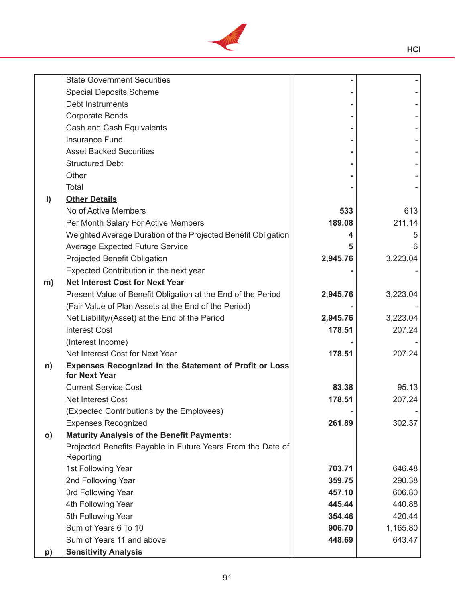

|               | <b>State Government Securities</b>                                       |          |          |
|---------------|--------------------------------------------------------------------------|----------|----------|
|               | <b>Special Deposits Scheme</b>                                           |          |          |
|               | <b>Debt Instruments</b>                                                  |          |          |
|               | <b>Corporate Bonds</b>                                                   |          |          |
|               | Cash and Cash Equivalents                                                |          |          |
|               | <b>Insurance Fund</b>                                                    |          |          |
|               | <b>Asset Backed Securities</b>                                           |          |          |
|               | <b>Structured Debt</b>                                                   |          |          |
|               | Other                                                                    |          |          |
|               | Total                                                                    |          |          |
| $\mathbf{I}$  | <b>Other Details</b>                                                     |          |          |
|               | No of Active Members                                                     | 533      | 613      |
|               | Per Month Salary For Active Members                                      | 189.08   | 211.14   |
|               | Weighted Average Duration of the Projected Benefit Obligation            |          |          |
|               | <b>Average Expected Future Service</b>                                   |          |          |
|               | <b>Projected Benefit Obligation</b>                                      | 2,945.76 | 3,223.04 |
|               | Expected Contribution in the next year                                   |          |          |
| m)            | <b>Net Interest Cost for Next Year</b>                                   |          |          |
|               | Present Value of Benefit Obligation at the End of the Period             | 2,945.76 | 3,223.04 |
|               | (Fair Value of Plan Assets at the End of the Period)                     |          |          |
|               | Net Liability/(Asset) at the End of the Period                           | 2,945.76 | 3,223.04 |
|               | <b>Interest Cost</b>                                                     | 178.51   | 207.24   |
|               | (Interest Income)                                                        |          |          |
|               | Net Interest Cost for Next Year                                          | 178.51   | 207.24   |
| n)            | Expenses Recognized in the Statement of Profit or Loss<br>for Next Year  |          |          |
|               | <b>Current Service Cost</b>                                              | 83.38    | 95.13    |
|               | <b>Net Interest Cost</b>                                                 | 178.51   | 207.24   |
|               | (Expected Contributions by the Employees)                                |          |          |
|               | <b>Expenses Recognized</b>                                               | 261.89   | 302.37   |
| $\mathsf{o})$ | <b>Maturity Analysis of the Benefit Payments:</b>                        |          |          |
|               | Projected Benefits Payable in Future Years From the Date of<br>Reporting |          |          |
|               | 1st Following Year                                                       | 703.71   | 646.48   |
|               | 2nd Following Year                                                       | 359.75   | 290.38   |
|               | 3rd Following Year                                                       | 457.10   | 606.80   |
|               | 4th Following Year                                                       | 445.44   | 440.88   |
|               | 5th Following Year                                                       | 354.46   | 420.44   |
|               | Sum of Years 6 To 10                                                     | 906.70   | 1,165.80 |
|               | Sum of Years 11 and above                                                | 448.69   | 643.47   |
| p)            | <b>Sensitivity Analysis</b>                                              |          |          |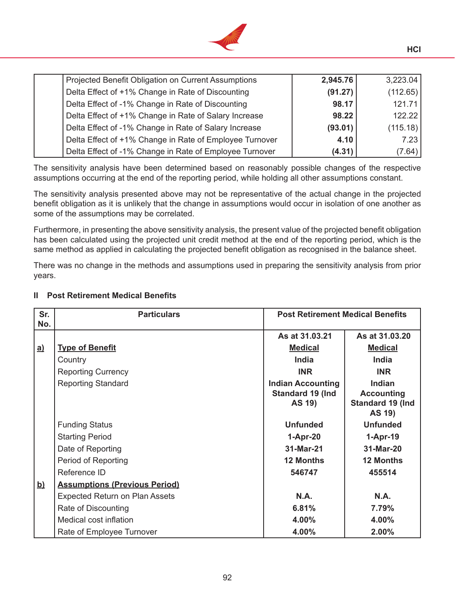

| Projected Benefit Obligation on Current Assumptions     | 2,945.76 | 3,223.04 |
|---------------------------------------------------------|----------|----------|
| Delta Effect of +1% Change in Rate of Discounting       | (91.27)  | (112.65) |
| Delta Effect of -1% Change in Rate of Discounting       | 98.17    | 121.71   |
| Delta Effect of +1% Change in Rate of Salary Increase   | 98.22    | 122.22   |
| Delta Effect of -1% Change in Rate of Salary Increase   | (93.01)  | (115.18) |
| Delta Effect of +1% Change in Rate of Employee Turnover | 4.10     | 7.23     |
| Delta Effect of -1% Change in Rate of Employee Turnover | (4.31)   | (7.64)   |

The sensitivity analysis have been determined based on reasonably possible changes of the respective assumptions occurring at the end of the reporting period, while holding all other assumptions constant.

The sensitivity analysis presented above may not be representative of the actual change in the projected benefit obligation as it is unlikely that the change in assumptions would occur in isolation of one another as some of the assumptions may be correlated.

Furthermore, in presenting the above sensitivity analysis, the present value of the projected benefit obligation has been calculated using the projected unit credit method at the end of the reporting period, which is the same method as applied in calculating the projected benefit obligation as recognised in the balance sheet.

There was no change in the methods and assumptions used in preparing the sensitivity analysis from prior years.

| Sr.<br>No. | <b>Particulars</b>                    | <b>Post Retirement Medical Benefits</b>                       |                                                                  |  |
|------------|---------------------------------------|---------------------------------------------------------------|------------------------------------------------------------------|--|
|            |                                       | As at 31.03.21                                                | As at 31.03.20                                                   |  |
| <u>a)</u>  | <b>Type of Benefit</b>                | <b>Medical</b>                                                | <b>Medical</b>                                                   |  |
|            | Country                               | India                                                         | <b>India</b>                                                     |  |
|            | <b>Reporting Currency</b>             | <b>INR</b>                                                    | <b>INR</b>                                                       |  |
|            | <b>Reporting Standard</b>             | <b>Indian Accounting</b><br><b>Standard 19 (Ind</b><br>AS 19) | Indian<br><b>Accounting</b><br><b>Standard 19 (Ind</b><br>AS 19) |  |
|            | <b>Funding Status</b>                 | <b>Unfunded</b>                                               | <b>Unfunded</b>                                                  |  |
|            | <b>Starting Period</b>                | 1-Apr-20                                                      | $1-Apr-19$                                                       |  |
|            | Date of Reporting                     | 31-Mar-21                                                     | 31-Mar-20                                                        |  |
|            | Period of Reporting                   | <b>12 Months</b>                                              | <b>12 Months</b>                                                 |  |
|            | Reference ID                          | 546747                                                        | 455514                                                           |  |
| <u>b)</u>  | <b>Assumptions (Previous Period)</b>  |                                                               |                                                                  |  |
|            | <b>Expected Return on Plan Assets</b> | <b>N.A.</b>                                                   | N.A.                                                             |  |
|            | Rate of Discounting                   | 6.81%                                                         | 7.79%                                                            |  |
|            | Medical cost inflation                | 4.00%                                                         | 4.00%                                                            |  |
|            | Rate of Employee Turnover             | 4.00%                                                         | 2.00%                                                            |  |

# **II Post Retirement Medical Benefits**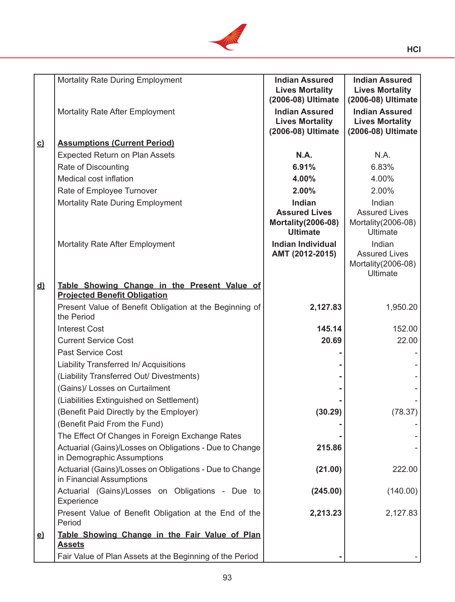

|           | <b>Mortality Rate During Employment</b>                                               | <b>Indian Assured</b><br><b>Lives Mortality</b><br>(2006-08) Ultimate           | <b>Indian Assured</b><br><b>Lives Mortality</b><br>(2006-08) Ultimate    |
|-----------|---------------------------------------------------------------------------------------|---------------------------------------------------------------------------------|--------------------------------------------------------------------------|
|           | <b>Mortality Rate After Employment</b>                                                | <b>Indian Assured</b><br><b>Lives Mortality</b><br>(2006-08) Ultimate           | <b>Indian Assured</b><br><b>Lives Mortality</b><br>(2006-08) Ultimate    |
| <u>c)</u> | <b>Assumptions (Current Period)</b>                                                   |                                                                                 |                                                                          |
|           | <b>Expected Return on Plan Assets</b>                                                 | <b>N.A.</b>                                                                     | N.A.                                                                     |
|           | Rate of Discounting                                                                   | 6.91%                                                                           | 6.83%                                                                    |
|           | Medical cost inflation                                                                | 4.00%                                                                           | 4.00%                                                                    |
|           | Rate of Employee Turnover                                                             | 2.00%                                                                           | 2.00%                                                                    |
|           | <b>Mortality Rate During Employment</b>                                               | <b>Indian</b><br><b>Assured Lives</b><br>Mortality (2006-08)<br><b>Ultimate</b> | Indian<br><b>Assured Lives</b><br>Mortality(2006-08)<br><b>Ultimate</b>  |
|           | <b>Mortality Rate After Employment</b>                                                | <b>Indian Individual</b><br>AMT (2012-2015)                                     | Indian<br><b>Assured Lives</b><br>Mortality (2006-08)<br><b>Ultimate</b> |
| <u>d)</u> | Table Showing Change in the Present Value of<br><b>Projected Benefit Obligation</b>   |                                                                                 |                                                                          |
|           | Present Value of Benefit Obligation at the Beginning of<br>the Period                 | 2,127.83                                                                        | 1,950.20                                                                 |
|           | <b>Interest Cost</b>                                                                  | 145.14                                                                          | 152.00                                                                   |
|           | <b>Current Service Cost</b>                                                           | 20.69                                                                           | 22.00                                                                    |
|           | <b>Past Service Cost</b>                                                              |                                                                                 |                                                                          |
|           | Liability Transferred In/ Acquisitions                                                |                                                                                 |                                                                          |
|           | (Liability Transferred Out/ Divestments)                                              |                                                                                 |                                                                          |
|           | (Gains)/ Losses on Curtailment                                                        |                                                                                 |                                                                          |
|           | (Liabilities Extinguished on Settlement)                                              |                                                                                 |                                                                          |
|           | (Benefit Paid Directly by the Employer)                                               | (30.29)                                                                         | (78.37)                                                                  |
|           | (Benefit Paid From the Fund)                                                          |                                                                                 |                                                                          |
|           | The Effect Of Changes in Foreign Exchange Rates                                       |                                                                                 |                                                                          |
|           | Actuarial (Gains)/Losses on Obligations - Due to Change<br>in Demographic Assumptions | 215.86                                                                          |                                                                          |
|           | Actuarial (Gains)/Losses on Obligations - Due to Change<br>in Financial Assumptions   | (21.00)                                                                         | 222.00                                                                   |
|           | Actuarial (Gains)/Losses on Obligations - Due to<br>Experience                        | (245.00)                                                                        | (140.00)                                                                 |
|           | Present Value of Benefit Obligation at the End of the<br>Period                       | 2,213.23                                                                        | 2,127.83                                                                 |
| <u>e)</u> | Table Showing Change in the Fair Value of Plan                                        |                                                                                 |                                                                          |
|           | <b>Assets</b>                                                                         |                                                                                 |                                                                          |
|           | Fair Value of Plan Assets at the Beginning of the Period                              |                                                                                 |                                                                          |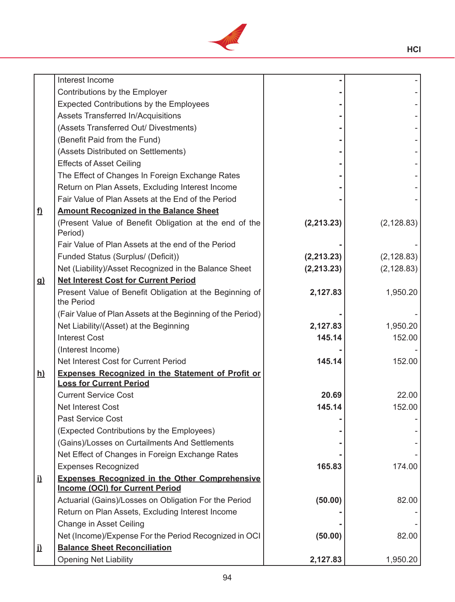

|           | Interest Income                                                                                 |             |             |
|-----------|-------------------------------------------------------------------------------------------------|-------------|-------------|
|           | Contributions by the Employer                                                                   |             |             |
|           | <b>Expected Contributions by the Employees</b>                                                  |             |             |
|           | <b>Assets Transferred In/Acquisitions</b>                                                       |             |             |
|           | (Assets Transferred Out/ Divestments)                                                           |             |             |
|           | (Benefit Paid from the Fund)                                                                    |             |             |
|           | (Assets Distributed on Settlements)                                                             |             |             |
|           | <b>Effects of Asset Ceiling</b>                                                                 |             |             |
|           | The Effect of Changes In Foreign Exchange Rates                                                 |             |             |
|           | Return on Plan Assets, Excluding Interest Income                                                |             |             |
|           | Fair Value of Plan Assets at the End of the Period                                              |             |             |
| f)        | <b>Amount Recognized in the Balance Sheet</b>                                                   |             |             |
|           | (Present Value of Benefit Obligation at the end of the<br>Period)                               | (2, 213.23) | (2, 128.83) |
|           | Fair Value of Plan Assets at the end of the Period                                              |             |             |
|           | Funded Status (Surplus/ (Deficit))                                                              | (2, 213.23) | (2, 128.83) |
|           | Net (Liability)/Asset Recognized in the Balance Sheet                                           | (2, 213.23) | (2, 128.83) |
| <u>g)</u> | <b>Net Interest Cost for Current Period</b>                                                     |             |             |
|           | Present Value of Benefit Obligation at the Beginning of<br>the Period                           | 2,127.83    | 1,950.20    |
|           | (Fair Value of Plan Assets at the Beginning of the Period)                                      |             |             |
|           | Net Liability/(Asset) at the Beginning                                                          | 2,127.83    | 1,950.20    |
|           | <b>Interest Cost</b>                                                                            | 145.14      | 152.00      |
|           | (Interest Income)                                                                               |             |             |
|           | Net Interest Cost for Current Period                                                            | 145.14      | 152.00      |
| <u>h)</u> | <b>Expenses Recognized in the Statement of Profit or</b>                                        |             |             |
|           | <b>Loss for Current Period</b>                                                                  |             |             |
|           | <b>Current Service Cost</b>                                                                     | 20.69       | 22.00       |
|           | Net Interest Cost                                                                               | 145.14      | 152.00      |
|           | <b>Past Service Cost</b>                                                                        |             |             |
|           | (Expected Contributions by the Employees)                                                       |             |             |
|           | (Gains)/Losses on Curtailments And Settlements                                                  |             |             |
|           | Net Effect of Changes in Foreign Exchange Rates                                                 |             |             |
|           | <b>Expenses Recognized</b>                                                                      | 165.83      | 174.00      |
| i)        | <b>Expenses Recognized in the Other Comprehensive</b><br><b>Income (OCI) for Current Period</b> |             |             |
|           | Actuarial (Gains)/Losses on Obligation For the Period                                           | (50.00)     | 82.00       |
|           | Return on Plan Assets, Excluding Interest Income                                                |             |             |
|           | <b>Change in Asset Ceiling</b>                                                                  |             |             |
|           | Net (Income)/Expense For the Period Recognized in OCI                                           | (50.00)     | 82.00       |
| j)        | <b>Balance Sheet Reconciliation</b>                                                             |             |             |
|           | <b>Opening Net Liability</b>                                                                    | 2,127.83    | 1,950.20    |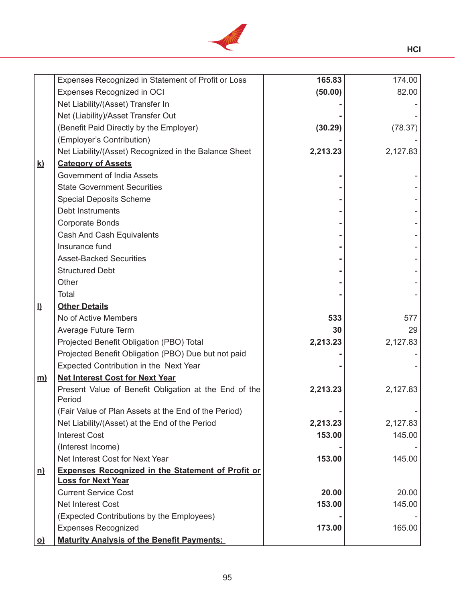

|                | Expenses Recognized in Statement of Profit or Loss                                    | 165.83   | 174.00   |
|----------------|---------------------------------------------------------------------------------------|----------|----------|
|                | Expenses Recognized in OCI                                                            | (50.00)  | 82.00    |
|                | Net Liability/(Asset) Transfer In                                                     |          |          |
|                | Net (Liability)/Asset Transfer Out                                                    |          |          |
|                | (Benefit Paid Directly by the Employer)                                               | (30.29)  | (78.37)  |
|                | (Employer's Contribution)                                                             |          |          |
|                | Net Liability/(Asset) Recognized in the Balance Sheet                                 | 2,213.23 | 2,127.83 |
| <u>k)</u>      | <b>Category of Assets</b>                                                             |          |          |
|                | Government of India Assets                                                            |          |          |
|                | <b>State Government Securities</b>                                                    |          |          |
|                | <b>Special Deposits Scheme</b>                                                        |          |          |
|                | <b>Debt Instruments</b>                                                               |          |          |
|                | <b>Corporate Bonds</b>                                                                |          |          |
|                | <b>Cash And Cash Equivalents</b>                                                      |          |          |
|                | Insurance fund                                                                        |          |          |
|                | <b>Asset-Backed Securities</b>                                                        |          |          |
|                | <b>Structured Debt</b>                                                                |          |          |
|                | Other                                                                                 |          |          |
|                | Total                                                                                 |          |          |
| $\overline{D}$ | <b>Other Details</b>                                                                  |          |          |
|                | No of Active Members                                                                  | 533      | 577      |
|                | Average Future Term                                                                   | 30       | 29       |
|                | Projected Benefit Obligation (PBO) Total                                              | 2,213.23 | 2,127.83 |
|                | Projected Benefit Obligation (PBO) Due but not paid                                   |          |          |
|                | Expected Contribution in the Next Year                                                |          |          |
| <u>m)</u>      | <b>Net Interest Cost for Next Year</b>                                                |          |          |
|                | Present Value of Benefit Obligation at the End of the<br>Period                       | 2,213.23 | 2,127.83 |
|                | (Fair Value of Plan Assets at the End of the Period)                                  |          |          |
|                | Net Liability/(Asset) at the End of the Period                                        | 2,213.23 | 2,127.83 |
|                | <b>Interest Cost</b>                                                                  | 153.00   | 145.00   |
|                | (Interest Income)                                                                     |          |          |
|                | Net Interest Cost for Next Year                                                       | 153.00   | 145.00   |
| <u>n)</u>      | <b>Expenses Recognized in the Statement of Profit or</b><br><b>Loss for Next Year</b> |          |          |
|                | <b>Current Service Cost</b>                                                           | 20.00    | 20.00    |
|                | <b>Net Interest Cost</b>                                                              | 153.00   | 145.00   |
|                | (Expected Contributions by the Employees)                                             |          |          |
|                | <b>Expenses Recognized</b>                                                            | 173.00   | 165.00   |
| <u>o)</u>      | <b>Maturity Analysis of the Benefit Payments:</b>                                     |          |          |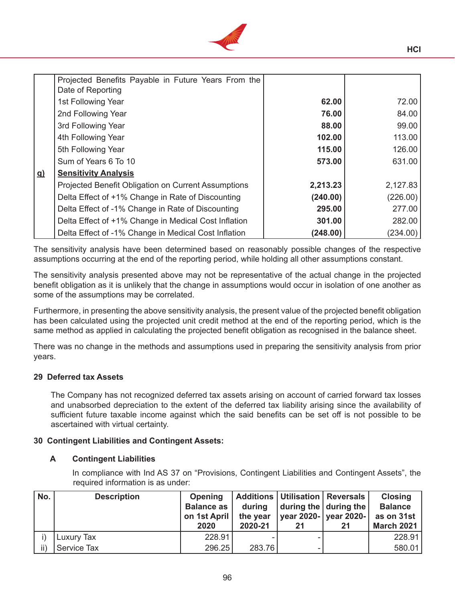

|           | Projected Benefits Payable in Future Years From the  |          |          |
|-----------|------------------------------------------------------|----------|----------|
|           | Date of Reporting                                    |          |          |
|           | 1st Following Year                                   | 62.00    | 72.00    |
|           | 2nd Following Year                                   | 76.00    | 84.00    |
|           | 3rd Following Year                                   | 88.00    | 99.00    |
|           | 4th Following Year                                   | 102.00   | 113.00   |
|           | 5th Following Year                                   | 115.00   | 126.00   |
|           | Sum of Years 6 To 10                                 | 573.00   | 631.00   |
| <u>q)</u> | <b>Sensitivity Analysis</b>                          |          |          |
|           | Projected Benefit Obligation on Current Assumptions  | 2,213.23 | 2,127.83 |
|           | Delta Effect of +1% Change in Rate of Discounting    | (240.00) | (226.00) |
|           | Delta Effect of -1% Change in Rate of Discounting    | 295.00   | 277.00   |
|           | Delta Effect of +1% Change in Medical Cost Inflation | 301.00   | 282.00   |
|           | Delta Effect of -1% Change in Medical Cost Inflation | (248.00) | (234.00) |

The sensitivity analysis have been determined based on reasonably possible changes of the respective assumptions occurring at the end of the reporting period, while holding all other assumptions constant.

The sensitivity analysis presented above may not be representative of the actual change in the projected benefit obligation as it is unlikely that the change in assumptions would occur in isolation of one another as some of the assumptions may be correlated.

Furthermore, in presenting the above sensitivity analysis, the present value of the projected benefit obligation has been calculated using the projected unit credit method at the end of the reporting period, which is the same method as applied in calculating the projected benefit obligation as recognised in the balance sheet.

There was no change in the methods and assumptions used in preparing the sensitivity analysis from prior years.

# **29 Deferred tax Assets**

The Company has not recognized deferred tax assets arising on account of carried forward tax losses and unabsorbed depreciation to the extent of the deferred tax liability arising since the availability of sufficient future taxable income against which the said benefits can be set off is not possible to be ascertained with virtual certainty.

### **30 Contingent Liabilities and Contingent Assets:**

### **A Contingent Liabilities**

 In compliance with Ind AS 37 on "Provisions, Contingent Liabilities and Contingent Assets", the required information is as under:

| No. | <b>Description</b> | <b>Opening</b>    |          | Additions   Utilisation   Reversals |    | <b>Closing</b>    |
|-----|--------------------|-------------------|----------|-------------------------------------|----|-------------------|
|     |                    | <b>Balance as</b> | during   | $ $ during the $ $ during the $ $   |    | <b>Balance</b>    |
|     |                    | on 1st April      | the year | vear 2020- vear 2020-               |    | as on 31st        |
|     |                    | 2020              | 2020-21  | 21                                  | 21 | <b>March 2021</b> |
|     | Luxury Tax         | 228.91            |          |                                     |    | 228.91            |
| ii) | Service Tax        | 296.25            | 283.76   |                                     |    | 580.01            |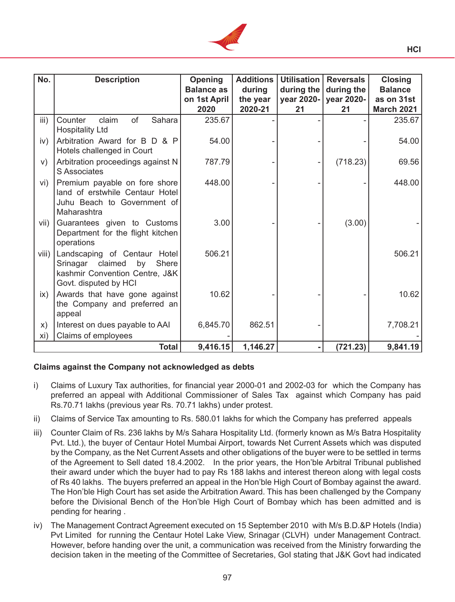

| No.           | <b>Description</b>                                                                                                         | <b>Opening</b>    | <b>Additions</b> | <b>Utilisation</b> | <b>Reversals</b> | <b>Closing</b>    |
|---------------|----------------------------------------------------------------------------------------------------------------------------|-------------------|------------------|--------------------|------------------|-------------------|
|               |                                                                                                                            | <b>Balance as</b> | during           | during the         | during the       | <b>Balance</b>    |
|               |                                                                                                                            | on 1st April      | the year         | year 2020-         | year 2020-       | as on 31st        |
|               |                                                                                                                            | 2020              | 2020-21          | 21                 | 21               | <b>March 2021</b> |
| iii)          | Counter<br>claim<br>of<br>Sahara<br><b>Hospitality Ltd</b>                                                                 | 235.67            |                  |                    |                  | 235.67            |
| iv)           | Arbitration Award for B D & P<br>Hotels challenged in Court                                                                | 54.00             |                  |                    |                  | 54.00             |
| V)            | Arbitration proceedings against N<br><b>S</b> Associates                                                                   | 787.79            |                  |                    | (718.23)         | 69.56             |
| vi)           | Premium payable on fore shore<br>land of erstwhile Centaur Hotel<br>Juhu Beach to Government of<br>Maharashtra             | 448.00            |                  |                    |                  | 448.00            |
| vii)          | Guarantees given to Customs<br>Department for the flight kitchen<br>operations                                             | 3.00              |                  |                    | (3.00)           |                   |
| viii)         | Landscaping of Centaur Hotel<br>Srinagar claimed<br>by<br>Shere<br>kashmir Convention Centre, J&K<br>Govt. disputed by HCI | 506.21            |                  |                    |                  | 506.21            |
| $\mathsf{ix}$ | Awards that have gone against<br>the Company and preferred an<br>appeal                                                    | 10.62             |                  |                    |                  | 10.62             |
| X)            | Interest on dues payable to AAI                                                                                            | 6,845.70          | 862.51           |                    |                  | 7,708.21          |
| xi)           | Claims of employees                                                                                                        |                   |                  |                    |                  |                   |
|               | <b>Total</b>                                                                                                               | 9,416.15          | 1,146.27         |                    | (721.23)         | 9,841.19          |

### **Claims against the Company not acknowledged as debts**

- i) Claims of Luxury Tax authorities, for financial year 2000-01 and 2002-03 for which the Company has preferred an appeal with Additional Commissioner of Sales Tax against which Company has paid Rs.70.71 lakhs (previous year Rs. 70.71 lakhs) under protest.
- ii) Claims of Service Tax amounting to Rs. 580.01 lakhs for which the Company has preferred appeals
- iii) Counter Claim of Rs. 236 lakhs by M/s Sahara Hospitality Ltd. (formerly known as M/s Batra Hospitality Pvt. Ltd.), the buyer of Centaur Hotel Mumbai Airport, towards Net Current Assets which was disputed by the Company, as the Net Current Assets and other obligations of the buyer were to be settled in terms of the Agreement to Sell dated 18.4.2002. In the prior years, the Hon'ble Arbitral Tribunal published their award under which the buyer had to pay Rs 188 lakhs and interest thereon along with legal costs of Rs 40 lakhs. The buyers preferred an appeal in the Hon'ble High Court of Bombay against the award. The Hon'ble High Court has set aside the Arbitration Award. This has been challenged by the Company before the Divisional Bench of the Hon'ble High Court of Bombay which has been admitted and is pending for hearing .
- iv) The Management Contract Agreement executed on 15 September 2010 with M/s B.D.&P Hotels (India) Pvt Limited for running the Centaur Hotel Lake View, Srinagar (CLVH) under Management Contract. However, before handing over the unit, a communication was received from the Ministry forwarding the decision taken in the meeting of the Committee of Secretaries, GoI stating that J&K Govt had indicated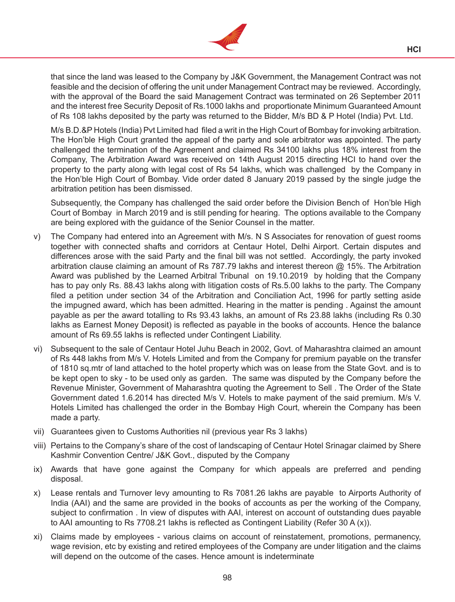

that since the land was leased to the Company by J&K Government, the Management Contract was not feasible and the decision of offering the unit under Management Contract may be reviewed. Accordingly, with the approval of the Board the said Management Contract was terminated on 26 September 2011 and the interest free Security Deposit of Rs.1000 lakhs and proportionate Minimum Guaranteed Amount of Rs 108 lakhs deposited by the party was returned to the Bidder, M/s BD & P Hotel (India) Pvt. Ltd.

 M/s B.D.&P Hotels (India) Pvt Limited had filed a writ in the High Court of Bombay for invoking arbitration. The Hon'ble High Court granted the appeal of the party and sole arbitrator was appointed. The party challenged the termination of the Agreement and claimed Rs 34100 lakhs plus 18% interest from the Company, The Arbitration Award was received on 14th August 2015 directing HCI to hand over the property to the party along with legal cost of Rs 54 lakhs, which was challenged by the Company in the Hon'ble High Court of Bombay. Vide order dated 8 January 2019 passed by the single judge the arbitration petition has been dismissed.

Subsequently, the Company has challenged the said order before the Division Bench of Hon'ble High Court of Bombay in March 2019 and is still pending for hearing. The options available to the Company are being explored with the guidance of the Senior Counsel in the matter.

- v) The Company had entered into an Agreement with M/s. N S Associates for renovation of guest rooms together with connected shafts and corridors at Centaur Hotel, Delhi Airport. Certain disputes and differences arose with the said Party and the final bill was not settled. Accordingly, the party invoked arbitration clause claiming an amount of Rs 787.79 lakhs and interest thereon @ 15%. The Arbitration Award was published by the Learned Arbitral Tribunal on 19.10.2019 by holding that the Company has to pay only Rs. 88.43 lakhs along with litigation costs of Rs.5.00 lakhs to the party. The Company filed a petition under section 34 of the Arbitration and Conciliation Act, 1996 for partly setting aside the impugned award, which has been admitted. Hearing in the matter is pending . Against the amount payable as per the award totalling to Rs 93.43 lakhs, an amount of Rs 23.88 lakhs (including Rs 0.30 lakhs as Earnest Money Deposit) is reflected as payable in the books of accounts. Hence the balance amount of Rs 69.55 lakhs is reflected under Contingent Liability.
- vi) Subsequent to the sale of Centaur Hotel Juhu Beach in 2002, Govt. of Maharashtra claimed an amount of Rs 448 lakhs from M/s V. Hotels Limited and from the Company for premium payable on the transfer of 1810 sq.mtr of land attached to the hotel property which was on lease from the State Govt. and is to be kept open to sky - to be used only as garden. The same was disputed by the Company before the Revenue Minister, Government of Maharashtra quoting the Agreement to Sell . The Order of the State Government dated 1.6.2014 has directed M/s V. Hotels to make payment of the said premium. M/s V. Hotels Limited has challenged the order in the Bombay High Court, wherein the Company has been made a party.
- vii) Guarantees given to Customs Authorities nil (previous year Rs 3 lakhs)
- viii) Pertains to the Company's share of the cost of landscaping of Centaur Hotel Srinagar claimed by Shere Kashmir Convention Centre/ J&K Govt., disputed by the Company
- ix) Awards that have gone against the Company for which appeals are preferred and pending disposal.
- x) Lease rentals and Turnover levy amounting to Rs 7081.26 lakhs are payable to Airports Authority of India (AAI) and the same are provided in the books of accounts as per the working of the Company, subject to confirmation . In view of disputes with AAI, interest on account of outstanding dues payable to AAI amounting to Rs 7708.21 lakhs is reflected as Contingent Liability (Refer 30 A (x)).
- xi) Claims made by employees various claims on account of reinstatement, promotions, permanency, wage revision, etc by existing and retired employees of the Company are under litigation and the claims will depend on the outcome of the cases. Hence amount is indeterminate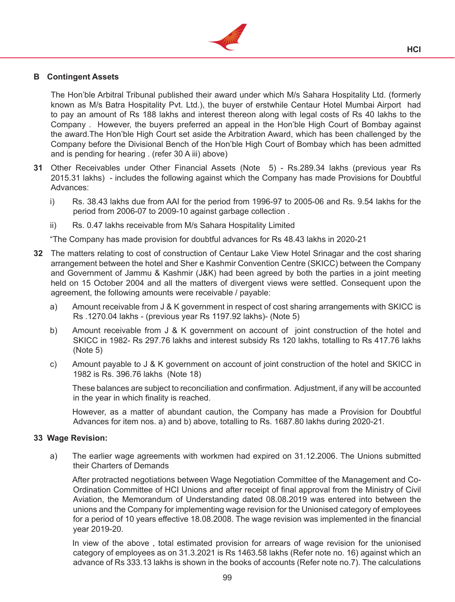

## **B Contingent Assets**

 The Hon'ble Arbitral Tribunal published their award under which M/s Sahara Hospitality Ltd. (formerly known as M/s Batra Hospitality Pvt. Ltd.), the buyer of erstwhile Centaur Hotel Mumbai Airport had to pay an amount of Rs 188 lakhs and interest thereon along with legal costs of Rs 40 lakhs to the Company . However, the buyers preferred an appeal in the Hon'ble High Court of Bombay against the award.The Hon'ble High Court set aside the Arbitration Award, which has been challenged by the Company before the Divisional Bench of the Hon'ble High Court of Bombay which has been admitted and is pending for hearing . (refer 30 A iii) above)

- **31** Other Receivables under Other Financial Assets (Note 5) Rs.289.34 lakhs (previous year Rs 2015.31 lakhs) - includes the following against which the Company has made Provisions for Doubtful Advances:
	- i) Rs. 38.43 lakhs due from AAI for the period from 1996-97 to 2005-06 and Rs. 9.54 lakhs for the period from 2006-07 to 2009-10 against garbage collection .
	- ii) Rs. 0.47 lakhs receivable from M/s Sahara Hospitality Limited

"The Company has made provision for doubtful advances for Rs 48.43 lakhs in 2020-21

- **32** The matters relating to cost of construction of Centaur Lake View Hotel Srinagar and the cost sharing arrangement between the hotel and Sher e Kashmir Convention Centre (SKICC) between the Company and Government of Jammu & Kashmir (J&K) had been agreed by both the parties in a joint meeting held on 15 October 2004 and all the matters of divergent views were settled. Consequent upon the agreement, the following amounts were receivable / payable:
	- a) Amount receivable from J & K government in respect of cost sharing arrangements with SKICC is Rs .1270.04 lakhs - (previous year Rs 1197.92 lakhs)- (Note 5)
	- b) Amount receivable from J & K government on account of joint construction of the hotel and SKICC in 1982- Rs 297.76 lakhs and interest subsidy Rs 120 lakhs, totalling to Rs 417.76 lakhs (Note 5)
	- c) Amount payable to J & K government on account of joint construction of the hotel and SKICC in 1982 is Rs. 396.76 lakhs (Note 18)

 These balances are subject to reconciliation and confirmation. Adjustment, if any will be accounted in the year in which finality is reached.

However, as a matter of abundant caution, the Company has made a Provision for Doubtful Advances for item nos. a) and b) above, totalling to Rs. 1687.80 lakhs during 2020-21.

### **33 Wage Revision:**

a) The earlier wage agreements with workmen had expired on 31.12.2006. The Unions submitted their Charters of Demands

After protracted negotiations between Wage Negotiation Committee of the Management and Co-Ordination Committee of HCI Unions and after receipt of final approval from the Ministry of Civil Aviation, the Memorandum of Understanding dated 08.08.2019 was entered into between the unions and the Company for implementing wage revision for the Unionised category of employees for a period of 10 years effective 18.08.2008. The wage revision was implemented in the financial year 2019-20.

In view of the above , total estimated provision for arrears of wage revision for the unionised category of employees as on 31.3.2021 is Rs 1463.58 lakhs (Refer note no. 16) against which an advance of Rs 333.13 lakhs is shown in the books of accounts (Refer note no.7). The calculations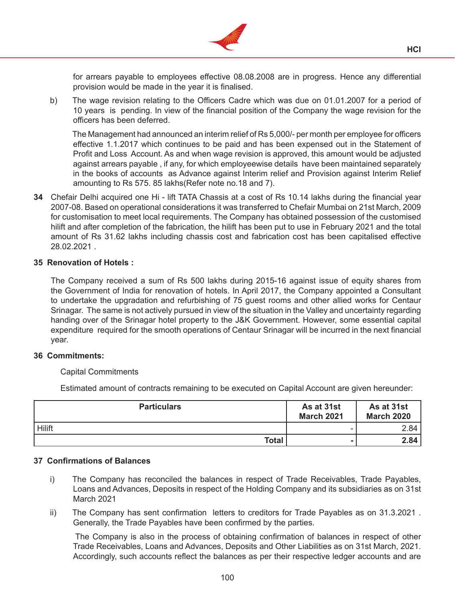

for arrears payable to employees effective 08.08.2008 are in progress. Hence any differential provision would be made in the year it is finalised.

b) The wage revision relating to the Officers Cadre which was due on 01.01.2007 for a period of 10 years is pending. In view of the financial position of the Company the wage revision for the officers has been deferred.

 The Management had announced an interim relief of Rs 5,000/- per month per employee for officers effective 1.1.2017 which continues to be paid and has been expensed out in the Statement of Profit and Loss Account. As and when wage revision is approved, this amount would be adjusted against arrears payable , if any, for which employeewise details have been maintained separately in the books of accounts as Advance against Interim relief and Provision against Interim Relief amounting to Rs 575. 85 lakhs(Refer note no.18 and 7).

**34** Chefair Delhi acquired one Hi - lift TATA Chassis at a cost of Rs 10.14 lakhs during the financial year 2007-08. Based on operational considerations it was transferred to Chefair Mumbai on 21st March, 2009 for customisation to meet local requirements. The Company has obtained possession of the customised hilift and after completion of the fabrication, the hilift has been put to use in February 2021 and the total amount of Rs 31.62 lakhs including chassis cost and fabrication cost has been capitalised effective 28.02.2021 .

### **35 Renovation of Hotels :**

The Company received a sum of Rs 500 lakhs during 2015-16 against issue of equity shares from the Government of India for renovation of hotels. In April 2017, the Company appointed a Consultant to undertake the upgradation and refurbishing of 75 guest rooms and other allied works for Centaur Srinagar. The same is not actively pursued in view of the situation in the Valley and uncertainty regarding handing over of the Srinagar hotel property to the J&K Government. However, some essential capital expenditure required for the smooth operations of Centaur Srinagar will be incurred in the next financial year.

### **36 Commitments:**

### Capital Commitments

Estimated amount of contracts remaining to be executed on Capital Account are given hereunder:

| <b>Particulars</b> | As at 31st<br><b>March 2021</b> | As at 31st<br><b>March 2020</b> |
|--------------------|---------------------------------|---------------------------------|
| Hilift             |                                 | 2.84                            |
| <b>Total</b>       |                                 | 2.84                            |

# **37 Confirmations of Balances**

- i) The Company has reconciled the balances in respect of Trade Receivables, Trade Payables, Loans and Advances, Deposits in respect of the Holding Company and its subsidiaries as on 31st March 2021
- ii) The Company has sent confirmation letters to creditors for Trade Payables as on 31.3.2021. Generally, the Trade Payables have been confirmed by the parties.

The Company is also in the process of obtaining confirmation of balances in respect of other Trade Receivables, Loans and Advances, Deposits and Other Liabilities as on 31st March, 2021. Accordingly, such accounts reflect the balances as per their respective ledger accounts and are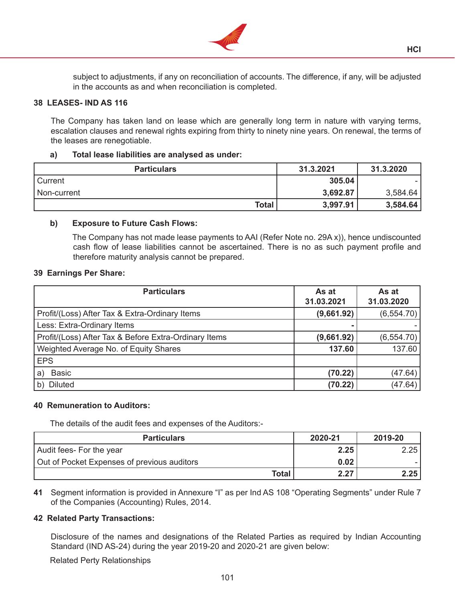

subject to adjustments, if any on reconciliation of accounts. The difference, if any, will be adjusted in the accounts as and when reconciliation is completed.

### **38 LEASES- IND AS 116**

The Company has taken land on lease which are generally long term in nature with varying terms, escalation clauses and renewal rights expiring from thirty to ninety nine years. On renewal, the terms of the leases are renegotiable.

### **a) Total lease liabilities are analysed as under:**

| <b>Particulars</b> | 31.3.2021 | 31.3.2020 |
|--------------------|-----------|-----------|
| l Current          | 305.04    |           |
| Non-current        | 3,692.87  | 3,584.64  |
| <b>Total</b>       | 3,997.91  | 3,584.64  |

### **b) Exposure to Future Cash Flows:**

The Company has not made lease payments to AAI (Refer Note no. 29A x)), hence undiscounted cash flow of lease liabilities cannot be ascertained. There is no as such payment profile and therefore maturity analysis cannot be prepared.

### **39 Earnings Per Share:**

| <b>Particulars</b>                                    | As at<br>31.03.2021 | As at<br>31.03.2020 |
|-------------------------------------------------------|---------------------|---------------------|
| Profit/(Loss) After Tax & Extra-Ordinary Items        | (9,661.92)          | (6, 554.70)         |
| Less: Extra-Ordinary Items                            |                     |                     |
| Profit/(Loss) After Tax & Before Extra-Ordinary Items | (9,661.92)          | (6, 554.70)         |
| Weighted Average No. of Equity Shares                 | 137.60              | 137.60              |
| <b>EPS</b>                                            |                     |                     |
| <b>Basic</b><br>a)                                    | (70.22)             | (47.64)             |
| <b>Diluted</b>                                        | (70.22)             | (47.64)             |

### **40 Remuneration to Auditors:**

The details of the audit fees and expenses of the Auditors:-

| <b>Particulars</b>                          | 2020-21 | 2019-20 |
|---------------------------------------------|---------|---------|
| Audit fees- For the year                    | 2.25    | 2.25    |
| Out of Pocket Expenses of previous auditors | 0.02    |         |
| Total,                                      | 2.27    | 2.25    |

**41** Segment information is provided in Annexure "I" as per Ind AS 108 "Operating Segments" under Rule 7 of the Companies (Accounting) Rules, 2014.

# **42 Related Party Transactions:**

Disclosure of the names and designations of the Related Parties as required by Indian Accounting Standard (IND AS-24) during the year 2019-20 and 2020-21 are given below:

Related Perty Relationships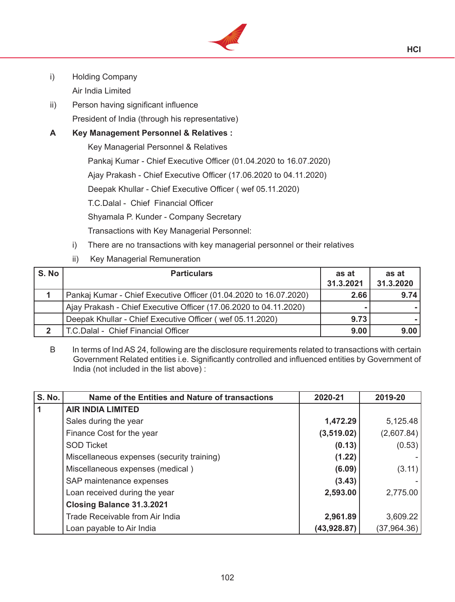

- i) Holding Company Air India Limited
- ii) Person having significant influence President of India (through his representative)

# **A Key Management Personnel & Relatives :**

Key Managerial Personnel & Relatives

 Pankaj Kumar - Chief Executive Officer (01.04.2020 to 16.07.2020)

 Ajay Prakash - Chief Executive Officer (17.06.2020 to 04.11.2020) 

 Deepak Khullar - Chief Executive Officer ( wef 05.11.2020)

 T.C.Dalal - Chief Financial Officer

Shyamala P. Kunder - Company Secretary

Transactions with Key Managerial Personnel:

- i) There are no transactions with key managerial personnel or their relatives
- ii) Key Managerial Remuneration

| S. No | <b>Particulars</b>                                                | as at<br>31.3.2021 | as at<br>31.3.2020 |
|-------|-------------------------------------------------------------------|--------------------|--------------------|
|       | Pankaj Kumar - Chief Executive Officer (01.04.2020 to 16.07.2020) | 2.66               | 9.74               |
|       | Ajay Prakash - Chief Executive Officer (17.06.2020 to 04.11.2020) |                    |                    |
|       | Deepak Khullar - Chief Executive Officer (wef 05.11.2020)         | 9.73               |                    |
|       | T.C.Dalal - Chief Financial Officer                               | 9.00               | 9.00               |

B In terms of Ind AS 24, following are the disclosure requirements related to transactions with certain Government Related entities i.e. Significantly controlled and influenced entities by Government of India (not included in the list above) :

| <b>S. No.</b> | Name of the Entities and Nature of transactions | 2020-21      | 2019-20     |
|---------------|-------------------------------------------------|--------------|-------------|
|               | <b>AIR INDIA LIMITED</b>                        |              |             |
|               | Sales during the year                           | 1,472.29     | 5,125.48    |
|               | Finance Cost for the year                       | (3,519.02)   | (2,607.84)  |
|               | <b>SOD Ticket</b>                               | (0.13)       | (0.53)      |
|               | Miscellaneous expenses (security training)      | (1.22)       |             |
|               | Miscellaneous expenses (medical)                | (6.09)       | (3.11)      |
|               | SAP maintenance expenses                        | (3.43)       |             |
|               | Loan received during the year                   | 2,593.00     | 2,775.00    |
|               | Closing Balance 31.3.2021                       |              |             |
|               | Trade Receivable from Air India                 | 2,961.89     | 3,609.22    |
|               | Loan payable to Air India                       | (43, 928.87) | (37,964.36) |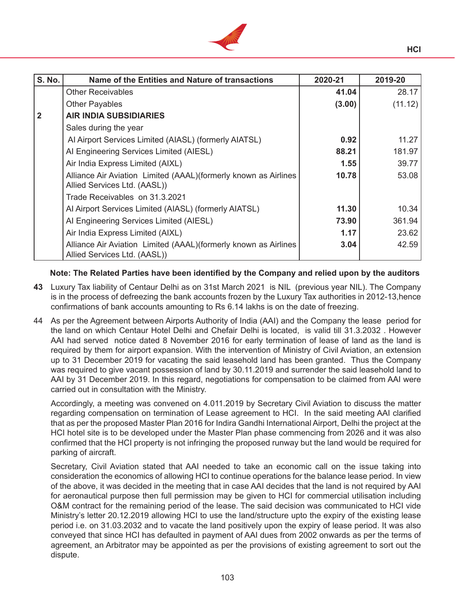

| S. No.                  | Name of the Entities and Nature of transactions                                                  | 2020-21 | 2019-20 |
|-------------------------|--------------------------------------------------------------------------------------------------|---------|---------|
|                         | <b>Other Receivables</b>                                                                         | 41.04   | 28.17   |
|                         | <b>Other Payables</b>                                                                            | (3.00)  | (11.12) |
| $\overline{\mathbf{2}}$ | <b>AIR INDIA SUBSIDIARIES</b>                                                                    |         |         |
|                         | Sales during the year                                                                            |         |         |
|                         | Al Airport Services Limited (AIASL) (formerly AIATSL)                                            | 0.92    | 11.27   |
|                         | Al Engineering Services Limited (AIESL)                                                          | 88.21   | 181.97  |
|                         | Air India Express Limited (AIXL)                                                                 | 1.55    | 39.77   |
|                         | Alliance Air Aviation Limited (AAAL) (formerly known as Airlines<br>Allied Services Ltd. (AASL)) | 10.78   | 53.08   |
|                         | Trade Receivables on 31.3.2021                                                                   |         |         |
|                         | Al Airport Services Limited (AIASL) (formerly AIATSL)                                            | 11.30   | 10.34   |
|                         | Al Engineering Services Limited (AIESL)                                                          | 73.90   | 361.94  |
|                         | Air India Express Limited (AIXL)                                                                 | 1.17    | 23.62   |
|                         | Alliance Air Aviation Limited (AAAL) (formerly known as Airlines<br>Allied Services Ltd. (AASL)) | 3.04    | 42.59   |

# **Note: The Related Parties have been identified by the Company and relied upon by the auditors**

- **43** Luxury Tax liability of Centaur Delhi as on 31st March 2021 is NIL (previous year NIL). The Company is in the process of defreezing the bank accounts frozen by the Luxury Tax authorities in 2012-13,hence confirmations of bank accounts amounting to Rs 6.14 lakhs is on the date of freezing.
- 44 As per the Agreement between Airports Authority of India (AAI) and the Company the lease period for the land on which Centaur Hotel Delhi and Chefair Delhi is located, is valid till 31.3.2032 . However AAI had served notice dated 8 November 2016 for early termination of lease of land as the land is required by them for airport expansion. With the intervention of Ministry of Civil Aviation, an extension up to 31 December 2019 for vacating the said leasehold land has been granted. Thus the Company was required to give vacant possession of land by 30.11.2019 and surrender the said leasehold land to AAI by 31 December 2019. In this regard, negotiations for compensation to be claimed from AAI were carried out in consultation with the Ministry.

Accordingly, a meeting was convened on 4.011.2019 by Secretary Civil Aviation to discuss the matter regarding compensation on termination of Lease agreement to HCI. In the said meeting AAI clarified that as per the proposed Master Plan 2016 for Indira Gandhi International Airport, Delhi the project at the HCI hotel site is to be developed under the Master Plan phase commencing from 2026 and it was also confirmed that the HCI property is not infringing the proposed runway but the land would be required for parking of aircraft.

Secretary, Civil Aviation stated that AAI needed to take an economic call on the issue taking into consideration the economics of allowing HCI to continue operations for the balance lease period. In view of the above, it was decided in the meeting that in case AAI decides that the land is not required by AAI for aeronautical purpose then full permission may be given to HCI for commercial utilisation including O&M contract for the remaining period of the lease. The said decision was communicated to HCI vide Ministry's letter 20.12.2019 allowing HCI to use the land/structure upto the expiry of the existing lease period i.e. on 31.03.2032 and to vacate the land positively upon the expiry of lease period. It was also conveyed that since HCI has defaulted in payment of AAI dues from 2002 onwards as per the terms of agreement, an Arbitrator may be appointed as per the provisions of existing agreement to sort out the dispute.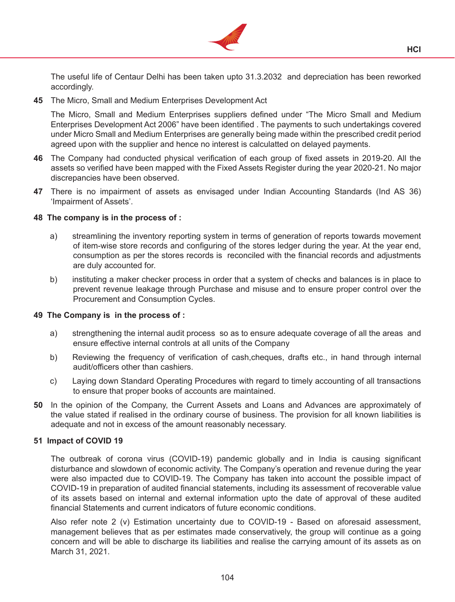

The useful life of Centaur Delhi has been taken upto 31.3.2032 and depreciation has been reworked accordingly.

**45** The Micro, Small and Medium Enterprises Development Act

 The Micro, Small and Medium Enterprises suppliers defined under "The Micro Small and Medium Enterprises Development Act 2006" have been identified . The payments to such undertakings covered under Micro Small and Medium Enterprises are generally being made within the prescribed credit period agreed upon with the supplier and hence no interest is calculatted on delayed payments.

- **46** The Company had conducted physical verification of each group of fixed assets in 2019-20. All the assets so verified have been mapped with the Fixed Assets Register during the year 2020-21. No major discrepancies have been observed.
- **47** There is no impairment of assets as envisaged under Indian Accounting Standards (Ind AS 36) 'Impairment of Assets'.

### **48 The company is in the process of :**

- a) streamlining the inventory reporting system in terms of generation of reports towards movement of item-wise store records and configuring of the stores ledger during the year. At the year end, consumption as per the stores records is reconciled with the financial records and adjustments are duly accounted for.
- b) instituting a maker checker process in order that a system of checks and balances is in place to prevent revenue leakage through Purchase and misuse and to ensure proper control over the Procurement and Consumption Cycles.

### **49 The Company is in the process of :**

- a) strengthening the internal audit process so as to ensure adequate coverage of all the areas and ensure effective internal controls at all units of the Company
- b) Reviewing the frequency of verification of cash, cheques, drafts etc., in hand through internal audit/officers other than cashiers.
- c) Laying down Standard Operating Procedures with regard to timely accounting of all transactions to ensure that proper books of accounts are maintained.
- **50** In the opinion of the Company, the Current Assets and Loans and Advances are approximately of the value stated if realised in the ordinary course of business. The provision for all known liabilities is adequate and not in excess of the amount reasonably necessary.

### **51 Impact of COVID 19**

 The outbreak of corona virus (COVID-19) pandemic globally and in India is causing significant disturbance and slowdown of economic activity. The Company's operation and revenue during the year were also impacted due to COVID-19. The Company has taken into account the possible impact of COVID-19 in preparation of audited financial statements, including its assessment of recoverable value of its assets based on internal and external information upto the date of approval of these audited financial Statements and current indicators of future economic conditions.

Also refer note 2 (v) Estimation uncertainty due to COVID-19 - Based on aforesaid assessment, management believes that as per estimates made conservatively, the group will continue as a going concern and will be able to discharge its liabilities and realise the carrying amount of its assets as on March 31, 2021.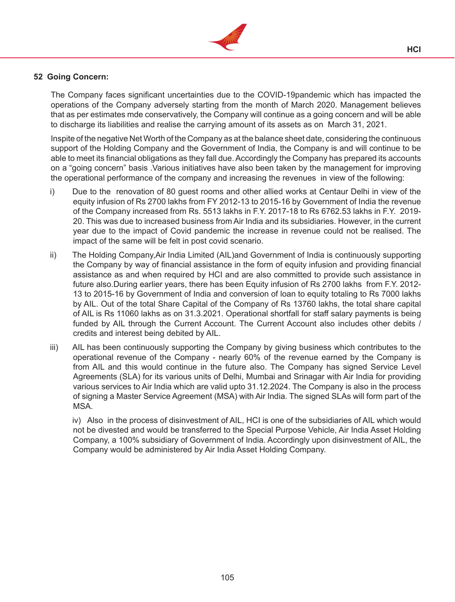

# **52 Going Concern:**

 The Company faces significant uncertainties due to the COVID-19pandemic which has impacted the operations of the Company adversely starting from the month of March 2020. Management believes that as per estimates mde conservatively, the Company will continue as a going concern and will be able to discharge its liabilities and realise the carrying amount of its assets as on March 31, 2021.

Inspite of the negative Net Worth of the Company as at the balance sheet date, considering the continuous support of the Holding Company and the Government of India, the Company is and will continue to be able to meet its financial obligations as they fall due. Accordingly the Company has prepared its accounts on a "going concern" basis .Various initiatives have also been taken by the management for improving the operational performance of the company and increasing the revenues in view of the following:

- i) Due to the renovation of 80 guest rooms and other allied works at Centaur Delhi in view of the equity infusion of Rs 2700 lakhs from FY 2012-13 to 2015-16 by Government of India the revenue of the Company increased from Rs. 5513 lakhs in F.Y. 2017-18 to Rs 6762.53 lakhs in F.Y. 2019- 20. This was due to increased business from Air India and its subsidiaries. However, in the current year due to the impact of Covid pandemic the increase in revenue could not be realised. The impact of the same will be felt in post covid scenario.
- ii) The Holding Company, Air India Limited (AIL)and Government of India is continuously supporting the Company by way of financial assistance in the form of equity infusion and providing financial assistance as and when required by HCI and are also committed to provide such assistance in future also.During earlier years, there has been Equity infusion of Rs 2700 lakhs from F.Y. 2012- 13 to 2015-16 by Government of India and conversion of loan to equity totaling to Rs 7000 lakhs by AIL. Out of the total Share Capital of the Company of Rs 13760 lakhs, the total share capital of AIL is Rs 11060 lakhs as on 31.3.2021. Operational shortfall for staff salary payments is being funded by AIL through the Current Account. The Current Account also includes other debits / credits and interest being debited by AIL.
- iii) AIL has been continuously supporting the Company by giving business which contributes to the operational revenue of the Company - nearly 60% of the revenue earned by the Company is from AIL and this would continue in the future also. The Company has signed Service Level Agreements (SLA) for its various units of Delhi, Mumbai and Srinagar with Air India for providing various services to Air India which are valid upto 31.12.2024. The Company is also in the process of signing a Master Service Agreement (MSA) with Air India. The signed SLAs will form part of the MSA.

iv) Also in the process of disinvestment of AIL, HCI is one of the subsidiaries of AIL which would not be divested and would be transferred to the Special Purpose Vehicle, Air India Asset Holding Company, a 100% subsidiary of Government of India. Accordingly upon disinvestment of AIL, the Company would be administered by Air India Asset Holding Company.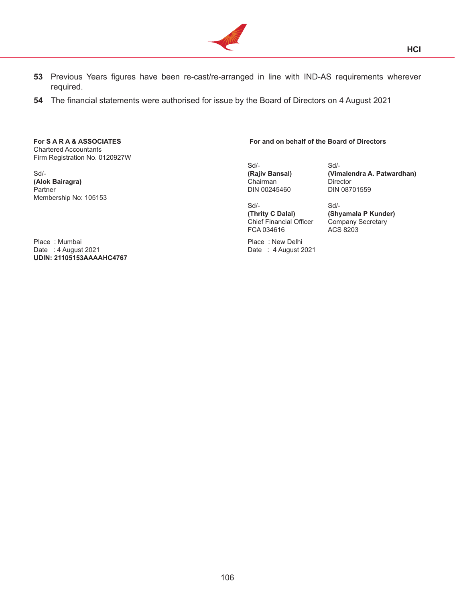

- **53** Previous Years figures have been re-cast/re-arranged in line with IND-AS requirements wherever required.
- **54** The financial statements were authorised for issue by the Board of Directors on 4 August 2021

Chartered Accountants Firm Registration No. 0120927W

**(Alok Bairagra) Chairman** Chairman Director of the Chairman Chairman Director of the Director of the Director of Director of Director of Director of Director of Director of Director of Director of Director of Director o Membership No: 105153

**For S A R A & ASSOCIATES For and on behalf of the Board of Directors**

 $Sd$  -  $Sd$  -  $Sd$  -

 $Sd$  -  $Sd$  -  $Sd$  -**(Thrity C Dalal) (Shyamala P Kunder)**  Chief Financial Officer Company Secretary FCA 034616

Date : 4 August 2021

Sd/- **(Rajiv Bansal) (Vimalendra A. Patwardhan)** DIN 08701559

Place : Mumbai Place : Mumbai Place : New Delhi<br>
Date : 4 August 2021 **UDIN: 21105153AAAAHC4767**